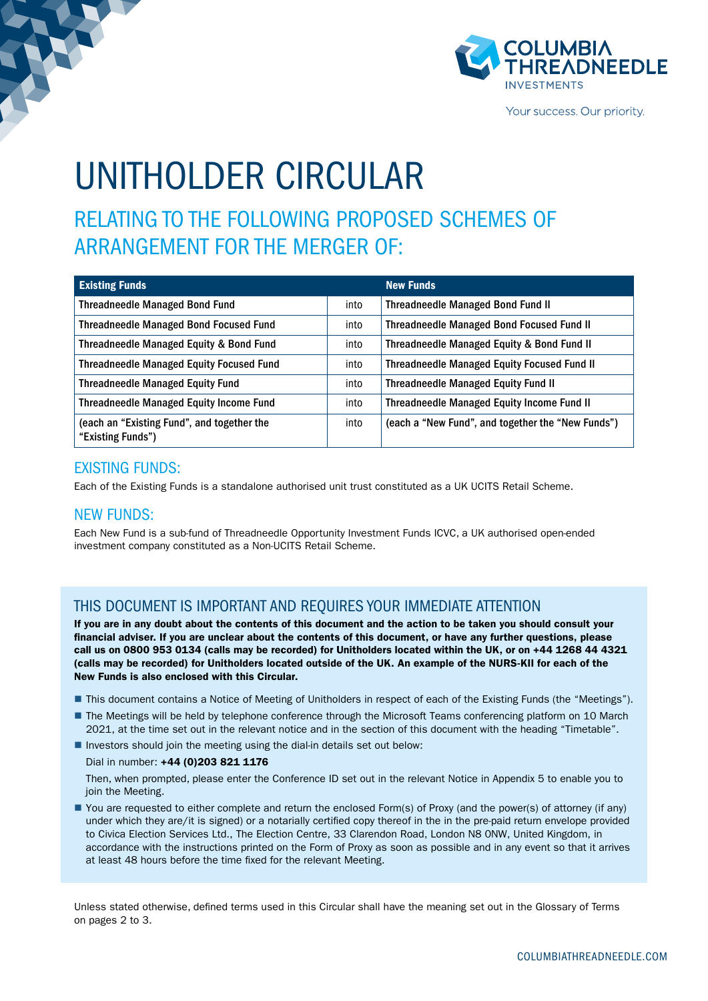

Your success. Our priority.

# UNITHOLDER CIRCULAR

## RELATING TO THE FOLLOWING PROPOSED SCHEMES OF ARRANGEMENT FOR THE MERGER OF:

| <b>Existing Funds</b>                                           |      | <b>New Funds</b>                                   |
|-----------------------------------------------------------------|------|----------------------------------------------------|
| <b>Threadneedle Managed Bond Fund</b>                           | into | <b>Threadneedle Managed Bond Fund II</b>           |
| <b>Threadneedle Managed Bond Focused Fund</b>                   | into | <b>Threadneedle Managed Bond Focused Fund II</b>   |
| Threadneedle Managed Equity & Bond Fund                         | into | Threadneedle Managed Equity & Bond Fund II         |
| <b>Threadneedle Managed Equity Focused Fund</b>                 | into | <b>Threadneedle Managed Equity Focused Fund II</b> |
| <b>Threadneedle Managed Equity Fund</b>                         | into | <b>Threadneedle Managed Equity Fund II</b>         |
| <b>Threadneedle Managed Equity Income Fund</b>                  | into | <b>Threadneedle Managed Equity Income Fund II</b>  |
| (each an "Existing Fund", and together the<br>"Existing Funds") | into | (each a "New Fund", and together the "New Funds")  |

### EXISTING FUNDS:

Each of the Existing Funds is a standalone authorised unit trust constituted as a UK UCITS Retail Scheme.

### NEW FUNDS:

Each New Fund is a sub-fund of Threadneedle Opportunity Investment Funds ICVC, a UK authorised open-ended investment company constituted as a Non-UCITS Retail Scheme.

### THIS DOCUMENT IS IMPORTANT AND REQUIRES YOUR IMMEDIATE ATTENTION

If you are in any doubt about the contents of this document and the action to be taken you should consult your financial adviser. If you are unclear about the contents of this document, or have any further questions, please call us on 0800 953 0134 (calls may be recorded) for Unitholders located within the UK, or on +44 1268 44 4321 (calls may be recorded) for Unitholders located outside of the UK. An example of the NURS-KII for each of the New Funds is also enclosed with this Circular.

- This document contains a Notice of Meeting of Unitholders in respect of each of the Existing Funds (the "Meetings").
- The Meetings will be held by telephone conference through the Microsoft Teams conferencing platform on 10 March 2021, at the time set out in the relevant notice and in the section of this document with the heading "Timetable".
- $\blacksquare$  Investors should join the meeting using the dial-in details set out below:

### Dial in number: +44 (0)203 821 1176

Then, when prompted, please enter the Conference ID set out in the relevant Notice in Appendix 5 to enable you to join the Meeting.

n You are requested to either complete and return the enclosed Form(s) of Proxy (and the power(s) of attorney (if any) under which they are/it is signed) or a notarially certified copy thereof in the in the pre-paid return envelope provided to Civica Election Services Ltd., The Election Centre, 33 Clarendon Road, London N8 0NW, United Kingdom, in accordance with the instructions printed on the Form of Proxy as soon as possible and in any event so that it arrives at least 48 hours before the time fixed for the relevant Meeting.

Unless stated otherwise, defined terms used in this Circular shall have the meaning set out in the Glossary of Terms on pages 2 to 3.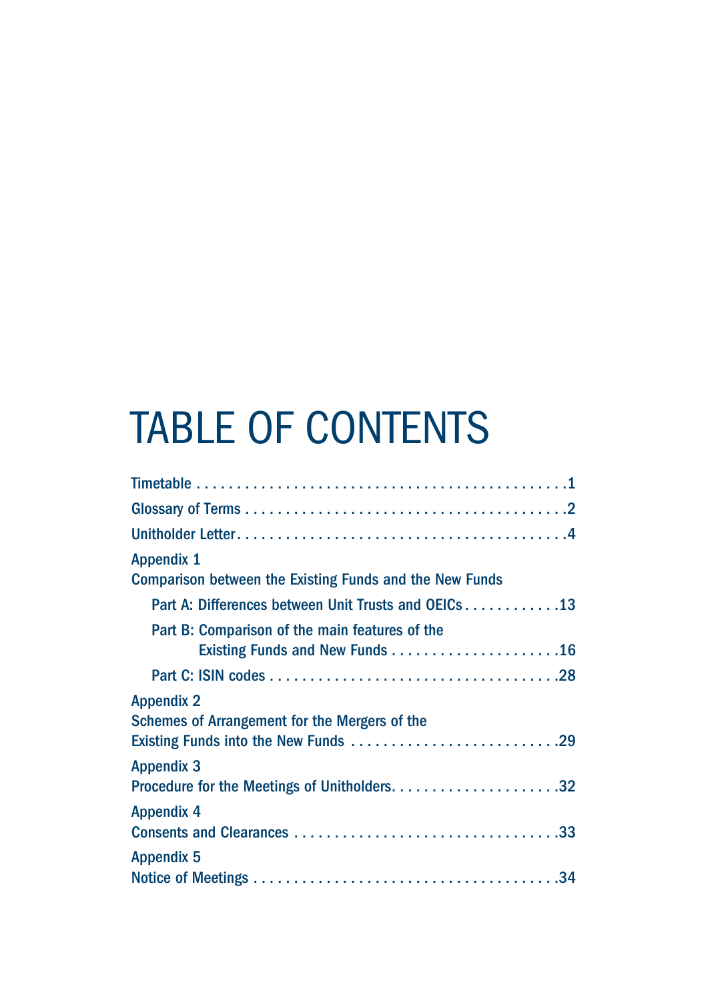# TABLE OF CONTENTS

| <b>Appendix 1</b><br><b>Comparison between the Existing Funds and the New Funds</b>                        |
|------------------------------------------------------------------------------------------------------------|
| Part A: Differences between Unit Trusts and OEICs 13                                                       |
| Part B: Comparison of the main features of the                                                             |
|                                                                                                            |
| <b>Appendix 2</b><br>Schemes of Arrangement for the Mergers of the<br>Existing Funds into the New Funds 29 |
| <b>Appendix 3</b>                                                                                          |
| <b>Appendix 4</b>                                                                                          |
| <b>Appendix 5</b>                                                                                          |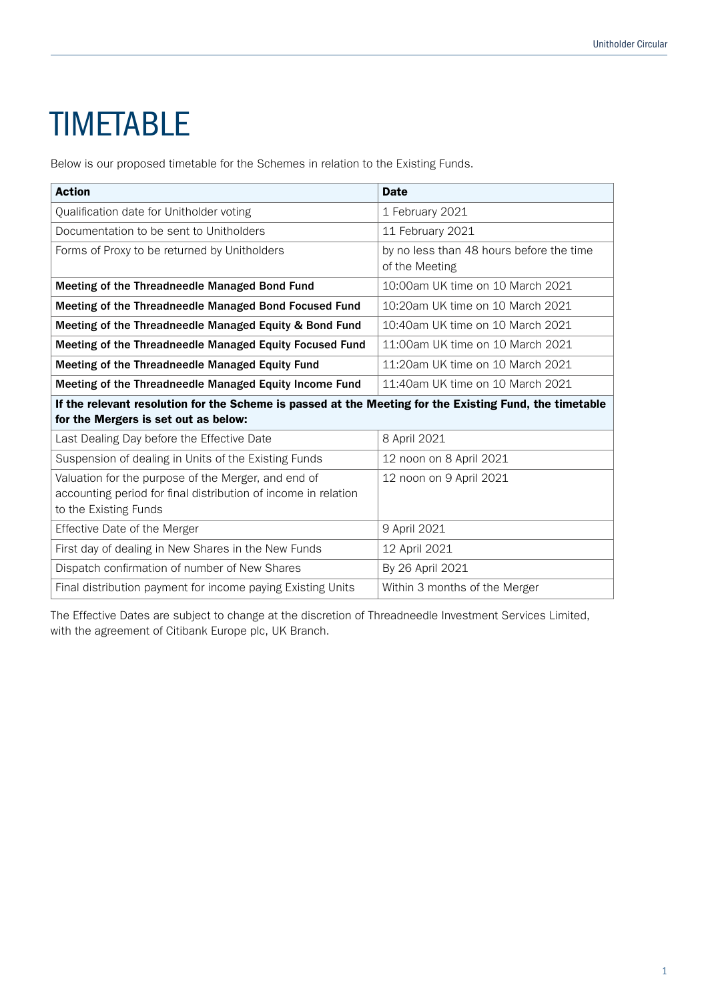# **TIMETABLE**

Below is our proposed timetable for the Schemes in relation to the Existing Funds.

| <b>Action</b>                                                                                                                                   | <b>Date</b>                                                |
|-------------------------------------------------------------------------------------------------------------------------------------------------|------------------------------------------------------------|
| Qualification date for Unitholder voting                                                                                                        | 1 February 2021                                            |
| Documentation to be sent to Unitholders                                                                                                         | 11 February 2021                                           |
| Forms of Proxy to be returned by Unitholders                                                                                                    | by no less than 48 hours before the time<br>of the Meeting |
| Meeting of the Threadneedle Managed Bond Fund                                                                                                   | 10:00am UK time on 10 March 2021                           |
| Meeting of the Threadneedle Managed Bond Focused Fund                                                                                           | 10:20am UK time on 10 March 2021                           |
| Meeting of the Threadneedle Managed Equity & Bond Fund                                                                                          | 10:40am UK time on 10 March 2021                           |
| Meeting of the Threadneedle Managed Equity Focused Fund                                                                                         | 11:00am UK time on 10 March 2021                           |
| Meeting of the Threadneedle Managed Equity Fund                                                                                                 | 11:20am UK time on 10 March 2021                           |
| Meeting of the Threadneedle Managed Equity Income Fund                                                                                          | 11:40am UK time on 10 March 2021                           |
| If the relevant resolution for the Scheme is passed at the Meeting for the Existing Fund, the timetable<br>for the Mergers is set out as below: |                                                            |
| Last Dealing Day before the Effective Date                                                                                                      | 8 April 2021                                               |
| Suspension of dealing in Units of the Existing Funds                                                                                            | 12 noon on 8 April 2021                                    |
| Valuation for the purpose of the Merger, and end of<br>accounting period for final distribution of income in relation<br>to the Existing Funds  | 12 noon on 9 April 2021                                    |
| Effective Date of the Merger                                                                                                                    | 9 April 2021                                               |
| First day of dealing in New Shares in the New Funds                                                                                             | 12 April 2021                                              |
| Dispatch confirmation of number of New Shares                                                                                                   | By 26 April 2021                                           |
| Final distribution payment for income paying Existing Units                                                                                     | Within 3 months of the Merger                              |

The Effective Dates are subject to change at the discretion of Threadneedle Investment Services Limited, with the agreement of Citibank Europe plc, UK Branch.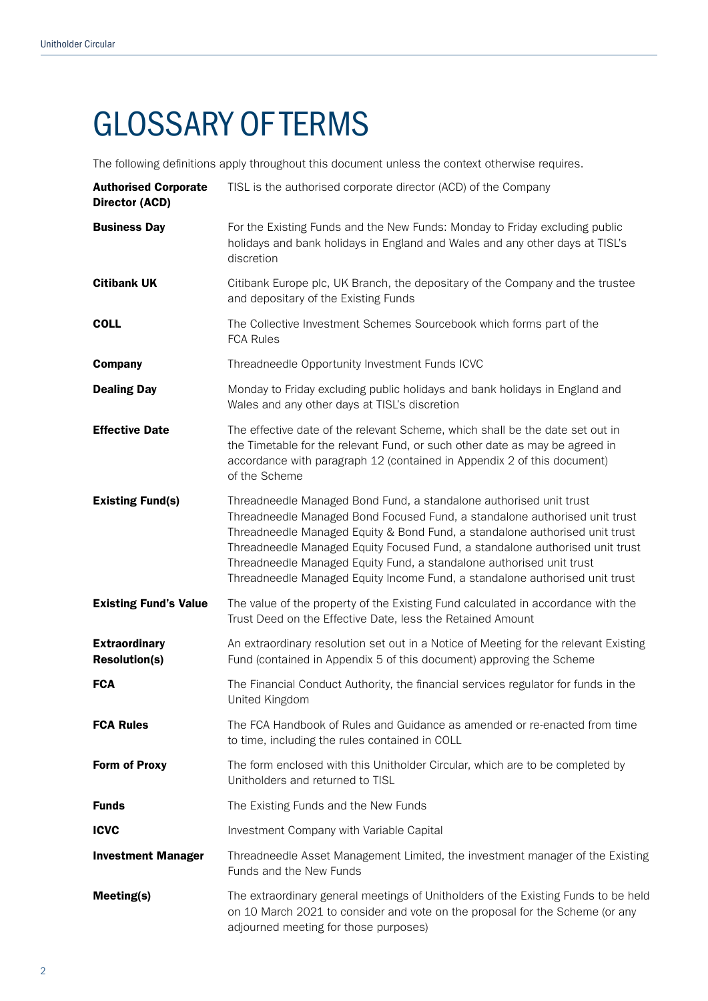# GLOSSARY OF TERMS

The following definitions apply throughout this document unless the context otherwise requires.

| <b>Authorised Corporate</b><br><b>Director (ACD)</b> | TISL is the authorised corporate director (ACD) of the Company                                                                                                                                                                                                                                                                                                                                                                                                         |
|------------------------------------------------------|------------------------------------------------------------------------------------------------------------------------------------------------------------------------------------------------------------------------------------------------------------------------------------------------------------------------------------------------------------------------------------------------------------------------------------------------------------------------|
| <b>Business Day</b>                                  | For the Existing Funds and the New Funds: Monday to Friday excluding public<br>holidays and bank holidays in England and Wales and any other days at TISL's<br>discretion                                                                                                                                                                                                                                                                                              |
| <b>Citibank UK</b>                                   | Citibank Europe plc, UK Branch, the depositary of the Company and the trustee<br>and depositary of the Existing Funds                                                                                                                                                                                                                                                                                                                                                  |
| <b>COLL</b>                                          | The Collective Investment Schemes Sourcebook which forms part of the<br><b>FCA Rules</b>                                                                                                                                                                                                                                                                                                                                                                               |
| <b>Company</b>                                       | Threadneedle Opportunity Investment Funds ICVC                                                                                                                                                                                                                                                                                                                                                                                                                         |
| <b>Dealing Day</b>                                   | Monday to Friday excluding public holidays and bank holidays in England and<br>Wales and any other days at TISL's discretion                                                                                                                                                                                                                                                                                                                                           |
| <b>Effective Date</b>                                | The effective date of the relevant Scheme, which shall be the date set out in<br>the Timetable for the relevant Fund, or such other date as may be agreed in<br>accordance with paragraph 12 (contained in Appendix 2 of this document)<br>of the Scheme                                                                                                                                                                                                               |
| <b>Existing Fund(s)</b>                              | Threadneedle Managed Bond Fund, a standalone authorised unit trust<br>Threadneedle Managed Bond Focused Fund, a standalone authorised unit trust<br>Threadneedle Managed Equity & Bond Fund, a standalone authorised unit trust<br>Threadneedle Managed Equity Focused Fund, a standalone authorised unit trust<br>Threadneedle Managed Equity Fund, a standalone authorised unit trust<br>Threadneedle Managed Equity Income Fund, a standalone authorised unit trust |
| <b>Existing Fund's Value</b>                         | The value of the property of the Existing Fund calculated in accordance with the<br>Trust Deed on the Effective Date, less the Retained Amount                                                                                                                                                                                                                                                                                                                         |
| <b>Extraordinary</b><br><b>Resolution(s)</b>         | An extraordinary resolution set out in a Notice of Meeting for the relevant Existing<br>Fund (contained in Appendix 5 of this document) approving the Scheme                                                                                                                                                                                                                                                                                                           |
| <b>FCA</b>                                           | The Financial Conduct Authority, the financial services regulator for funds in the<br>United Kingdom                                                                                                                                                                                                                                                                                                                                                                   |
| <b>FCA Rules</b>                                     | The FCA Handbook of Rules and Guidance as amended or re-enacted from time<br>to time, including the rules contained in COLL                                                                                                                                                                                                                                                                                                                                            |
| <b>Form of Proxy</b>                                 | The form enclosed with this Unitholder Circular, which are to be completed by<br>Unitholders and returned to TISL                                                                                                                                                                                                                                                                                                                                                      |
| <b>Funds</b>                                         | The Existing Funds and the New Funds                                                                                                                                                                                                                                                                                                                                                                                                                                   |
| <b>ICVC</b>                                          | Investment Company with Variable Capital                                                                                                                                                                                                                                                                                                                                                                                                                               |
| <b>Investment Manager</b>                            | Threadneedle Asset Management Limited, the investment manager of the Existing<br>Funds and the New Funds                                                                                                                                                                                                                                                                                                                                                               |
| Meeting(s)                                           | The extraordinary general meetings of Unitholders of the Existing Funds to be held<br>on 10 March 2021 to consider and vote on the proposal for the Scheme (or any<br>adjourned meeting for those purposes)                                                                                                                                                                                                                                                            |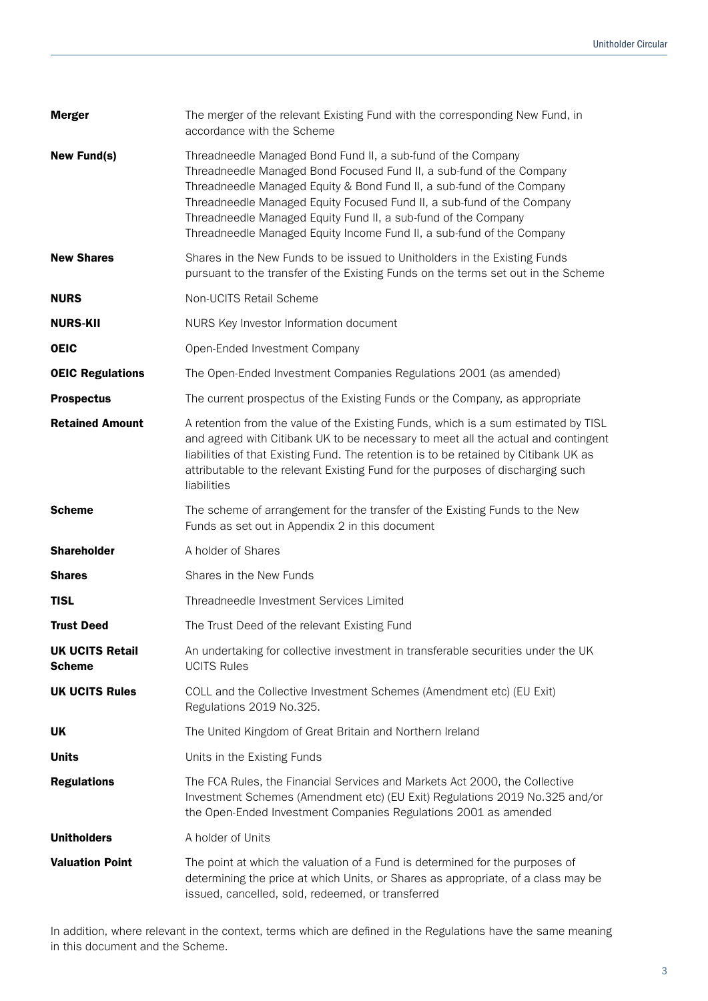| <b>Merger</b>                           | The merger of the relevant Existing Fund with the corresponding New Fund, in<br>accordance with the Scheme                                                                                                                                                                                                                                                                                                                         |
|-----------------------------------------|------------------------------------------------------------------------------------------------------------------------------------------------------------------------------------------------------------------------------------------------------------------------------------------------------------------------------------------------------------------------------------------------------------------------------------|
| <b>New Fund(s)</b>                      | Threadneedle Managed Bond Fund II, a sub-fund of the Company<br>Threadneedle Managed Bond Focused Fund II, a sub-fund of the Company<br>Threadneedle Managed Equity & Bond Fund II, a sub-fund of the Company<br>Threadneedle Managed Equity Focused Fund II, a sub-fund of the Company<br>Threadneedle Managed Equity Fund II, a sub-fund of the Company<br>Threadneedle Managed Equity Income Fund II, a sub-fund of the Company |
| <b>New Shares</b>                       | Shares in the New Funds to be issued to Unitholders in the Existing Funds<br>pursuant to the transfer of the Existing Funds on the terms set out in the Scheme                                                                                                                                                                                                                                                                     |
| <b>NURS</b>                             | Non-UCITS Retail Scheme                                                                                                                                                                                                                                                                                                                                                                                                            |
| <b>NURS-KII</b>                         | NURS Key Investor Information document                                                                                                                                                                                                                                                                                                                                                                                             |
| <b>OEIC</b>                             | Open-Ended Investment Company                                                                                                                                                                                                                                                                                                                                                                                                      |
| <b>OEIC Regulations</b>                 | The Open-Ended Investment Companies Regulations 2001 (as amended)                                                                                                                                                                                                                                                                                                                                                                  |
| <b>Prospectus</b>                       | The current prospectus of the Existing Funds or the Company, as appropriate                                                                                                                                                                                                                                                                                                                                                        |
| <b>Retained Amount</b>                  | A retention from the value of the Existing Funds, which is a sum estimated by TISL<br>and agreed with Citibank UK to be necessary to meet all the actual and contingent<br>liabilities of that Existing Fund. The retention is to be retained by Citibank UK as<br>attributable to the relevant Existing Fund for the purposes of discharging such<br>liabilities                                                                  |
| <b>Scheme</b>                           | The scheme of arrangement for the transfer of the Existing Funds to the New<br>Funds as set out in Appendix 2 in this document                                                                                                                                                                                                                                                                                                     |
| <b>Shareholder</b>                      | A holder of Shares                                                                                                                                                                                                                                                                                                                                                                                                                 |
| <b>Shares</b>                           | Shares in the New Funds                                                                                                                                                                                                                                                                                                                                                                                                            |
| <b>TISL</b>                             | Threadneedle Investment Services Limited                                                                                                                                                                                                                                                                                                                                                                                           |
| <b>Trust Deed</b>                       | The Trust Deed of the relevant Existing Fund                                                                                                                                                                                                                                                                                                                                                                                       |
| <b>UK UCITS Retail</b><br><b>Scheme</b> | An undertaking for collective investment in transferable securities under the UK<br><b>UCITS Rules</b>                                                                                                                                                                                                                                                                                                                             |
| <b>UK UCITS Rules</b>                   | COLL and the Collective Investment Schemes (Amendment etc) (EU Exit)<br>Regulations 2019 No.325.                                                                                                                                                                                                                                                                                                                                   |
| UK                                      | The United Kingdom of Great Britain and Northern Ireland                                                                                                                                                                                                                                                                                                                                                                           |
| <b>Units</b>                            | Units in the Existing Funds                                                                                                                                                                                                                                                                                                                                                                                                        |
| <b>Regulations</b>                      | The FCA Rules, the Financial Services and Markets Act 2000, the Collective<br>Investment Schemes (Amendment etc) (EU Exit) Regulations 2019 No.325 and/or<br>the Open-Ended Investment Companies Regulations 2001 as amended                                                                                                                                                                                                       |
| <b>Unitholders</b>                      | A holder of Units                                                                                                                                                                                                                                                                                                                                                                                                                  |
| <b>Valuation Point</b>                  | The point at which the valuation of a Fund is determined for the purposes of<br>determining the price at which Units, or Shares as appropriate, of a class may be<br>issued, cancelled, sold, redeemed, or transferred                                                                                                                                                                                                             |

In addition, where relevant in the context, terms which are defined in the Regulations have the same meaning in this document and the Scheme.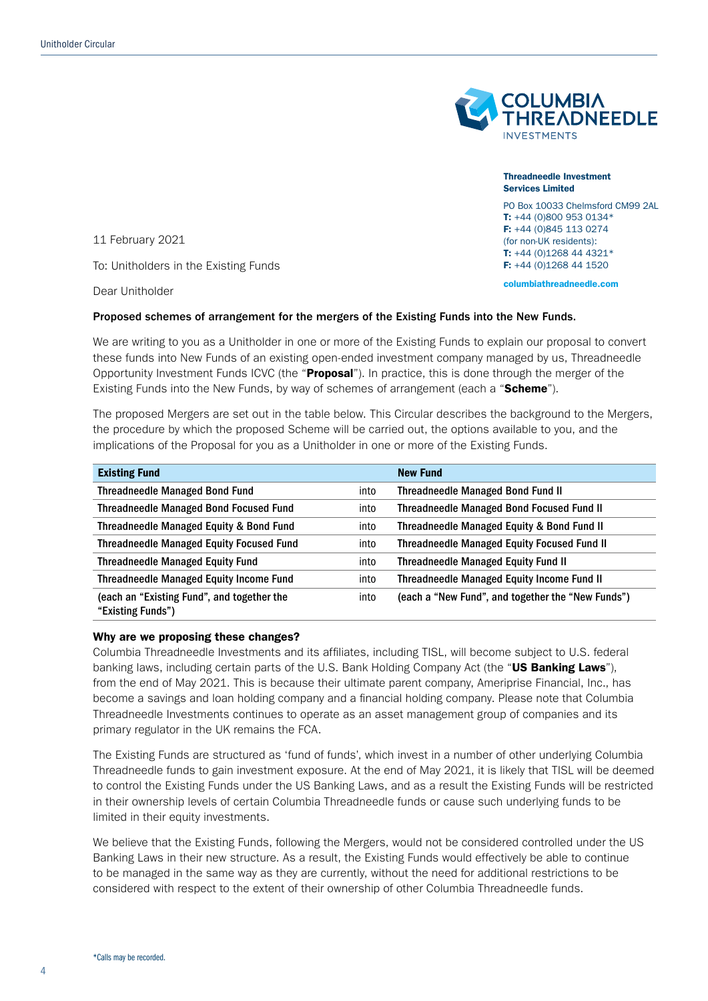

Threadneedle Investment Services Limited PO Box 10033 Chelmsford CM99 2AL

T: +44 (0)800 953 0134\* F: +44 (0)845 113 0274 (for non-UK residents): T: +44 (0)1268 44 4321\* F: +44 (0)1268 44 1520 columbiathreadneedle.com

11 February 2021

To: Unitholders in the Existing Funds

Dear Unitholder

#### Proposed schemes of arrangement for the mergers of the Existing Funds into the New Funds.

We are writing to you as a Unitholder in one or more of the Existing Funds to explain our proposal to convert these funds into New Funds of an existing open-ended investment company managed by us, Threadneedle Opportunity Investment Funds ICVC (the "**Proposal**"). In practice, this is done through the merger of the Existing Funds into the New Funds, by way of schemes of arrangement (each a "Scheme").

The proposed Mergers are set out in the table below. This Circular describes the background to the Mergers, the procedure by which the proposed Scheme will be carried out, the options available to you, and the implications of the Proposal for you as a Unitholder in one or more of the Existing Funds.

| <b>Existing Fund</b>                                            |      | <b>New Fund</b>                                    |
|-----------------------------------------------------------------|------|----------------------------------------------------|
| <b>Threadneedle Managed Bond Fund</b>                           | into | <b>Threadneedle Managed Bond Fund II</b>           |
| <b>Threadneedle Managed Bond Focused Fund</b>                   | into | <b>Threadneedle Managed Bond Focused Fund II</b>   |
| Threadneedle Managed Equity & Bond Fund                         | into | Threadneedle Managed Equity & Bond Fund II         |
| <b>Threadneedle Managed Equity Focused Fund</b>                 | into | <b>Threadneedle Managed Equity Focused Fund II</b> |
| <b>Threadneedle Managed Equity Fund</b>                         | into | Threadneedle Managed Equity Fund II                |
| <b>Threadneedle Managed Equity Income Fund</b>                  | into | <b>Threadneedle Managed Equity Income Fund II</b>  |
| (each an "Existing Fund", and together the<br>"Existing Funds") | into | (each a "New Fund", and together the "New Funds")  |

#### Why are we proposing these changes?

Columbia Threadneedle Investments and its affiliates, including TISL, will become subject to U.S. federal banking laws, including certain parts of the U.S. Bank Holding Company Act (the "US Banking Laws"), from the end of May 2021. This is because their ultimate parent company, Ameriprise Financial, Inc., has become a savings and loan holding company and a financial holding company. Please note that Columbia Threadneedle Investments continues to operate as an asset management group of companies and its primary regulator in the UK remains the FCA.

The Existing Funds are structured as 'fund of funds', which invest in a number of other underlying Columbia Threadneedle funds to gain investment exposure. At the end of May 2021, it is likely that TISL will be deemed to control the Existing Funds under the US Banking Laws, and as a result the Existing Funds will be restricted in their ownership levels of certain Columbia Threadneedle funds or cause such underlying funds to be limited in their equity investments.

We believe that the Existing Funds, following the Mergers, would not be considered controlled under the US Banking Laws in their new structure. As a result, the Existing Funds would effectively be able to continue to be managed in the same way as they are currently, without the need for additional restrictions to be considered with respect to the extent of their ownership of other Columbia Threadneedle funds.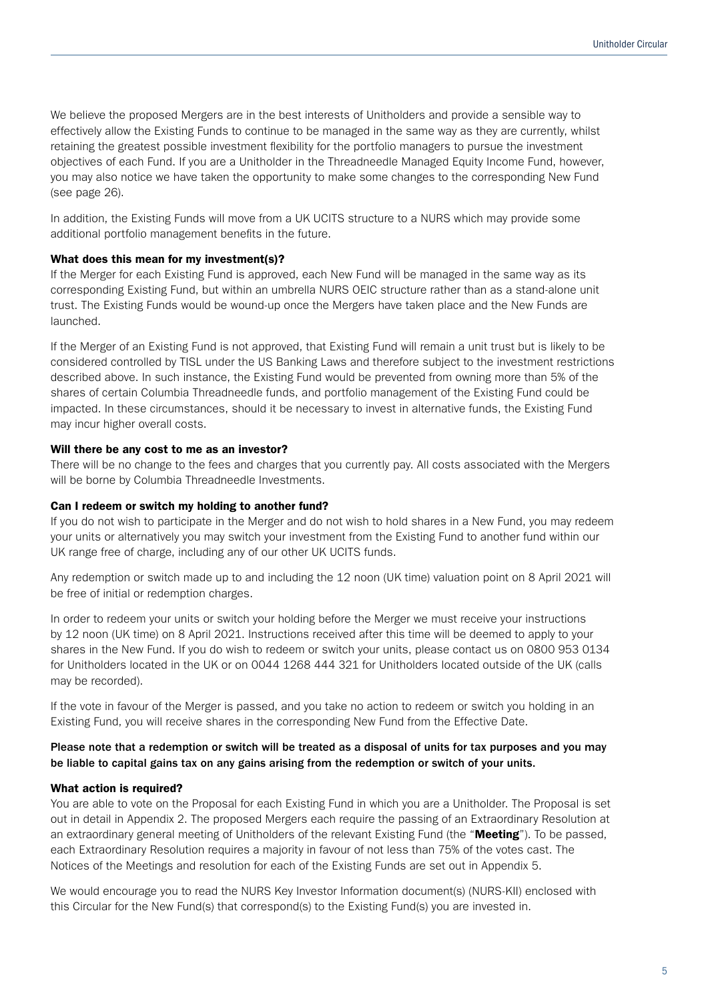We believe the proposed Mergers are in the best interests of Unitholders and provide a sensible way to effectively allow the Existing Funds to continue to be managed in the same way as they are currently, whilst retaining the greatest possible investment flexibility for the portfolio managers to pursue the investment objectives of each Fund. If you are a Unitholder in the Threadneedle Managed Equity Income Fund, however, you may also notice we have taken the opportunity to make some changes to the corresponding New Fund (see page 26).

In addition, the Existing Funds will move from a UK UCITS structure to a NURS which may provide some additional portfolio management benefits in the future.

### What does this mean for my investment(s)?

If the Merger for each Existing Fund is approved, each New Fund will be managed in the same way as its corresponding Existing Fund, but within an umbrella NURS OEIC structure rather than as a stand-alone unit trust. The Existing Funds would be wound-up once the Mergers have taken place and the New Funds are launched.

If the Merger of an Existing Fund is not approved, that Existing Fund will remain a unit trust but is likely to be considered controlled by TISL under the US Banking Laws and therefore subject to the investment restrictions described above. In such instance, the Existing Fund would be prevented from owning more than 5% of the shares of certain Columbia Threadneedle funds, and portfolio management of the Existing Fund could be impacted. In these circumstances, should it be necessary to invest in alternative funds, the Existing Fund may incur higher overall costs.

### Will there be any cost to me as an investor?

There will be no change to the fees and charges that you currently pay. All costs associated with the Mergers will be borne by Columbia Threadneedle Investments.

#### Can I redeem or switch my holding to another fund?

If you do not wish to participate in the Merger and do not wish to hold shares in a New Fund, you may redeem your units or alternatively you may switch your investment from the Existing Fund to another fund within our UK range free of charge, including any of our other UK UCITS funds.

Any redemption or switch made up to and including the 12 noon (UK time) valuation point on 8 April 2021 will be free of initial or redemption charges.

In order to redeem your units or switch your holding before the Merger we must receive your instructions by 12 noon (UK time) on 8 April 2021. Instructions received after this time will be deemed to apply to your shares in the New Fund. If you do wish to redeem or switch your units, please contact us on 0800 953 0134 for Unitholders located in the UK or on 0044 1268 444 321 for Unitholders located outside of the UK (calls may be recorded).

If the vote in favour of the Merger is passed, and you take no action to redeem or switch you holding in an Existing Fund, you will receive shares in the corresponding New Fund from the Effective Date.

### Please note that a redemption or switch will be treated as a disposal of units for tax purposes and you may be liable to capital gains tax on any gains arising from the redemption or switch of your units.

### What action is required?

You are able to vote on the Proposal for each Existing Fund in which you are a Unitholder. The Proposal is set out in detail in Appendix 2. The proposed Mergers each require the passing of an Extraordinary Resolution at an extraordinary general meeting of Unitholders of the relevant Existing Fund (the "Meeting"). To be passed, each Extraordinary Resolution requires a majority in favour of not less than 75% of the votes cast. The Notices of the Meetings and resolution for each of the Existing Funds are set out in Appendix 5.

We would encourage you to read the NURS Key Investor Information document(s) (NURS-KII) enclosed with this Circular for the New Fund(s) that correspond(s) to the Existing Fund(s) you are invested in.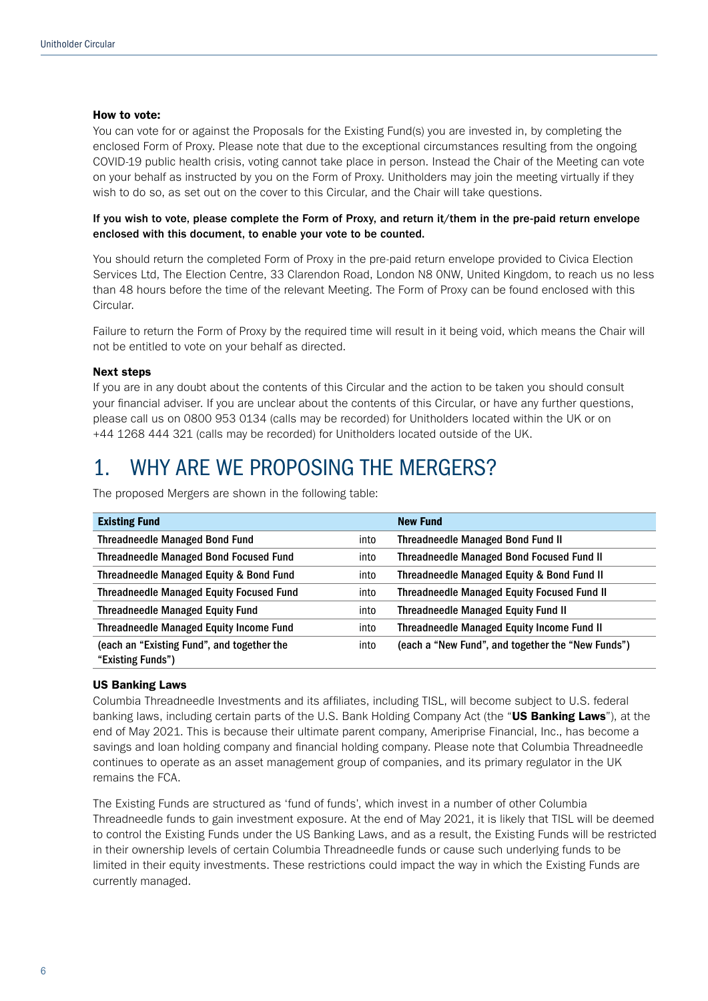#### How to vote:

You can vote for or against the Proposals for the Existing Fund(s) you are invested in, by completing the enclosed Form of Proxy. Please note that due to the exceptional circumstances resulting from the ongoing COVID-19 public health crisis, voting cannot take place in person. Instead the Chair of the Meeting can vote on your behalf as instructed by you on the Form of Proxy. Unitholders may join the meeting virtually if they wish to do so, as set out on the cover to this Circular, and the Chair will take questions.

If you wish to vote, please complete the Form of Proxy, and return it/them in the pre-paid return envelope enclosed with this document, to enable your vote to be counted.

You should return the completed Form of Proxy in the pre-paid return envelope provided to Civica Election Services Ltd, The Election Centre, 33 Clarendon Road, London N8 0NW, United Kingdom, to reach us no less than 48 hours before the time of the relevant Meeting. The Form of Proxy can be found enclosed with this Circular.

Failure to return the Form of Proxy by the required time will result in it being void, which means the Chair will not be entitled to vote on your behalf as directed.

#### Next steps

If you are in any doubt about the contents of this Circular and the action to be taken you should consult your financial adviser. If you are unclear about the contents of this Circular, or have any further questions, please call us on 0800 953 0134 (calls may be recorded) for Unitholders located within the UK or on +44 1268 444 321 (calls may be recorded) for Unitholders located outside of the UK.

### 1. WHY ARE WE PROPOSING THE MERGERS?

| <b>Existing Fund</b>                                            |      | <b>New Fund</b>                                    |
|-----------------------------------------------------------------|------|----------------------------------------------------|
| <b>Threadneedle Managed Bond Fund</b>                           | into | <b>Threadneedle Managed Bond Fund II</b>           |
| <b>Threadneedle Managed Bond Focused Fund</b>                   | into | Threadneedle Managed Bond Focused Fund II          |
| Threadneedle Managed Equity & Bond Fund                         | into | Threadneedle Managed Equity & Bond Fund II         |
| <b>Threadneedle Managed Equity Focused Fund</b>                 | into | <b>Threadneedle Managed Equity Focused Fund II</b> |
| <b>Threadneedle Managed Equity Fund</b>                         | into | Threadneedle Managed Equity Fund II                |
| Threadneedle Managed Equity Income Fund                         | into | Threadneedle Managed Equity Income Fund II         |
| (each an "Existing Fund", and together the<br>"Existing Funds") | into | (each a "New Fund", and together the "New Funds")  |

The proposed Mergers are shown in the following table:

#### US Banking Laws

Columbia Threadneedle Investments and its affiliates, including TISL, will become subject to U.S. federal banking laws, including certain parts of the U.S. Bank Holding Company Act (the "US Banking Laws"), at the end of May 2021. This is because their ultimate parent company, Ameriprise Financial, Inc., has become a savings and loan holding company and financial holding company. Please note that Columbia Threadneedle continues to operate as an asset management group of companies, and its primary regulator in the UK remains the FCA.

The Existing Funds are structured as 'fund of funds', which invest in a number of other Columbia Threadneedle funds to gain investment exposure. At the end of May 2021, it is likely that TISL will be deemed to control the Existing Funds under the US Banking Laws, and as a result, the Existing Funds will be restricted in their ownership levels of certain Columbia Threadneedle funds or cause such underlying funds to be limited in their equity investments. These restrictions could impact the way in which the Existing Funds are currently managed.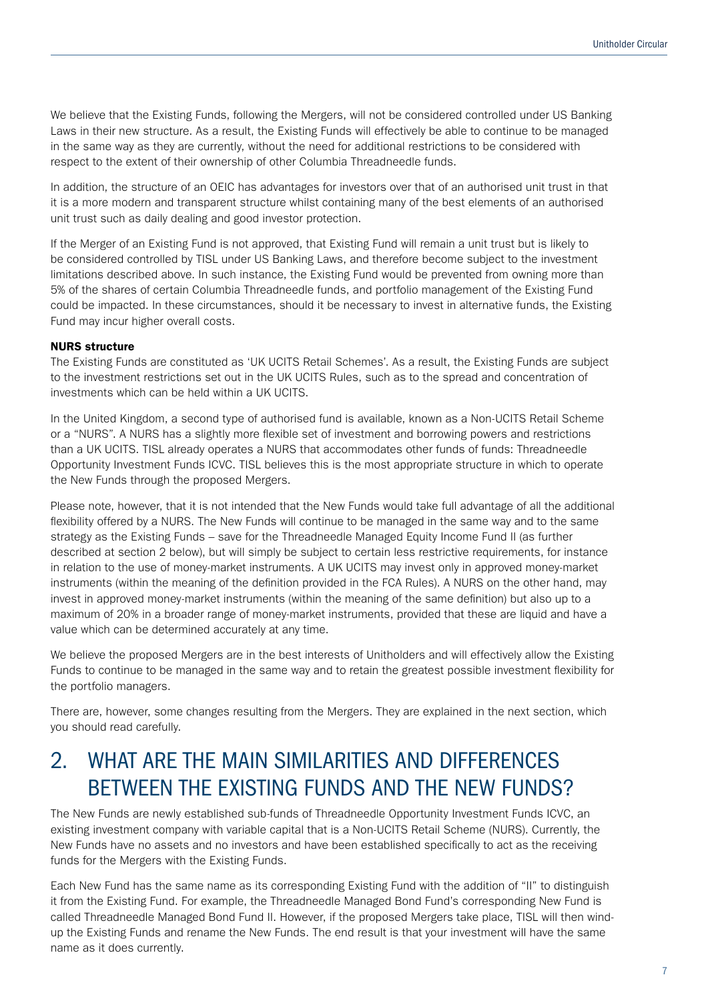We believe that the Existing Funds, following the Mergers, will not be considered controlled under US Banking Laws in their new structure. As a result, the Existing Funds will effectively be able to continue to be managed in the same way as they are currently, without the need for additional restrictions to be considered with respect to the extent of their ownership of other Columbia Threadneedle funds.

In addition, the structure of an OEIC has advantages for investors over that of an authorised unit trust in that it is a more modern and transparent structure whilst containing many of the best elements of an authorised unit trust such as daily dealing and good investor protection.

If the Merger of an Existing Fund is not approved, that Existing Fund will remain a unit trust but is likely to be considered controlled by TISL under US Banking Laws, and therefore become subject to the investment limitations described above. In such instance, the Existing Fund would be prevented from owning more than 5% of the shares of certain Columbia Threadneedle funds, and portfolio management of the Existing Fund could be impacted. In these circumstances, should it be necessary to invest in alternative funds, the Existing Fund may incur higher overall costs.

### NURS structure

The Existing Funds are constituted as 'UK UCITS Retail Schemes'. As a result, the Existing Funds are subject to the investment restrictions set out in the UK UCITS Rules, such as to the spread and concentration of investments which can be held within a UK UCITS.

In the United Kingdom, a second type of authorised fund is available, known as a Non-UCITS Retail Scheme or a "NURS". A NURS has a slightly more flexible set of investment and borrowing powers and restrictions than a UK UCITS. TISL already operates a NURS that accommodates other funds of funds: Threadneedle Opportunity Investment Funds ICVC. TISL believes this is the most appropriate structure in which to operate the New Funds through the proposed Mergers.

Please note, however, that it is not intended that the New Funds would take full advantage of all the additional flexibility offered by a NURS. The New Funds will continue to be managed in the same way and to the same strategy as the Existing Funds – save for the Threadneedle Managed Equity Income Fund II (as further described at section 2 below), but will simply be subject to certain less restrictive requirements, for instance in relation to the use of money-market instruments. A UK UCITS may invest only in approved money-market instruments (within the meaning of the definition provided in the FCA Rules). A NURS on the other hand, may invest in approved money-market instruments (within the meaning of the same definition) but also up to a maximum of 20% in a broader range of money-market instruments, provided that these are liquid and have a value which can be determined accurately at any time.

We believe the proposed Mergers are in the best interests of Unitholders and will effectively allow the Existing Funds to continue to be managed in the same way and to retain the greatest possible investment flexibility for the portfolio managers.

There are, however, some changes resulting from the Mergers. They are explained in the next section, which you should read carefully.

## 2. WHAT ARE THE MAIN SIMILARITIES AND DIFFERENCES BETWEEN THE EXISTING FUNDS AND THE NEW FUNDS?

The New Funds are newly established sub-funds of Threadneedle Opportunity Investment Funds ICVC, an existing investment company with variable capital that is a Non-UCITS Retail Scheme (NURS). Currently, the New Funds have no assets and no investors and have been established specifically to act as the receiving funds for the Mergers with the Existing Funds.

Each New Fund has the same name as its corresponding Existing Fund with the addition of "II" to distinguish it from the Existing Fund. For example, the Threadneedle Managed Bond Fund's corresponding New Fund is called Threadneedle Managed Bond Fund II. However, if the proposed Mergers take place, TISL will then windup the Existing Funds and rename the New Funds. The end result is that your investment will have the same name as it does currently.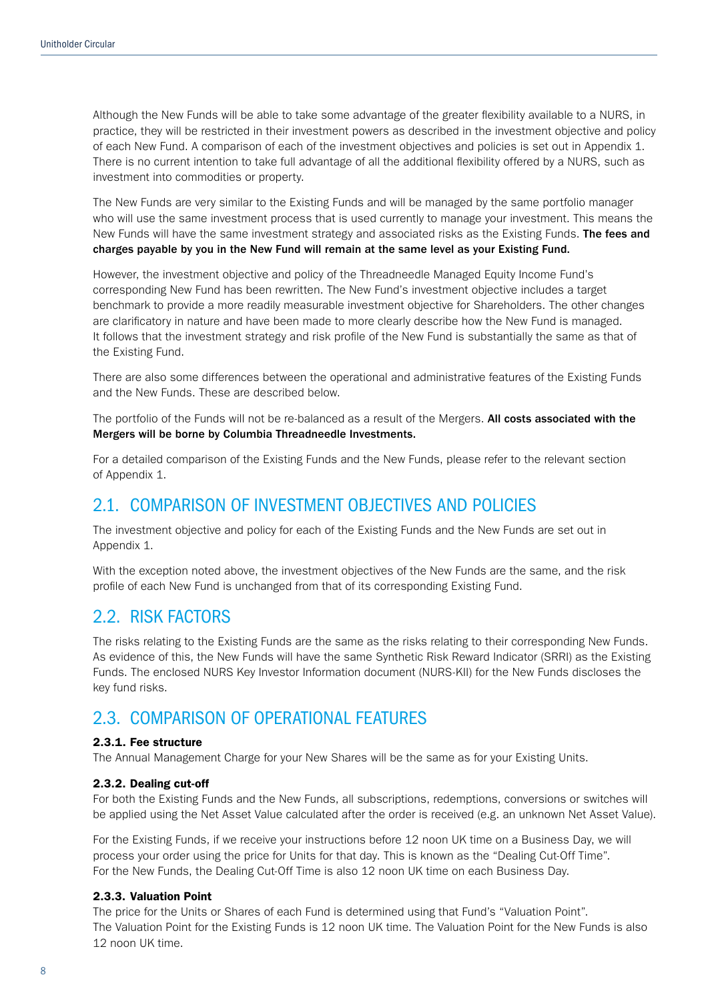Although the New Funds will be able to take some advantage of the greater flexibility available to a NURS, in practice, they will be restricted in their investment powers as described in the investment objective and policy of each New Fund. A comparison of each of the investment objectives and policies is set out in Appendix 1. There is no current intention to take full advantage of all the additional flexibility offered by a NURS, such as investment into commodities or property.

The New Funds are very similar to the Existing Funds and will be managed by the same portfolio manager who will use the same investment process that is used currently to manage your investment. This means the New Funds will have the same investment strategy and associated risks as the Existing Funds. The fees and charges payable by you in the New Fund will remain at the same level as your Existing Fund.

However, the investment objective and policy of the Threadneedle Managed Equity Income Fund's corresponding New Fund has been rewritten. The New Fund's investment objective includes a target benchmark to provide a more readily measurable investment objective for Shareholders. The other changes are clarificatory in nature and have been made to more clearly describe how the New Fund is managed. It follows that the investment strategy and risk profile of the New Fund is substantially the same as that of the Existing Fund.

There are also some differences between the operational and administrative features of the Existing Funds and the New Funds. These are described below.

The portfolio of the Funds will not be re-balanced as a result of the Mergers. All costs associated with the Mergers will be borne by Columbia Threadneedle Investments.

For a detailed comparison of the Existing Funds and the New Funds, please refer to the relevant section of Appendix 1.

### 2.1. COMPARISON OF INVESTMENT OBJECTIVES AND POLICIES

The investment objective and policy for each of the Existing Funds and the New Funds are set out in Appendix 1.

With the exception noted above, the investment objectives of the New Funds are the same, and the risk profile of each New Fund is unchanged from that of its corresponding Existing Fund.

### 2.2. RISK FACTORS

The risks relating to the Existing Funds are the same as the risks relating to their corresponding New Funds. As evidence of this, the New Funds will have the same Synthetic Risk Reward Indicator (SRRI) as the Existing Funds. The enclosed NURS Key Investor Information document (NURS-KII) for the New Funds discloses the key fund risks.

### 2.3. COMPARISON OF OPERATIONAL FEATURES

### 2.3.1. Fee structure

The Annual Management Charge for your New Shares will be the same as for your Existing Units.

### 2.3.2. Dealing cut-off

For both the Existing Funds and the New Funds, all subscriptions, redemptions, conversions or switches will be applied using the Net Asset Value calculated after the order is received (e.g. an unknown Net Asset Value).

For the Existing Funds, if we receive your instructions before 12 noon UK time on a Business Day, we will process your order using the price for Units for that day. This is known as the "Dealing Cut-Off Time". For the New Funds, the Dealing Cut-Off Time is also 12 noon UK time on each Business Day.

### 2.3.3. Valuation Point

The price for the Units or Shares of each Fund is determined using that Fund's "Valuation Point". The Valuation Point for the Existing Funds is 12 noon UK time. The Valuation Point for the New Funds is also 12 noon UK time.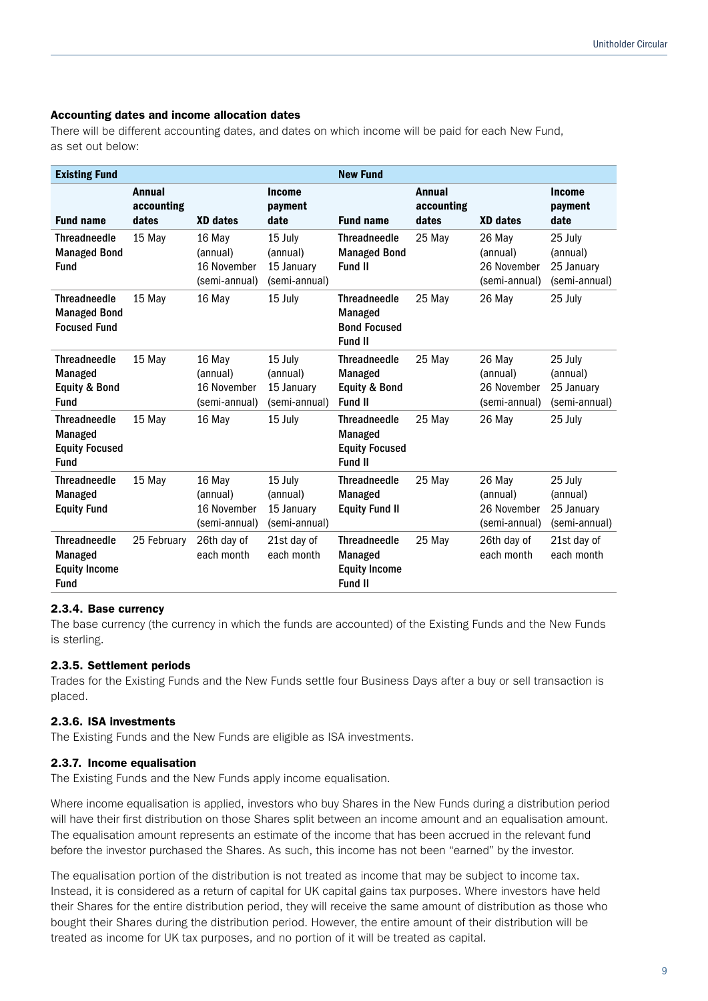### Accounting dates and income allocation dates

There will be different accounting dates, and dates on which income will be paid for each New Fund, as set out below:

| <b>Existing Fund</b>                                                         |                                      |                                                    |                                                    | <b>New Fund</b>                                                          |                                      |                                                    |                                                    |
|------------------------------------------------------------------------------|--------------------------------------|----------------------------------------------------|----------------------------------------------------|--------------------------------------------------------------------------|--------------------------------------|----------------------------------------------------|----------------------------------------------------|
| <b>Fund name</b>                                                             | <b>Annual</b><br>accounting<br>dates | <b>XD</b> dates                                    | <b>Income</b><br>payment<br>date                   | <b>Fund name</b>                                                         | <b>Annual</b><br>accounting<br>dates | <b>XD</b> dates                                    | <b>Income</b><br>payment<br>date                   |
| <b>Threadneedle</b><br><b>Managed Bond</b><br><b>Fund</b>                    | 15 May                               | 16 May<br>(annual)<br>16 November<br>(semi-annual) | 15 July<br>(annual)<br>15 January<br>(semi-annual) | <b>Threadneedle</b><br><b>Managed Bond</b><br>Fund II                    | 25 May                               | 26 May<br>(annual)<br>26 November<br>(semi-annual) | 25 July<br>(annual)<br>25 January<br>(semi-annual) |
| <b>Threadneedle</b><br><b>Managed Bond</b><br><b>Focused Fund</b>            | 15 May                               | 16 May                                             | 15 July                                            | <b>Threadneedle</b><br>Managed<br><b>Bond Focused</b><br>Fund II         | 25 May                               | 26 May                                             | 25 July                                            |
| <b>Threadneedle</b><br>Managed<br><b>Equity &amp; Bond</b><br><b>Fund</b>    | 15 May                               | 16 May<br>(annual)<br>16 November<br>(semi-annual) | 15 July<br>(annual)<br>15 January<br>(semi-annual) | <b>Threadneedle</b><br>Managed<br>Equity & Bond<br>Fund II               | 25 May                               | 26 May<br>(annual)<br>26 November<br>(semi-annual) | 25 July<br>(annual)<br>25 January<br>(semi-annual) |
| <b>Threadneedle</b><br>Managed<br><b>Equity Focused</b><br><b>Fund</b>       | 15 May                               | 16 May                                             | 15 July                                            | <b>Threadneedle</b><br>Managed<br><b>Equity Focused</b><br>Fund II       | 25 May                               | 26 May                                             | 25 July                                            |
| <b>Threadneedle</b><br>Managed<br><b>Equity Fund</b>                         | 15 May                               | 16 May<br>(annual)<br>16 November<br>(semi-annual) | 15 July<br>(annual)<br>15 January<br>(semi-annual) | <b>Threadneedle</b><br>Managed<br><b>Equity Fund II</b>                  | 25 May                               | 26 May<br>(annual)<br>26 November<br>(semi-annual) | 25 July<br>(annual)<br>25 January<br>(semi-annual) |
| <b>Threadneedle</b><br><b>Managed</b><br><b>Equity Income</b><br><b>Fund</b> | 25 February                          | 26th day of<br>each month                          | 21st day of<br>each month                          | <b>Threadneedle</b><br>Managed<br><b>Equity Income</b><br><b>Fund II</b> | 25 May                               | 26th day of<br>each month                          | 21st day of<br>each month                          |

### 2.3.4. Base currency

The base currency (the currency in which the funds are accounted) of the Existing Funds and the New Funds is sterling.

### 2.3.5. Settlement periods

Trades for the Existing Funds and the New Funds settle four Business Days after a buy or sell transaction is placed.

### 2.3.6. ISA investments

The Existing Funds and the New Funds are eligible as ISA investments.

### 2.3.7. Income equalisation

The Existing Funds and the New Funds apply income equalisation.

Where income equalisation is applied, investors who buy Shares in the New Funds during a distribution period will have their first distribution on those Shares split between an income amount and an equalisation amount. The equalisation amount represents an estimate of the income that has been accrued in the relevant fund before the investor purchased the Shares. As such, this income has not been "earned" by the investor.

The equalisation portion of the distribution is not treated as income that may be subject to income tax. Instead, it is considered as a return of capital for UK capital gains tax purposes. Where investors have held their Shares for the entire distribution period, they will receive the same amount of distribution as those who bought their Shares during the distribution period. However, the entire amount of their distribution will be treated as income for UK tax purposes, and no portion of it will be treated as capital.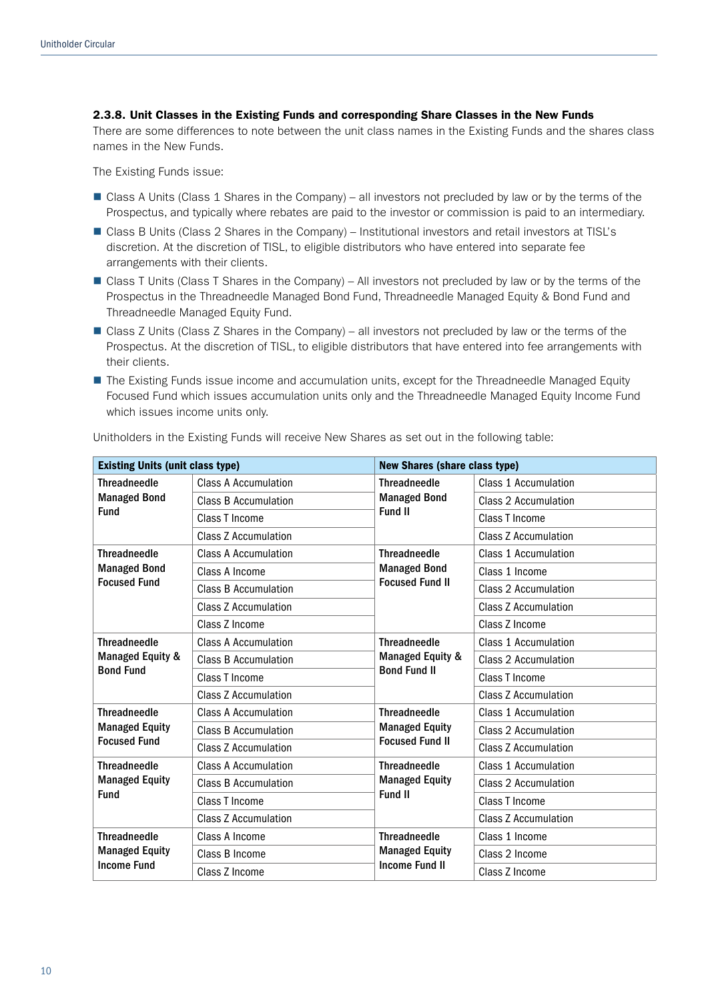### 2.3.8. Unit Classes in the Existing Funds and corresponding Share Classes in the New Funds

There are some differences to note between the unit class names in the Existing Funds and the shares class names in the New Funds.

The Existing Funds issue:

- Class A Units (Class 1 Shares in the Company) all investors not precluded by law or by the terms of the Prospectus, and typically where rebates are paid to the investor or commission is paid to an intermediary.
- Class B Units (Class 2 Shares in the Company) Institutional investors and retail investors at TISL's discretion. At the discretion of TISL, to eligible distributors who have entered into separate fee arrangements with their clients.
- Class T Units (Class T Shares in the Company) All investors not precluded by law or by the terms of the Prospectus in the Threadneedle Managed Bond Fund, Threadneedle Managed Equity & Bond Fund and Threadneedle Managed Equity Fund.
- Class Z Units (Class Z Shares in the Company) all investors not precluded by law or the terms of the Prospectus. At the discretion of TISL, to eligible distributors that have entered into fee arrangements with their clients.
- **n** The Existing Funds issue income and accumulation units, except for the Threadneedle Managed Equity Focused Fund which issues accumulation units only and the Threadneedle Managed Equity Income Fund which issues income units only.

| <b>Existing Units (unit class type)</b>      |                             | <b>New Shares (share class type)</b>    |                             |  |
|----------------------------------------------|-----------------------------|-----------------------------------------|-----------------------------|--|
| <b>Threadneedle</b><br><b>Managed Bond</b>   | Class A Accumulation        | <b>Threadneedle</b>                     | Class 1 Accumulation        |  |
|                                              | <b>Class B Accumulation</b> | <b>Managed Bond</b>                     | Class 2 Accumulation        |  |
| <b>Fund</b>                                  | Class T Income              | Fund II                                 | Class T Income              |  |
|                                              | <b>Class Z Accumulation</b> |                                         | <b>Class Z Accumulation</b> |  |
| <b>Threadneedle</b>                          | <b>Class A Accumulation</b> | <b>Threadneedle</b>                     | Class 1 Accumulation        |  |
| <b>Managed Bond</b>                          | Class A Income              | <b>Managed Bond</b>                     | Class 1 Income              |  |
| <b>Focused Fund</b>                          | <b>Class B Accumulation</b> | <b>Focused Fund II</b>                  | <b>Class 2 Accumulation</b> |  |
|                                              | Class Z Accumulation        |                                         | <b>Class Z Accumulation</b> |  |
|                                              | Class Z Income              |                                         | Class Z Income              |  |
| <b>Threadneedle</b>                          | <b>Class A Accumulation</b> | <b>Threadneedle</b><br>Managed Equity & | Class 1 Accumulation        |  |
| Managed Equity &<br><b>Bond Fund</b>         | <b>Class B Accumulation</b> |                                         | Class 2 Accumulation        |  |
|                                              | Class T Income              | <b>Bond Fund II</b>                     | Class T Income              |  |
|                                              | Class Z Accumulation        |                                         | Class Z Accumulation        |  |
| <b>Threadneedle</b><br><b>Managed Equity</b> | Class A Accumulation        | <b>Threadneedle</b>                     | Class 1 Accumulation        |  |
|                                              | <b>Class B Accumulation</b> | <b>Managed Equity</b>                   | Class 2 Accumulation        |  |
| <b>Focused Fund</b>                          | <b>Class Z Accumulation</b> | <b>Focused Fund II</b>                  | Class Z Accumulation        |  |
| <b>Threadneedle</b>                          | <b>Class A Accumulation</b> | <b>Threadneedle</b>                     | Class 1 Accumulation        |  |
| <b>Managed Equity</b>                        | <b>Class B Accumulation</b> | <b>Managed Equity</b>                   | Class 2 Accumulation        |  |
| <b>Fund</b>                                  | Class T Income              | Fund II                                 | Class T Income              |  |
|                                              | Class Z Accumulation        |                                         | Class Z Accumulation        |  |
| <b>Threadneedle</b>                          | Class A Income              | <b>Threadneedle</b>                     | Class 1 Income              |  |
| <b>Managed Equity</b>                        | Class B Income              | <b>Managed Equity</b>                   | Class 2 Income              |  |
| <b>Income Fund</b>                           | Class Z Income              | <b>Income Fund II</b>                   | Class Z Income              |  |

Unitholders in the Existing Funds will receive New Shares as set out in the following table: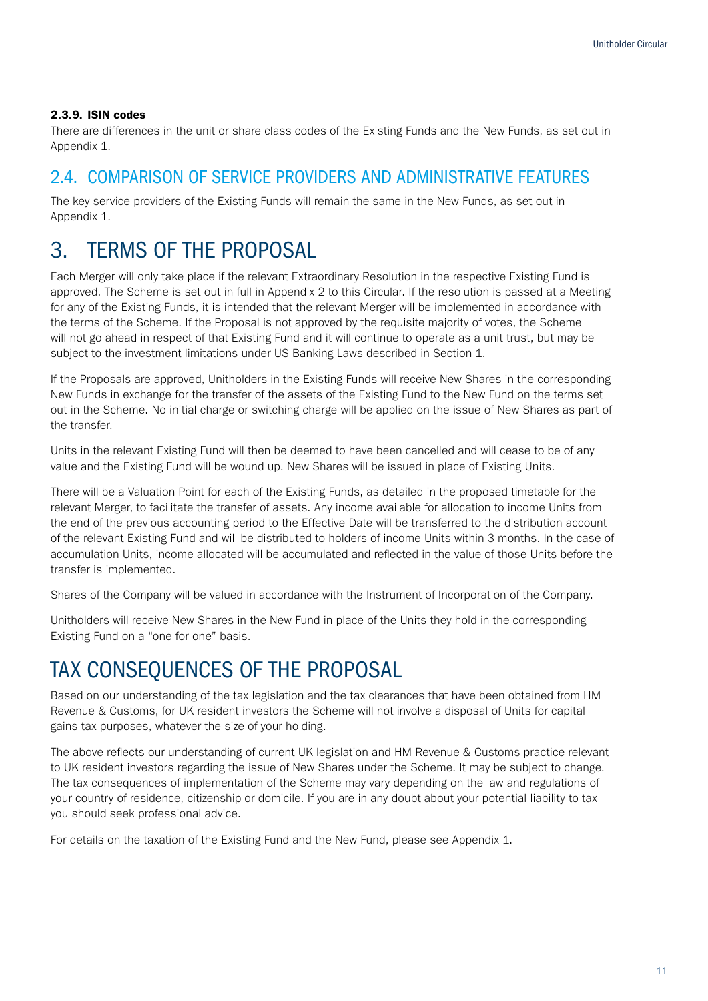### 2.3.9. ISIN codes

There are differences in the unit or share class codes of the Existing Funds and the New Funds, as set out in Appendix 1.

### 2.4. COMPARISON OF SERVICE PROVIDERS AND ADMINISTRATIVE FEATURES

The key service providers of the Existing Funds will remain the same in the New Funds, as set out in Appendix 1.

## 3. TERMS OF THE PROPOSAL

Each Merger will only take place if the relevant Extraordinary Resolution in the respective Existing Fund is approved. The Scheme is set out in full in Appendix 2 to this Circular. If the resolution is passed at a Meeting for any of the Existing Funds, it is intended that the relevant Merger will be implemented in accordance with the terms of the Scheme. If the Proposal is not approved by the requisite majority of votes, the Scheme will not go ahead in respect of that Existing Fund and it will continue to operate as a unit trust, but may be subject to the investment limitations under US Banking Laws described in Section 1.

If the Proposals are approved, Unitholders in the Existing Funds will receive New Shares in the corresponding New Funds in exchange for the transfer of the assets of the Existing Fund to the New Fund on the terms set out in the Scheme. No initial charge or switching charge will be applied on the issue of New Shares as part of the transfer.

Units in the relevant Existing Fund will then be deemed to have been cancelled and will cease to be of any value and the Existing Fund will be wound up. New Shares will be issued in place of Existing Units.

There will be a Valuation Point for each of the Existing Funds, as detailed in the proposed timetable for the relevant Merger, to facilitate the transfer of assets. Any income available for allocation to income Units from the end of the previous accounting period to the Effective Date will be transferred to the distribution account of the relevant Existing Fund and will be distributed to holders of income Units within 3 months. In the case of accumulation Units, income allocated will be accumulated and reflected in the value of those Units before the transfer is implemented.

Shares of the Company will be valued in accordance with the Instrument of Incorporation of the Company.

Unitholders will receive New Shares in the New Fund in place of the Units they hold in the corresponding Existing Fund on a "one for one" basis.

## TAX CONSEQUENCES OF THE PROPOSAL

Based on our understanding of the tax legislation and the tax clearances that have been obtained from HM Revenue & Customs, for UK resident investors the Scheme will not involve a disposal of Units for capital gains tax purposes, whatever the size of your holding.

The above reflects our understanding of current UK legislation and HM Revenue & Customs practice relevant to UK resident investors regarding the issue of New Shares under the Scheme. It may be subject to change. The tax consequences of implementation of the Scheme may vary depending on the law and regulations of your country of residence, citizenship or domicile. If you are in any doubt about your potential liability to tax you should seek professional advice.

For details on the taxation of the Existing Fund and the New Fund, please see Appendix 1.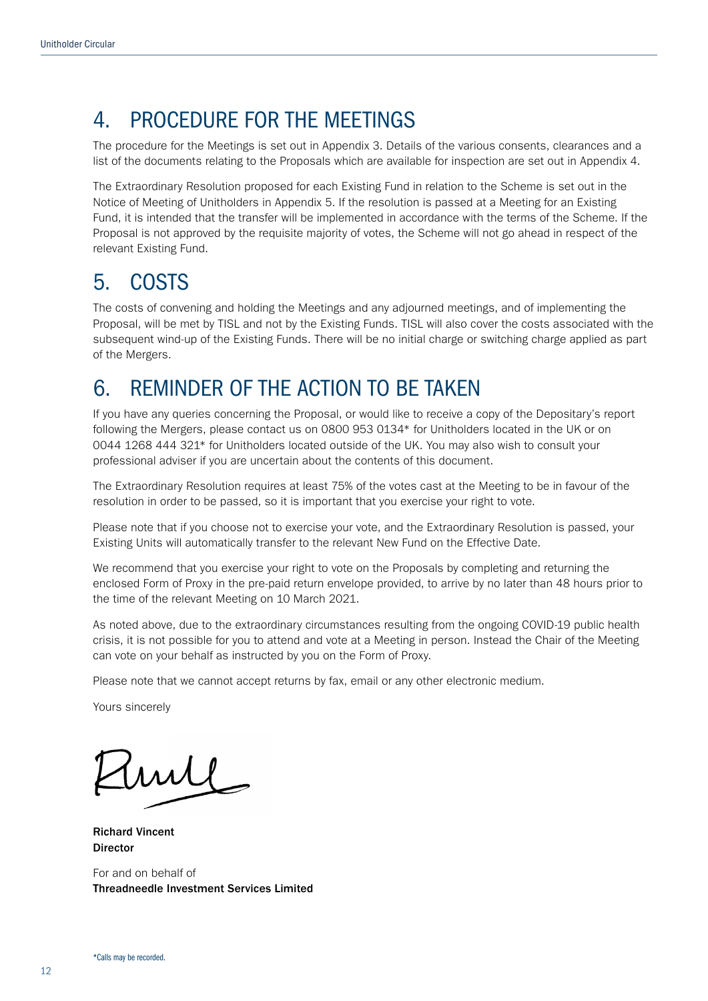## 4. PROCEDURE FOR THE MEETINGS

The procedure for the Meetings is set out in Appendix 3. Details of the various consents, clearances and a list of the documents relating to the Proposals which are available for inspection are set out in Appendix 4.

The Extraordinary Resolution proposed for each Existing Fund in relation to the Scheme is set out in the Notice of Meeting of Unitholders in Appendix 5. If the resolution is passed at a Meeting for an Existing Fund, it is intended that the transfer will be implemented in accordance with the terms of the Scheme. If the Proposal is not approved by the requisite majority of votes, the Scheme will not go ahead in respect of the relevant Existing Fund.

### 5. COSTS

The costs of convening and holding the Meetings and any adjourned meetings, and of implementing the Proposal, will be met by TISL and not by the Existing Funds. TISL will also cover the costs associated with the subsequent wind-up of the Existing Funds. There will be no initial charge or switching charge applied as part of the Mergers.

## 6. REMINDER OF THE ACTION TO BE TAKEN

If you have any queries concerning the Proposal, or would like to receive a copy of the Depositary's report following the Mergers, please contact us on 0800 953 0134\* for Unitholders located in the UK or on 0044 1268 444 321\* for Unitholders located outside of the UK. You may also wish to consult your professional adviser if you are uncertain about the contents of this document.

The Extraordinary Resolution requires at least 75% of the votes cast at the Meeting to be in favour of the resolution in order to be passed, so it is important that you exercise your right to vote.

Please note that if you choose not to exercise your vote, and the Extraordinary Resolution is passed, your Existing Units will automatically transfer to the relevant New Fund on the Effective Date.

We recommend that you exercise your right to vote on the Proposals by completing and returning the enclosed Form of Proxy in the pre-paid return envelope provided, to arrive by no later than 48 hours prior to the time of the relevant Meeting on 10 March 2021.

As noted above, due to the extraordinary circumstances resulting from the ongoing COVID-19 public health crisis, it is not possible for you to attend and vote at a Meeting in person. Instead the Chair of the Meeting can vote on your behalf as instructed by you on the Form of Proxy.

Please note that we cannot accept returns by fax, email or any other electronic medium.

Yours sincerely

mil

Richard Vincent Director

For and on behalf of Threadneedle Investment Services Limited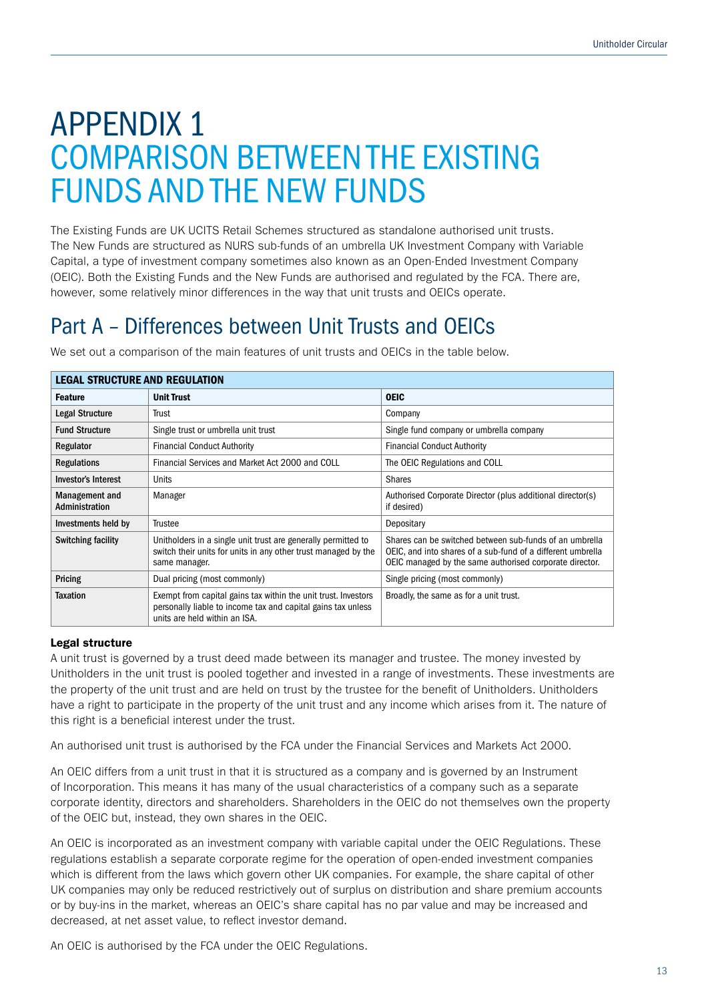# APPENDIX 1 COMPARISON BETWEEN THE EXISTING FUNDS AND THE NEW FUNDS

The Existing Funds are UK UCITS Retail Schemes structured as standalone authorised unit trusts. The New Funds are structured as NURS sub-funds of an umbrella UK Investment Company with Variable Capital, a type of investment company sometimes also known as an Open-Ended Investment Company (OEIC). Both the Existing Funds and the New Funds are authorised and regulated by the FCA. There are, however, some relatively minor differences in the way that unit trusts and OEICs operate.

## Part A – Differences between Unit Trusts and OEICs

| <b>LEGAL STRUCTURE AND REGULATION</b> |                                                                                                                                                                 |                                                                                                                                                                                   |  |
|---------------------------------------|-----------------------------------------------------------------------------------------------------------------------------------------------------------------|-----------------------------------------------------------------------------------------------------------------------------------------------------------------------------------|--|
| <b>Feature</b>                        | <b>Unit Trust</b>                                                                                                                                               | <b>OEIC</b>                                                                                                                                                                       |  |
| <b>Legal Structure</b>                | Trust                                                                                                                                                           | Company                                                                                                                                                                           |  |
| <b>Fund Structure</b>                 | Single trust or umbrella unit trust                                                                                                                             | Single fund company or umbrella company                                                                                                                                           |  |
| Regulator                             | <b>Financial Conduct Authority</b>                                                                                                                              | <b>Financial Conduct Authority</b>                                                                                                                                                |  |
| <b>Regulations</b>                    | Financial Services and Market Act 2000 and COLL                                                                                                                 | The OEIC Regulations and COLL                                                                                                                                                     |  |
| <b>Investor's Interest</b>            | Units                                                                                                                                                           | <b>Shares</b>                                                                                                                                                                     |  |
| Management and<br>Administration      | Manager                                                                                                                                                         | Authorised Corporate Director (plus additional director(s)<br>if desired)                                                                                                         |  |
| Investments held by                   | Trustee                                                                                                                                                         | Depositary                                                                                                                                                                        |  |
| <b>Switching facility</b>             | Unitholders in a single unit trust are generally permitted to<br>switch their units for units in any other trust managed by the<br>same manager.                | Shares can be switched between sub-funds of an umbrella<br>OEIC, and into shares of a sub-fund of a different umbrella<br>OEIC managed by the same authorised corporate director. |  |
| Pricing                               | Dual pricing (most commonly)                                                                                                                                    | Single pricing (most commonly)                                                                                                                                                    |  |
| <b>Taxation</b>                       | Exempt from capital gains tax within the unit trust. Investors<br>personally liable to income tax and capital gains tax unless<br>units are held within an ISA. | Broadly, the same as for a unit trust.                                                                                                                                            |  |

We set out a comparison of the main features of unit trusts and OEICs in the table below.

### Legal structure

A unit trust is governed by a trust deed made between its manager and trustee. The money invested by Unitholders in the unit trust is pooled together and invested in a range of investments. These investments are the property of the unit trust and are held on trust by the trustee for the benefit of Unitholders. Unitholders have a right to participate in the property of the unit trust and any income which arises from it. The nature of this right is a beneficial interest under the trust.

An authorised unit trust is authorised by the FCA under the Financial Services and Markets Act 2000.

An OEIC differs from a unit trust in that it is structured as a company and is governed by an Instrument of Incorporation. This means it has many of the usual characteristics of a company such as a separate corporate identity, directors and shareholders. Shareholders in the OEIC do not themselves own the property of the OEIC but, instead, they own shares in the OEIC.

An OEIC is incorporated as an investment company with variable capital under the OEIC Regulations. These regulations establish a separate corporate regime for the operation of open-ended investment companies which is different from the laws which govern other UK companies. For example, the share capital of other UK companies may only be reduced restrictively out of surplus on distribution and share premium accounts or by buy-ins in the market, whereas an OEIC's share capital has no par value and may be increased and decreased, at net asset value, to reflect investor demand.

An OEIC is authorised by the FCA under the OEIC Regulations.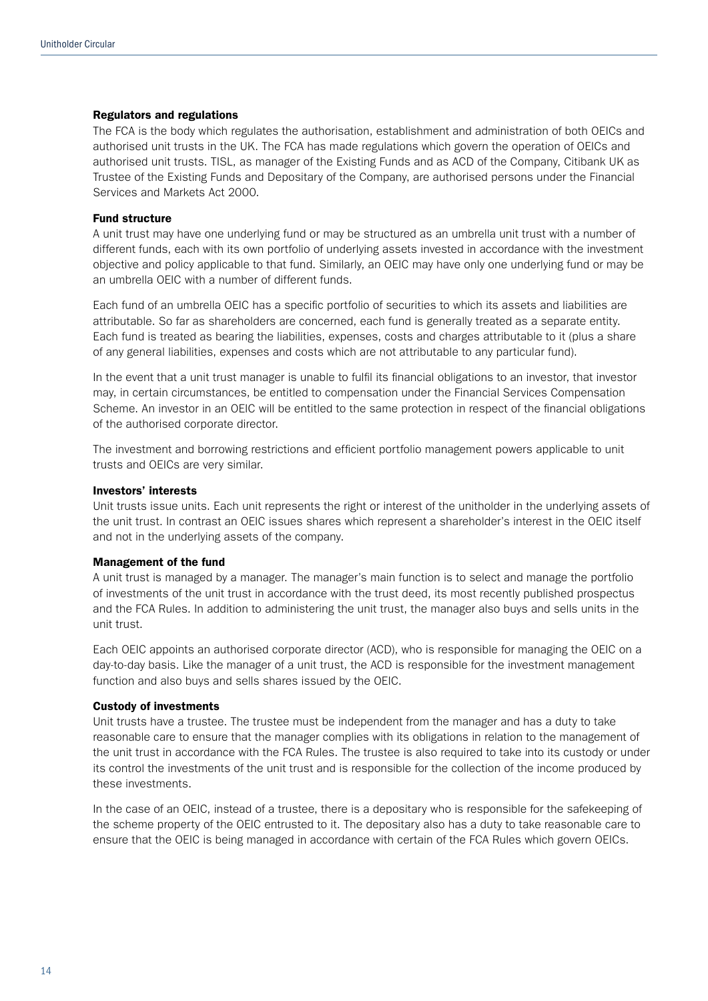#### Regulators and regulations

The FCA is the body which regulates the authorisation, establishment and administration of both OEICs and authorised unit trusts in the UK. The FCA has made regulations which govern the operation of OEICs and authorised unit trusts. TISL, as manager of the Existing Funds and as ACD of the Company, Citibank UK as Trustee of the Existing Funds and Depositary of the Company, are authorised persons under the Financial Services and Markets Act 2000.

#### Fund structure

A unit trust may have one underlying fund or may be structured as an umbrella unit trust with a number of different funds, each with its own portfolio of underlying assets invested in accordance with the investment objective and policy applicable to that fund. Similarly, an OEIC may have only one underlying fund or may be an umbrella OEIC with a number of different funds.

Each fund of an umbrella OEIC has a specific portfolio of securities to which its assets and liabilities are attributable. So far as shareholders are concerned, each fund is generally treated as a separate entity. Each fund is treated as bearing the liabilities, expenses, costs and charges attributable to it (plus a share of any general liabilities, expenses and costs which are not attributable to any particular fund).

In the event that a unit trust manager is unable to fulfil its financial obligations to an investor, that investor may, in certain circumstances, be entitled to compensation under the Financial Services Compensation Scheme. An investor in an OEIC will be entitled to the same protection in respect of the financial obligations of the authorised corporate director.

The investment and borrowing restrictions and efficient portfolio management powers applicable to unit trusts and OEICs are very similar.

#### Investors' interests

Unit trusts issue units. Each unit represents the right or interest of the unitholder in the underlying assets of the unit trust. In contrast an OEIC issues shares which represent a shareholder's interest in the OEIC itself and not in the underlying assets of the company.

### Management of the fund

A unit trust is managed by a manager. The manager's main function is to select and manage the portfolio of investments of the unit trust in accordance with the trust deed, its most recently published prospectus and the FCA Rules. In addition to administering the unit trust, the manager also buys and sells units in the unit trust.

Each OEIC appoints an authorised corporate director (ACD), who is responsible for managing the OEIC on a day-to-day basis. Like the manager of a unit trust, the ACD is responsible for the investment management function and also buys and sells shares issued by the OEIC.

#### Custody of investments

Unit trusts have a trustee. The trustee must be independent from the manager and has a duty to take reasonable care to ensure that the manager complies with its obligations in relation to the management of the unit trust in accordance with the FCA Rules. The trustee is also required to take into its custody or under its control the investments of the unit trust and is responsible for the collection of the income produced by these investments.

In the case of an OEIC, instead of a trustee, there is a depositary who is responsible for the safekeeping of the scheme property of the OEIC entrusted to it. The depositary also has a duty to take reasonable care to ensure that the OEIC is being managed in accordance with certain of the FCA Rules which govern OEICs.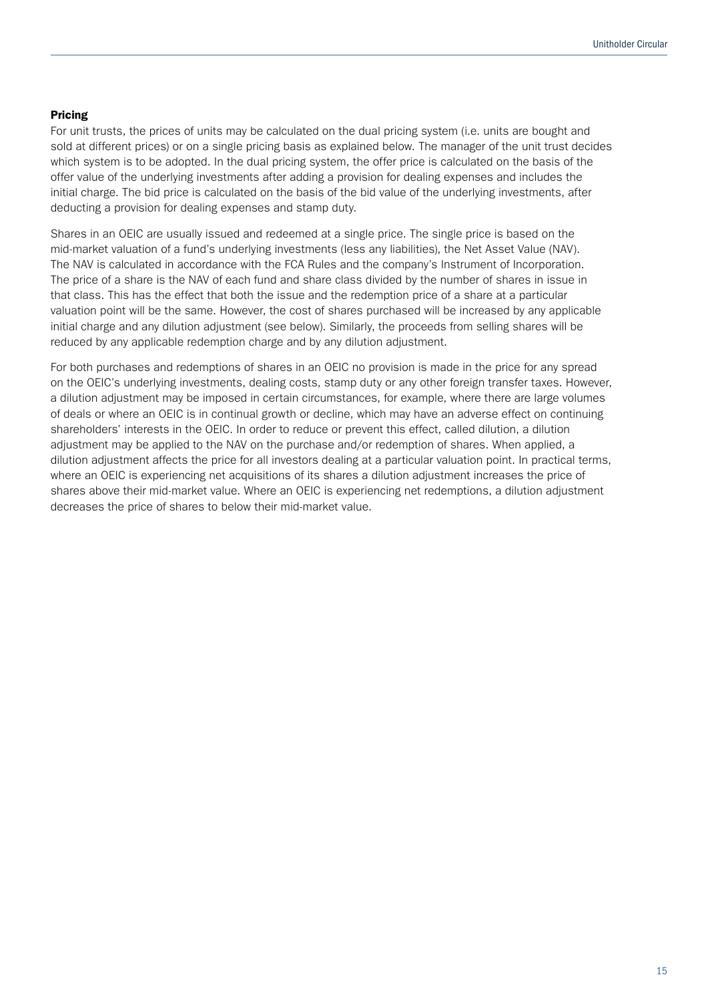### Pricing

For unit trusts, the prices of units may be calculated on the dual pricing system (i.e. units are bought and sold at different prices) or on a single pricing basis as explained below. The manager of the unit trust decides which system is to be adopted. In the dual pricing system, the offer price is calculated on the basis of the offer value of the underlying investments after adding a provision for dealing expenses and includes the initial charge. The bid price is calculated on the basis of the bid value of the underlying investments, after deducting a provision for dealing expenses and stamp duty.

Shares in an OEIC are usually issued and redeemed at a single price. The single price is based on the mid-market valuation of a fund's underlying investments (less any liabilities), the Net Asset Value (NAV). The NAV is calculated in accordance with the FCA Rules and the company's Instrument of Incorporation. The price of a share is the NAV of each fund and share class divided by the number of shares in issue in that class. This has the effect that both the issue and the redemption price of a share at a particular valuation point will be the same. However, the cost of shares purchased will be increased by any applicable initial charge and any dilution adjustment (see below). Similarly, the proceeds from selling shares will be reduced by any applicable redemption charge and by any dilution adjustment.

For both purchases and redemptions of shares in an OEIC no provision is made in the price for any spread on the OEIC's underlying investments, dealing costs, stamp duty or any other foreign transfer taxes. However, a dilution adjustment may be imposed in certain circumstances, for example, where there are large volumes of deals or where an OEIC is in continual growth or decline, which may have an adverse effect on continuing shareholders' interests in the OEIC. In order to reduce or prevent this effect, called dilution, a dilution adjustment may be applied to the NAV on the purchase and/or redemption of shares. When applied, a dilution adjustment affects the price for all investors dealing at a particular valuation point. In practical terms, where an OEIC is experiencing net acquisitions of its shares a dilution adjustment increases the price of shares above their mid-market value. Where an OEIC is experiencing net redemptions, a dilution adjustment decreases the price of shares to below their mid-market value.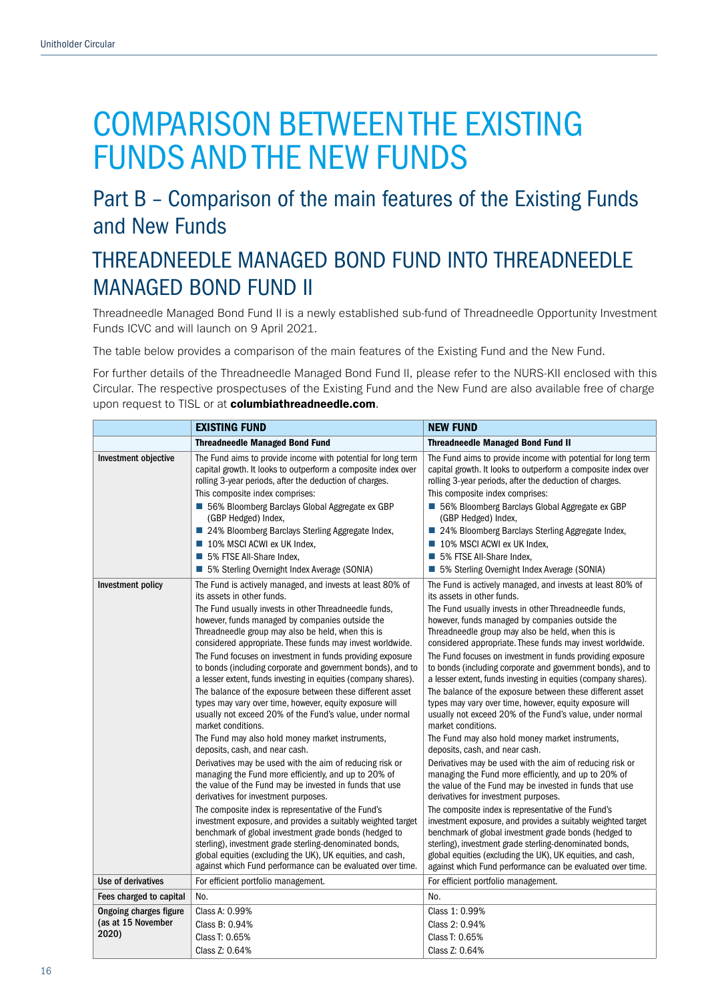# COMPARISON BETWEEN THE EXISTING FUNDS AND THE NEW FUNDS

## Part B – Comparison of the main features of the Existing Funds and New Funds

## THREADNEEDLE MANAGED BOND FUND INTO THREADNEEDLE MANAGED BOND FUND II

Threadneedle Managed Bond Fund II is a newly established sub-fund of Threadneedle Opportunity Investment Funds ICVC and will launch on 9 April 2021.

The table below provides a comparison of the main features of the Existing Fund and the New Fund.

For further details of the Threadneedle Managed Bond Fund II, please refer to the NURS-KII enclosed with this Circular. The respective prospectuses of the Existing Fund and the New Fund are also available free of charge upon request to TISL or at columbiathreadneedle.com.

|                             | <b>EXISTING FUND</b>                                                                                                                                                                                                                                                                                                                                                | <b>NEW FUND</b>                                                                                                                                                                                                                                                                                                                                                     |
|-----------------------------|---------------------------------------------------------------------------------------------------------------------------------------------------------------------------------------------------------------------------------------------------------------------------------------------------------------------------------------------------------------------|---------------------------------------------------------------------------------------------------------------------------------------------------------------------------------------------------------------------------------------------------------------------------------------------------------------------------------------------------------------------|
|                             | <b>Threadneedle Managed Bond Fund</b>                                                                                                                                                                                                                                                                                                                               | <b>Threadneedle Managed Bond Fund II</b>                                                                                                                                                                                                                                                                                                                            |
| Investment objective        | The Fund aims to provide income with potential for long term<br>capital growth. It looks to outperform a composite index over<br>rolling 3-year periods, after the deduction of charges.                                                                                                                                                                            | The Fund aims to provide income with potential for long term<br>capital growth. It looks to outperform a composite index over<br>rolling 3-year periods, after the deduction of charges.                                                                                                                                                                            |
|                             | This composite index comprises:<br>■ 56% Bloomberg Barclays Global Aggregate ex GBP<br>(GBP Hedged) Index,                                                                                                                                                                                                                                                          | This composite index comprises:<br>■ 56% Bloomberg Barclays Global Aggregate ex GBP<br>(GBP Hedged) Index,                                                                                                                                                                                                                                                          |
|                             | ■ 24% Bloomberg Barclays Sterling Aggregate Index,<br>10% MSCI ACWI ex UK Index,<br>5% FTSE All-Share Index,<br>■ 5% Sterling Overnight Index Average (SONIA)                                                                                                                                                                                                       | ■ 24% Bloomberg Barclays Sterling Aggregate Index,<br>10% MSCI ACWI ex UK Index,<br>5% FTSE All-Share Index,<br>■ 5% Sterling Overnight Index Average (SONIA)                                                                                                                                                                                                       |
| Investment policy           | The Fund is actively managed, and invests at least 80% of<br>its assets in other funds.                                                                                                                                                                                                                                                                             | The Fund is actively managed, and invests at least 80% of<br>its assets in other funds.                                                                                                                                                                                                                                                                             |
|                             | The Fund usually invests in other Threadneedle funds,<br>however, funds managed by companies outside the<br>Threadneedle group may also be held, when this is<br>considered appropriate. These funds may invest worldwide.                                                                                                                                          | The Fund usually invests in other Threadneedle funds,<br>however, funds managed by companies outside the<br>Threadneedle group may also be held, when this is<br>considered appropriate. These funds may invest worldwide.                                                                                                                                          |
|                             | The Fund focuses on investment in funds providing exposure<br>to bonds (including corporate and government bonds), and to<br>a lesser extent, funds investing in equities (company shares).<br>The balance of the exposure between these different asset                                                                                                            | The Fund focuses on investment in funds providing exposure<br>to bonds (including corporate and government bonds), and to<br>a lesser extent, funds investing in equities (company shares).                                                                                                                                                                         |
|                             | types may vary over time, however, equity exposure will<br>usually not exceed 20% of the Fund's value, under normal<br>market conditions.                                                                                                                                                                                                                           | The balance of the exposure between these different asset<br>types may vary over time, however, equity exposure will<br>usually not exceed 20% of the Fund's value, under normal<br>market conditions.                                                                                                                                                              |
|                             | The Fund may also hold money market instruments,<br>deposits, cash, and near cash.                                                                                                                                                                                                                                                                                  | The Fund may also hold money market instruments,<br>deposits, cash, and near cash.                                                                                                                                                                                                                                                                                  |
|                             | Derivatives may be used with the aim of reducing risk or<br>managing the Fund more efficiently, and up to 20% of<br>the value of the Fund may be invested in funds that use<br>derivatives for investment purposes.                                                                                                                                                 | Derivatives may be used with the aim of reducing risk or<br>managing the Fund more efficiently, and up to 20% of<br>the value of the Fund may be invested in funds that use<br>derivatives for investment purposes.                                                                                                                                                 |
|                             | The composite index is representative of the Fund's<br>investment exposure, and provides a suitably weighted target<br>benchmark of global investment grade bonds (hedged to<br>sterling), investment grade sterling-denominated bonds,<br>global equities (excluding the UK), UK equities, and cash,<br>against which Fund performance can be evaluated over time. | The composite index is representative of the Fund's<br>investment exposure, and provides a suitably weighted target<br>benchmark of global investment grade bonds (hedged to<br>sterling), investment grade sterling-denominated bonds,<br>global equities (excluding the UK), UK equities, and cash,<br>against which Fund performance can be evaluated over time. |
| Use of derivatives          | For efficient portfolio management.                                                                                                                                                                                                                                                                                                                                 | For efficient portfolio management.                                                                                                                                                                                                                                                                                                                                 |
| Fees charged to capital     | No.                                                                                                                                                                                                                                                                                                                                                                 | No.                                                                                                                                                                                                                                                                                                                                                                 |
| Ongoing charges figure      | Class A: 0.99%                                                                                                                                                                                                                                                                                                                                                      | Class 1: 0.99%                                                                                                                                                                                                                                                                                                                                                      |
| (as at 15 November<br>2020) | Class B: 0.94%                                                                                                                                                                                                                                                                                                                                                      | Class 2: 0.94%                                                                                                                                                                                                                                                                                                                                                      |
|                             | Class T: 0.65%<br>Class Z: 0.64%                                                                                                                                                                                                                                                                                                                                    | Class T: 0.65%<br>Class Z: 0.64%                                                                                                                                                                                                                                                                                                                                    |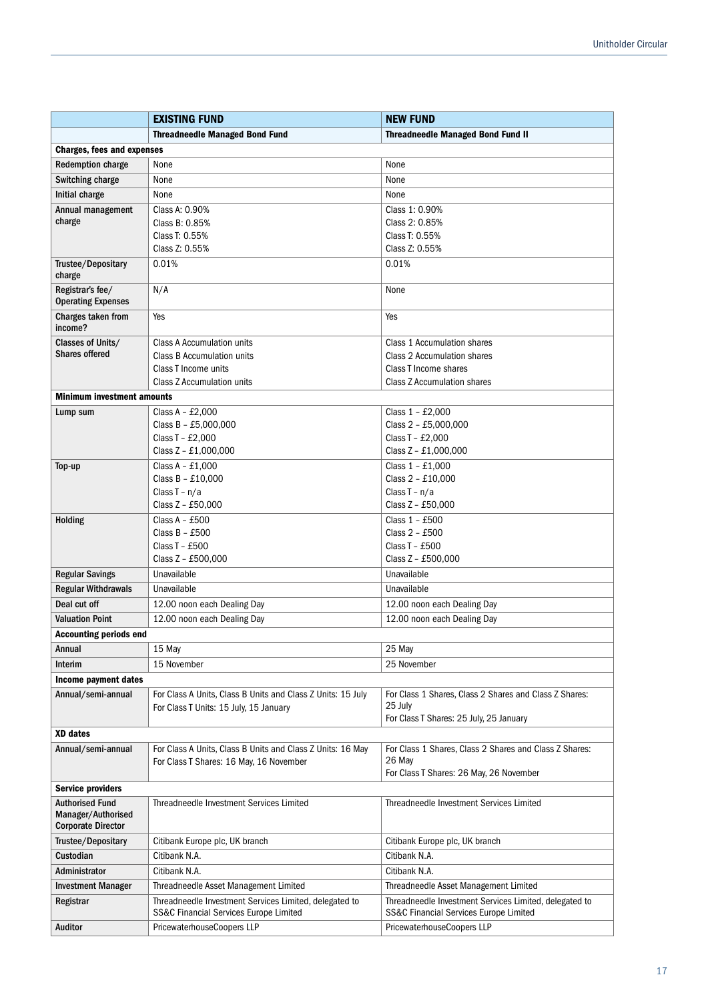|                                                                           | <b>EXISTING FUND</b>                                                                                        | <b>NEW FUND</b>                                                                                             |  |
|---------------------------------------------------------------------------|-------------------------------------------------------------------------------------------------------------|-------------------------------------------------------------------------------------------------------------|--|
|                                                                           | <b>Threadneedle Managed Bond Fund</b>                                                                       | <b>Threadneedle Managed Bond Fund II</b>                                                                    |  |
| <b>Charges, fees and expenses</b>                                         |                                                                                                             |                                                                                                             |  |
| <b>Redemption charge</b>                                                  | None                                                                                                        | None                                                                                                        |  |
| Switching charge                                                          | None                                                                                                        | None                                                                                                        |  |
| Initial charge                                                            | None                                                                                                        | None                                                                                                        |  |
| Annual management                                                         | Class A: 0.90%                                                                                              | Class 1: 0.90%                                                                                              |  |
| charge                                                                    | Class B: 0.85%                                                                                              | Class 2: 0.85%                                                                                              |  |
|                                                                           | Class T: 0.55%                                                                                              | Class T: 0.55%                                                                                              |  |
|                                                                           | Class Z: 0.55%                                                                                              | Class Z: 0.55%                                                                                              |  |
| Trustee/Depositary<br>charge                                              | 0.01%                                                                                                       | 0.01%                                                                                                       |  |
| Registrar's fee/<br><b>Operating Expenses</b>                             | N/A                                                                                                         | None                                                                                                        |  |
| Charges taken from<br>income?                                             | Yes                                                                                                         | Yes                                                                                                         |  |
| Classes of Units/                                                         | <b>Class A Accumulation units</b>                                                                           | <b>Class 1 Accumulation shares</b>                                                                          |  |
| <b>Shares offered</b>                                                     | Class B Accumulation units                                                                                  | Class 2 Accumulation shares                                                                                 |  |
|                                                                           | Class T Income units                                                                                        | Class T Income shares                                                                                       |  |
|                                                                           | Class Z Accumulation units                                                                                  | Class Z Accumulation shares                                                                                 |  |
| <b>Minimum investment amounts</b>                                         |                                                                                                             |                                                                                                             |  |
| Lump sum                                                                  | Class A - $£2,000$                                                                                          | Class 1 - £2,000                                                                                            |  |
|                                                                           | Class B - £5,000,000                                                                                        | Class 2 - £5,000,000                                                                                        |  |
|                                                                           | Class T - £2,000                                                                                            | Class T - £2,000                                                                                            |  |
|                                                                           | Class Z - £1,000,000                                                                                        | Class Z - £1,000,000                                                                                        |  |
| Top-up                                                                    | Class $A - £1,000$<br>Class B - £10,000                                                                     | Class $1 - £1,000$<br>Class 2 - £10,000                                                                     |  |
|                                                                           | Class $T - n/a$                                                                                             | Class $T - n/a$                                                                                             |  |
|                                                                           | Class Z - £50,000                                                                                           | Class Z - £50,000                                                                                           |  |
| Holding                                                                   | Class $A - £500$                                                                                            | Class 1 - £500                                                                                              |  |
|                                                                           | Class $B - £500$                                                                                            | Class 2 - £500                                                                                              |  |
|                                                                           | Class $T - £500$                                                                                            | Class $T - £500$                                                                                            |  |
|                                                                           | Class Z - £500,000                                                                                          | Class Z - £500,000                                                                                          |  |
| <b>Regular Savings</b>                                                    | Unavailable                                                                                                 | Unavailable                                                                                                 |  |
| <b>Regular Withdrawals</b>                                                | Unavailable                                                                                                 | Unavailable                                                                                                 |  |
| Deal cut off                                                              | 12.00 noon each Dealing Day                                                                                 | 12.00 noon each Dealing Day                                                                                 |  |
| <b>Valuation Point</b>                                                    | 12.00 noon each Dealing Day                                                                                 | 12.00 noon each Dealing Day                                                                                 |  |
| <b>Accounting periods end</b>                                             |                                                                                                             |                                                                                                             |  |
| Annual                                                                    | 15 May                                                                                                      | 25 May                                                                                                      |  |
| Interim                                                                   | 15 November                                                                                                 | 25 November                                                                                                 |  |
| Income payment dates                                                      |                                                                                                             |                                                                                                             |  |
| Annual/semi-annual                                                        | For Class A Units, Class B Units and Class Z Units: 15 July                                                 | For Class 1 Shares, Class 2 Shares and Class Z Shares:                                                      |  |
|                                                                           | For Class T Units: 15 July, 15 January                                                                      | 25 July                                                                                                     |  |
|                                                                           |                                                                                                             | For Class T Shares: 25 July, 25 January                                                                     |  |
| <b>XD</b> dates                                                           |                                                                                                             |                                                                                                             |  |
| Annual/semi-annual                                                        | For Class A Units, Class B Units and Class Z Units: 16 May                                                  | For Class 1 Shares, Class 2 Shares and Class Z Shares:                                                      |  |
|                                                                           | For Class T Shares: 16 May, 16 November                                                                     | 26 May                                                                                                      |  |
|                                                                           |                                                                                                             | For Class T Shares: 26 May, 26 November                                                                     |  |
| <b>Service providers</b>                                                  |                                                                                                             |                                                                                                             |  |
| <b>Authorised Fund</b><br>Manager/Authorised<br><b>Corporate Director</b> | Threadneedle Investment Services Limited                                                                    | Threadneedle Investment Services Limited                                                                    |  |
| Trustee/Depositary                                                        | Citibank Europe plc, UK branch                                                                              | Citibank Europe plc, UK branch                                                                              |  |
| Custodian                                                                 | Citibank N.A.                                                                                               | Citibank N.A.                                                                                               |  |
| Administrator                                                             | Citibank N.A.                                                                                               | Citibank N.A.                                                                                               |  |
| <b>Investment Manager</b>                                                 | Threadneedle Asset Management Limited                                                                       | Threadneedle Asset Management Limited                                                                       |  |
| Registrar                                                                 | Threadneedle Investment Services Limited, delegated to<br><b>SS&amp;C Financial Services Europe Limited</b> | Threadneedle Investment Services Limited, delegated to<br><b>SS&amp;C Financial Services Europe Limited</b> |  |
| Auditor                                                                   | PricewaterhouseCoopers LLP                                                                                  | PricewaterhouseCoopers LLP                                                                                  |  |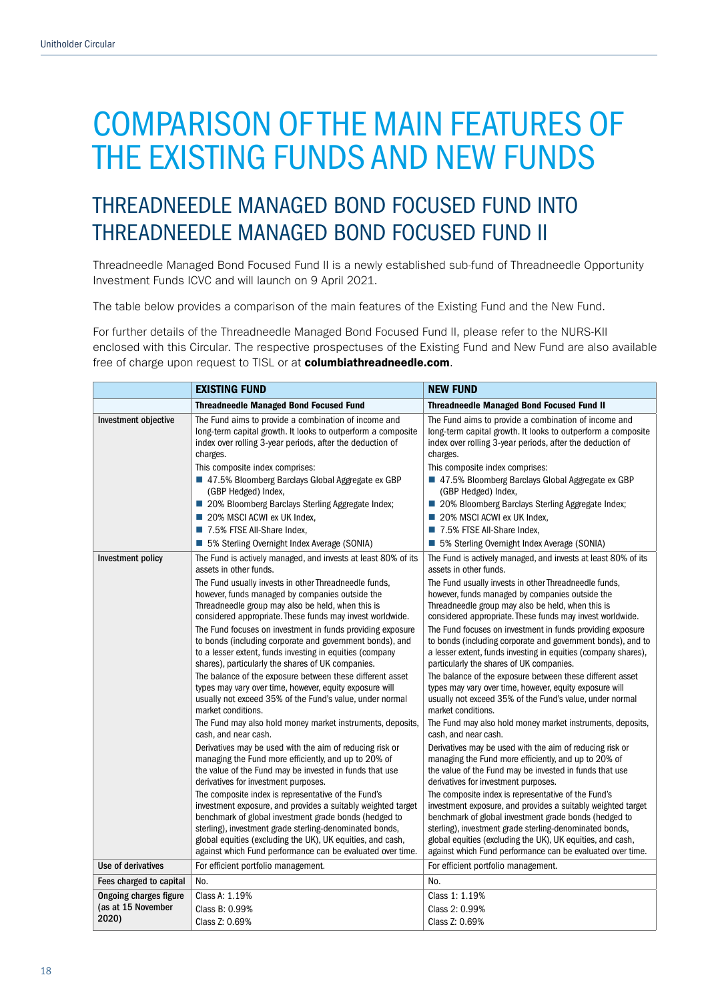## THREADNEEDLE MANAGED BOND FOCUSED FUND INTO THREADNEEDLE MANAGED BOND FOCUSED FUND II

Threadneedle Managed Bond Focused Fund II is a newly established sub-fund of Threadneedle Opportunity Investment Funds ICVC and will launch on 9 April 2021.

The table below provides a comparison of the main features of the Existing Fund and the New Fund.

For further details of the Threadneedle Managed Bond Focused Fund II, please refer to the NURS-KII enclosed with this Circular. The respective prospectuses of the Existing Fund and New Fund are also available free of charge upon request to TISL or at columbiathreadneedle.com.

|                                                              | <b>EXISTING FUND</b>                                                                                                                                                                                                                                                                                                                                                                                                                                                                                                                                                                                                                                                                                                                                                                                                                                                                                                                                                                                                                                                                                                                                                                                                                                                                                                                                                                                                                                           | <b>NEW FUND</b>                                                                                                                                                                                                                                                                                                                                                                                                                                                                                                                                                                                                                                                                                                                                                                                                                                                                                                                                                                                                                                                                                                                                                                                                                                                                                                                                                                                                                                                |
|--------------------------------------------------------------|----------------------------------------------------------------------------------------------------------------------------------------------------------------------------------------------------------------------------------------------------------------------------------------------------------------------------------------------------------------------------------------------------------------------------------------------------------------------------------------------------------------------------------------------------------------------------------------------------------------------------------------------------------------------------------------------------------------------------------------------------------------------------------------------------------------------------------------------------------------------------------------------------------------------------------------------------------------------------------------------------------------------------------------------------------------------------------------------------------------------------------------------------------------------------------------------------------------------------------------------------------------------------------------------------------------------------------------------------------------------------------------------------------------------------------------------------------------|----------------------------------------------------------------------------------------------------------------------------------------------------------------------------------------------------------------------------------------------------------------------------------------------------------------------------------------------------------------------------------------------------------------------------------------------------------------------------------------------------------------------------------------------------------------------------------------------------------------------------------------------------------------------------------------------------------------------------------------------------------------------------------------------------------------------------------------------------------------------------------------------------------------------------------------------------------------------------------------------------------------------------------------------------------------------------------------------------------------------------------------------------------------------------------------------------------------------------------------------------------------------------------------------------------------------------------------------------------------------------------------------------------------------------------------------------------------|
|                                                              | <b>Threadneedle Managed Bond Focused Fund</b>                                                                                                                                                                                                                                                                                                                                                                                                                                                                                                                                                                                                                                                                                                                                                                                                                                                                                                                                                                                                                                                                                                                                                                                                                                                                                                                                                                                                                  | <b>Threadneedle Managed Bond Focused Fund II</b>                                                                                                                                                                                                                                                                                                                                                                                                                                                                                                                                                                                                                                                                                                                                                                                                                                                                                                                                                                                                                                                                                                                                                                                                                                                                                                                                                                                                               |
| Investment objective                                         | The Fund aims to provide a combination of income and<br>long-term capital growth. It looks to outperform a composite<br>index over rolling 3-year periods, after the deduction of<br>charges.<br>This composite index comprises:<br>■ 47.5% Bloomberg Barclays Global Aggregate ex GBP<br>(GBP Hedged) Index,<br>■ 20% Bloomberg Barclays Sterling Aggregate Index;<br>20% MSCI ACWI ex UK Index,<br>7.5% FTSE All-Share Index.<br>■ 5% Sterling Overnight Index Average (SONIA)                                                                                                                                                                                                                                                                                                                                                                                                                                                                                                                                                                                                                                                                                                                                                                                                                                                                                                                                                                               | The Fund aims to provide a combination of income and<br>long-term capital growth. It looks to outperform a composite<br>index over rolling 3-year periods, after the deduction of<br>charges.<br>This composite index comprises:<br>■ 47.5% Bloomberg Barclays Global Aggregate ex GBP<br>(GBP Hedged) Index,<br>■ 20% Bloomberg Barclays Sterling Aggregate Index;<br>20% MSCI ACWI ex UK Index,<br>7.5% FTSE All-Share Index.<br>■ 5% Sterling Overnight Index Average (SONIA)                                                                                                                                                                                                                                                                                                                                                                                                                                                                                                                                                                                                                                                                                                                                                                                                                                                                                                                                                                               |
| Investment policy                                            | The Fund is actively managed, and invests at least 80% of its<br>assets in other funds.<br>The Fund usually invests in other Threadneedle funds,<br>however, funds managed by companies outside the<br>Threadneedle group may also be held, when this is<br>considered appropriate. These funds may invest worldwide.<br>The Fund focuses on investment in funds providing exposure<br>to bonds (including corporate and government bonds), and<br>to a lesser extent, funds investing in equities (company<br>shares), particularly the shares of UK companies.<br>The balance of the exposure between these different asset<br>types may vary over time, however, equity exposure will<br>usually not exceed 35% of the Fund's value, under normal<br>market conditions.<br>The Fund may also hold money market instruments, deposits,<br>cash, and near cash.<br>Derivatives may be used with the aim of reducing risk or<br>managing the Fund more efficiently, and up to 20% of<br>the value of the Fund may be invested in funds that use<br>derivatives for investment purposes.<br>The composite index is representative of the Fund's<br>investment exposure, and provides a suitably weighted target<br>benchmark of global investment grade bonds (hedged to<br>sterling), investment grade sterling-denominated bonds,<br>global equities (excluding the UK), UK equities, and cash,<br>against which Fund performance can be evaluated over time. | The Fund is actively managed, and invests at least 80% of its<br>assets in other funds.<br>The Fund usually invests in other Threadneedle funds,<br>however, funds managed by companies outside the<br>Threadneedle group may also be held, when this is<br>considered appropriate. These funds may invest worldwide.<br>The Fund focuses on investment in funds providing exposure<br>to bonds (including corporate and government bonds), and to<br>a lesser extent, funds investing in equities (company shares),<br>particularly the shares of UK companies.<br>The balance of the exposure between these different asset<br>types may vary over time, however, equity exposure will<br>usually not exceed 35% of the Fund's value, under normal<br>market conditions.<br>The Fund may also hold money market instruments, deposits,<br>cash, and near cash.<br>Derivatives may be used with the aim of reducing risk or<br>managing the Fund more efficiently, and up to 20% of<br>the value of the Fund may be invested in funds that use<br>derivatives for investment purposes.<br>The composite index is representative of the Fund's<br>investment exposure, and provides a suitably weighted target<br>benchmark of global investment grade bonds (hedged to<br>sterling), investment grade sterling-denominated bonds,<br>global equities (excluding the UK), UK equities, and cash,<br>against which Fund performance can be evaluated over time. |
| Use of derivatives                                           | For efficient portfolio management.                                                                                                                                                                                                                                                                                                                                                                                                                                                                                                                                                                                                                                                                                                                                                                                                                                                                                                                                                                                                                                                                                                                                                                                                                                                                                                                                                                                                                            | For efficient portfolio management.                                                                                                                                                                                                                                                                                                                                                                                                                                                                                                                                                                                                                                                                                                                                                                                                                                                                                                                                                                                                                                                                                                                                                                                                                                                                                                                                                                                                                            |
| Fees charged to capital                                      | No.                                                                                                                                                                                                                                                                                                                                                                                                                                                                                                                                                                                                                                                                                                                                                                                                                                                                                                                                                                                                                                                                                                                                                                                                                                                                                                                                                                                                                                                            | No.                                                                                                                                                                                                                                                                                                                                                                                                                                                                                                                                                                                                                                                                                                                                                                                                                                                                                                                                                                                                                                                                                                                                                                                                                                                                                                                                                                                                                                                            |
| <b>Ongoing charges figure</b><br>(as at 15 November<br>2020) | Class A: 1.19%<br>Class B: 0.99%<br>Class Z: 0.69%                                                                                                                                                                                                                                                                                                                                                                                                                                                                                                                                                                                                                                                                                                                                                                                                                                                                                                                                                                                                                                                                                                                                                                                                                                                                                                                                                                                                             | Class 1: 1.19%<br>Class 2: 0.99%<br>Class Z: 0.69%                                                                                                                                                                                                                                                                                                                                                                                                                                                                                                                                                                                                                                                                                                                                                                                                                                                                                                                                                                                                                                                                                                                                                                                                                                                                                                                                                                                                             |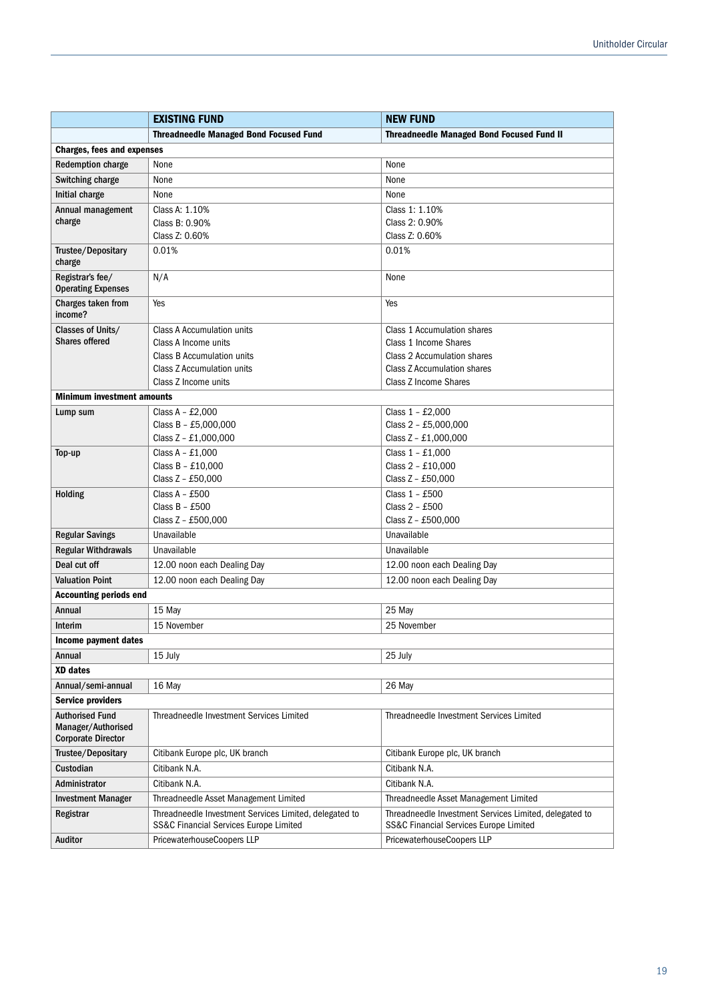|                                                 | <b>EXISTING FUND</b>                                                                                                                                                                                            | <b>NEW FUND</b>                                                    |  |
|-------------------------------------------------|-----------------------------------------------------------------------------------------------------------------------------------------------------------------------------------------------------------------|--------------------------------------------------------------------|--|
|                                                 | <b>Threadneedle Managed Bond Focused Fund</b><br><b>Threadneedle Managed Bond Focused Fund II</b>                                                                                                               |                                                                    |  |
| <b>Charges, fees and expenses</b>               |                                                                                                                                                                                                                 |                                                                    |  |
| <b>Redemption charge</b>                        | None<br>None                                                                                                                                                                                                    |                                                                    |  |
| Switching charge                                | None                                                                                                                                                                                                            | None                                                               |  |
| Initial charge                                  | None                                                                                                                                                                                                            | None                                                               |  |
| Annual management                               | Class A: 1.10%                                                                                                                                                                                                  | Class 1: 1.10%                                                     |  |
| charge                                          | Class B: 0.90%                                                                                                                                                                                                  | Class 2: 0.90%                                                     |  |
|                                                 | Class Z: 0.60%                                                                                                                                                                                                  | Class Z: 0.60%                                                     |  |
| Trustee/Depositary<br>charge                    | 0.01%                                                                                                                                                                                                           | 0.01%                                                              |  |
| Registrar's fee/<br><b>Operating Expenses</b>   | N/A                                                                                                                                                                                                             | None                                                               |  |
| Charges taken from<br>income?                   | Yes                                                                                                                                                                                                             | Yes                                                                |  |
| Classes of Units/                               | <b>Class A Accumulation units</b>                                                                                                                                                                               | Class 1 Accumulation shares                                        |  |
| <b>Shares offered</b>                           | Class A Income units                                                                                                                                                                                            | Class 1 Income Shares                                              |  |
|                                                 | Class B Accumulation units                                                                                                                                                                                      | Class 2 Accumulation shares                                        |  |
|                                                 | Class Z Accumulation units<br>Class Z Income units                                                                                                                                                              | <b>Class Z Accumulation shares</b><br><b>Class Z Income Shares</b> |  |
| <b>Minimum investment amounts</b>               |                                                                                                                                                                                                                 |                                                                    |  |
|                                                 | Class $A - £2,000$                                                                                                                                                                                              | Class 1 - £2,000                                                   |  |
| Lump sum                                        | Class B - £5,000,000                                                                                                                                                                                            | Class 2 - £5,000,000                                               |  |
|                                                 | Class Z - £1,000,000                                                                                                                                                                                            | Class Z - £1,000,000                                               |  |
| Top-up                                          | Class $A - £1,000$                                                                                                                                                                                              | Class 1 - £1,000                                                   |  |
|                                                 | Class B - £10,000                                                                                                                                                                                               | Class 2 - £10,000                                                  |  |
|                                                 | Class Z - £50,000                                                                                                                                                                                               | Class Z - £50,000                                                  |  |
| <b>Holding</b>                                  | Class $A - £500$                                                                                                                                                                                                | Class 1 - £500                                                     |  |
|                                                 | Class $B - £500$                                                                                                                                                                                                | Class 2 - £500                                                     |  |
|                                                 | Class Z - £500,000                                                                                                                                                                                              | Class Z - £500,000                                                 |  |
| <b>Regular Savings</b>                          | Unavailable                                                                                                                                                                                                     | Unavailable                                                        |  |
| <b>Regular Withdrawals</b>                      | Unavailable                                                                                                                                                                                                     | Unavailable                                                        |  |
| Deal cut off                                    | 12.00 noon each Dealing Day                                                                                                                                                                                     | 12.00 noon each Dealing Day                                        |  |
| <b>Valuation Point</b>                          | 12.00 noon each Dealing Day                                                                                                                                                                                     | 12.00 noon each Dealing Day                                        |  |
| <b>Accounting periods end</b>                   |                                                                                                                                                                                                                 |                                                                    |  |
| Annual                                          | 15 May                                                                                                                                                                                                          | 25 May                                                             |  |
| Interim                                         | 15 November                                                                                                                                                                                                     | 25 November                                                        |  |
| Income payment dates                            |                                                                                                                                                                                                                 |                                                                    |  |
| Annual                                          | 15 July                                                                                                                                                                                                         | 25 July                                                            |  |
| <b>XD</b> dates                                 |                                                                                                                                                                                                                 |                                                                    |  |
| Annual/semi-annual                              | 16 May                                                                                                                                                                                                          | 26 May                                                             |  |
| <b>Service providers</b>                        |                                                                                                                                                                                                                 |                                                                    |  |
| <b>Authorised Fund</b>                          | Threadneedle Investment Services Limited                                                                                                                                                                        | Threadneedle Investment Services Limited                           |  |
| Manager/Authorised<br><b>Corporate Director</b> |                                                                                                                                                                                                                 |                                                                    |  |
| Trustee/Depositary                              | Citibank Europe plc, UK branch                                                                                                                                                                                  | Citibank Europe plc, UK branch                                     |  |
| Custodian                                       | Citibank N.A.                                                                                                                                                                                                   | Citibank N.A.                                                      |  |
| Administrator                                   | Citibank N.A.                                                                                                                                                                                                   | Citibank N.A.                                                      |  |
|                                                 | Threadneedle Asset Management Limited                                                                                                                                                                           | Threadneedle Asset Management Limited                              |  |
| <b>Investment Manager</b>                       |                                                                                                                                                                                                                 |                                                                    |  |
| Registrar                                       | Threadneedle Investment Services Limited, delegated to<br>Threadneedle Investment Services Limited, delegated to<br>SS&C Financial Services Europe Limited<br><b>SS&amp;C Financial Services Europe Limited</b> |                                                                    |  |
| Auditor                                         | PricewaterhouseCoopers LLP                                                                                                                                                                                      | PricewaterhouseCoopers LLP                                         |  |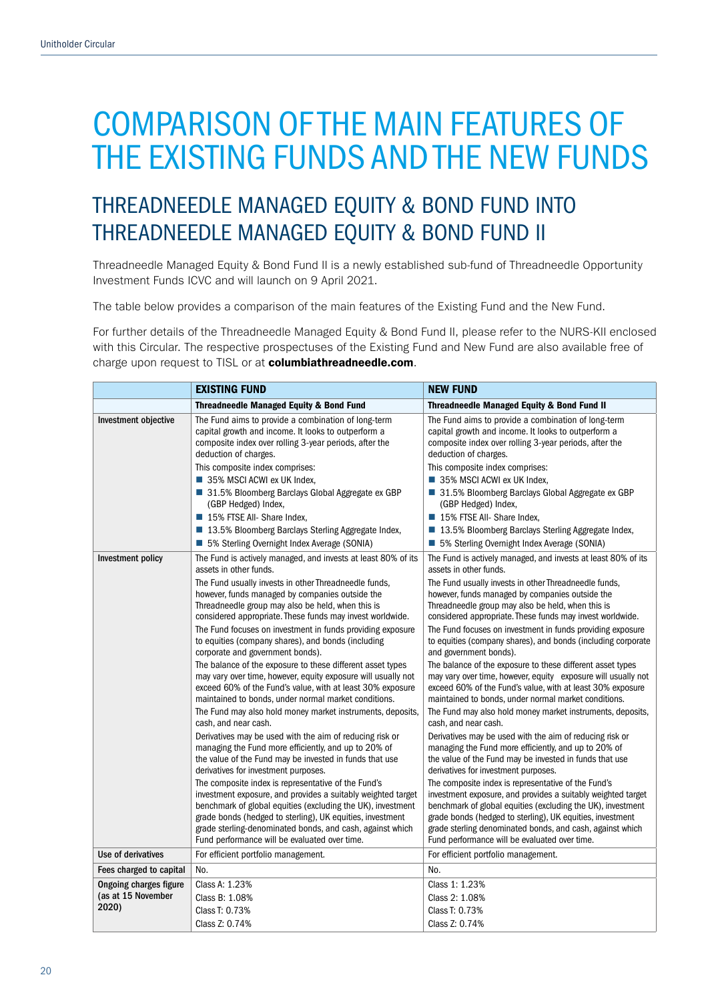## THREADNEEDLE MANAGED EQUITY & BOND FUND INTO THREADNEEDLE MANAGED EQUITY & BOND FUND II

Threadneedle Managed Equity & Bond Fund II is a newly established sub-fund of Threadneedle Opportunity Investment Funds ICVC and will launch on 9 April 2021.

The table below provides a comparison of the main features of the Existing Fund and the New Fund.

For further details of the Threadneedle Managed Equity & Bond Fund II, please refer to the NURS-KII enclosed with this Circular. The respective prospectuses of the Existing Fund and New Fund are also available free of charge upon request to TISL or at columbiathreadneedle.com.

|                                                       | <b>EXISTING FUND</b>                                                                                                                                                                                                                                                                                                                                                                                                                                                                                                                                                                                                                                                                                                                                                                                                                                                                                                                                                                                                                                                                                                                                                                                                                                                                                                                                                                                             | <b>NEW FUND</b>                                                                                                                                                                                                                                                                                                                                                                                                                                                                                                                                                                                                                                                                                                                                                                                                                                                                                                                                                                                                                                                                                                                                                                                                                                                                                                                                                 |  |
|-------------------------------------------------------|------------------------------------------------------------------------------------------------------------------------------------------------------------------------------------------------------------------------------------------------------------------------------------------------------------------------------------------------------------------------------------------------------------------------------------------------------------------------------------------------------------------------------------------------------------------------------------------------------------------------------------------------------------------------------------------------------------------------------------------------------------------------------------------------------------------------------------------------------------------------------------------------------------------------------------------------------------------------------------------------------------------------------------------------------------------------------------------------------------------------------------------------------------------------------------------------------------------------------------------------------------------------------------------------------------------------------------------------------------------------------------------------------------------|-----------------------------------------------------------------------------------------------------------------------------------------------------------------------------------------------------------------------------------------------------------------------------------------------------------------------------------------------------------------------------------------------------------------------------------------------------------------------------------------------------------------------------------------------------------------------------------------------------------------------------------------------------------------------------------------------------------------------------------------------------------------------------------------------------------------------------------------------------------------------------------------------------------------------------------------------------------------------------------------------------------------------------------------------------------------------------------------------------------------------------------------------------------------------------------------------------------------------------------------------------------------------------------------------------------------------------------------------------------------|--|
|                                                       | <b>Threadneedle Managed Equity &amp; Bond Fund</b>                                                                                                                                                                                                                                                                                                                                                                                                                                                                                                                                                                                                                                                                                                                                                                                                                                                                                                                                                                                                                                                                                                                                                                                                                                                                                                                                                               | <b>Threadneedle Managed Equity &amp; Bond Fund II</b>                                                                                                                                                                                                                                                                                                                                                                                                                                                                                                                                                                                                                                                                                                                                                                                                                                                                                                                                                                                                                                                                                                                                                                                                                                                                                                           |  |
| Investment objective                                  | The Fund aims to provide a combination of long-term<br>capital growth and income. It looks to outperform a<br>composite index over rolling 3-year periods, after the<br>deduction of charges.<br>This composite index comprises:<br>35% MSCI ACWI ex UK Index,<br>■ 31.5% Bloomberg Barclays Global Aggregate ex GBP<br>(GBP Hedged) Index,<br>15% FTSE All- Share Index,<br>■ 13.5% Bloomberg Barclays Sterling Aggregate Index,<br>■ 5% Sterling Overnight Index Average (SONIA)                                                                                                                                                                                                                                                                                                                                                                                                                                                                                                                                                                                                                                                                                                                                                                                                                                                                                                                               | The Fund aims to provide a combination of long-term<br>capital growth and income. It looks to outperform a<br>composite index over rolling 3-year periods, after the<br>deduction of charges.<br>This composite index comprises:<br>35% MSCI ACWI ex UK Index,<br>■ 31.5% Bloomberg Barclays Global Aggregate ex GBP<br>(GBP Hedged) Index,<br>15% FTSE All- Share Index,<br>■ 13.5% Bloomberg Barclays Sterling Aggregate Index,<br>■ 5% Sterling Overnight Index Average (SONIA)                                                                                                                                                                                                                                                                                                                                                                                                                                                                                                                                                                                                                                                                                                                                                                                                                                                                              |  |
| Investment policy                                     | The Fund is actively managed, and invests at least 80% of its<br>assets in other funds.<br>The Fund usually invests in other Threadneedle funds,<br>however, funds managed by companies outside the<br>Threadneedle group may also be held, when this is<br>considered appropriate. These funds may invest worldwide.<br>The Fund focuses on investment in funds providing exposure<br>to equities (company shares), and bonds (including<br>corporate and government bonds).<br>The balance of the exposure to these different asset types<br>may vary over time, however, equity exposure will usually not<br>exceed 60% of the Fund's value, with at least 30% exposure<br>maintained to bonds, under normal market conditions.<br>The Fund may also hold money market instruments, deposits,<br>cash, and near cash.<br>Derivatives may be used with the aim of reducing risk or<br>managing the Fund more efficiently, and up to 20% of<br>the value of the Fund may be invested in funds that use<br>derivatives for investment purposes.<br>The composite index is representative of the Fund's<br>investment exposure, and provides a suitably weighted target<br>benchmark of global equities (excluding the UK), investment<br>grade bonds (hedged to sterling), UK equities, investment<br>grade sterling-denominated bonds, and cash, against which<br>Fund performance will be evaluated over time. | The Fund is actively managed, and invests at least 80% of its<br>assets in other funds.<br>The Fund usually invests in other Threadneedle funds,<br>however, funds managed by companies outside the<br>Threadneedle group may also be held, when this is<br>considered appropriate. These funds may invest worldwide.<br>The Fund focuses on investment in funds providing exposure<br>to equities (company shares), and bonds (including corporate<br>and government bonds).<br>The balance of the exposure to these different asset types<br>may vary over time, however, equity exposure will usually not<br>exceed 60% of the Fund's value, with at least 30% exposure<br>maintained to bonds, under normal market conditions.<br>The Fund may also hold money market instruments, deposits,<br>cash, and near cash.<br>Derivatives may be used with the aim of reducing risk or<br>managing the Fund more efficiently, and up to 20% of<br>the value of the Fund may be invested in funds that use<br>derivatives for investment purposes.<br>The composite index is representative of the Fund's<br>investment exposure, and provides a suitably weighted target<br>benchmark of global equities (excluding the UK), investment<br>grade bonds (hedged to sterling), UK equities, investment<br>grade sterling denominated bonds, and cash, against which |  |
| Use of derivatives                                    | For efficient portfolio management.                                                                                                                                                                                                                                                                                                                                                                                                                                                                                                                                                                                                                                                                                                                                                                                                                                                                                                                                                                                                                                                                                                                                                                                                                                                                                                                                                                              | Fund performance will be evaluated over time.<br>For efficient portfolio management.                                                                                                                                                                                                                                                                                                                                                                                                                                                                                                                                                                                                                                                                                                                                                                                                                                                                                                                                                                                                                                                                                                                                                                                                                                                                            |  |
| Fees charged to capital                               | No.                                                                                                                                                                                                                                                                                                                                                                                                                                                                                                                                                                                                                                                                                                                                                                                                                                                                                                                                                                                                                                                                                                                                                                                                                                                                                                                                                                                                              | No.                                                                                                                                                                                                                                                                                                                                                                                                                                                                                                                                                                                                                                                                                                                                                                                                                                                                                                                                                                                                                                                                                                                                                                                                                                                                                                                                                             |  |
| Ongoing charges figure<br>(as at 15 November<br>2020) | Class A: 1.23%<br>Class B: 1.08%<br>Class T: 0.73%<br>Class Z: 0.74%                                                                                                                                                                                                                                                                                                                                                                                                                                                                                                                                                                                                                                                                                                                                                                                                                                                                                                                                                                                                                                                                                                                                                                                                                                                                                                                                             | Class 1: 1.23%<br>Class 2: 1.08%<br>Class T: 0.73%<br>Class Z: 0.74%                                                                                                                                                                                                                                                                                                                                                                                                                                                                                                                                                                                                                                                                                                                                                                                                                                                                                                                                                                                                                                                                                                                                                                                                                                                                                            |  |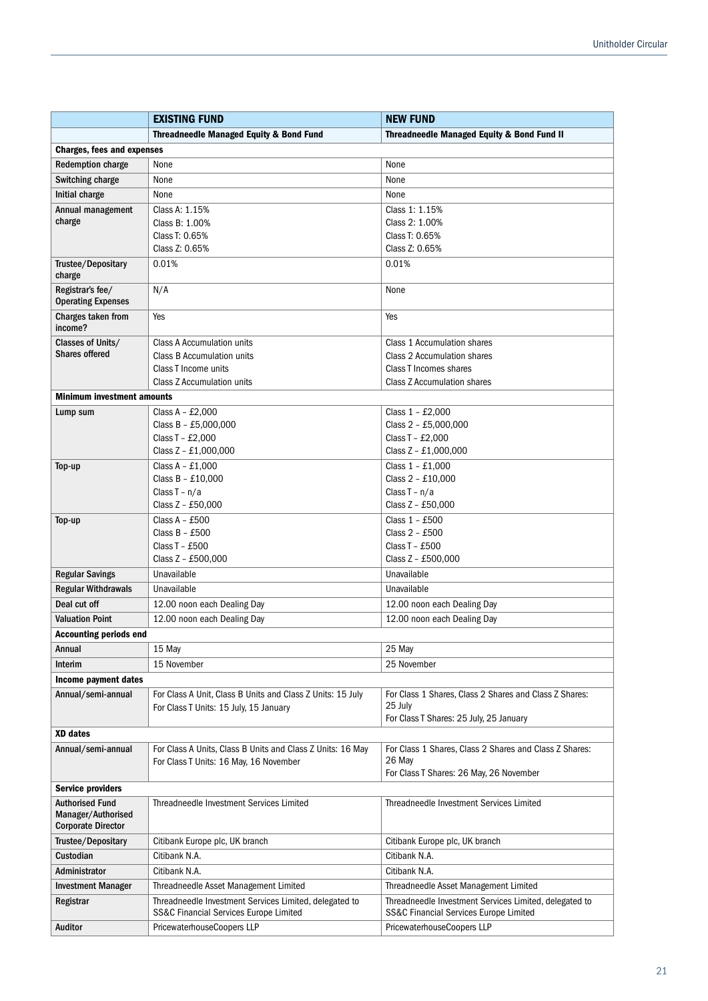|                                                                           | <b>EXISTING FUND</b>                                                                             | <b>NEW FUND</b>                                                                                             |  |
|---------------------------------------------------------------------------|--------------------------------------------------------------------------------------------------|-------------------------------------------------------------------------------------------------------------|--|
|                                                                           | <b>Threadneedle Managed Equity &amp; Bond Fund</b>                                               | Threadneedle Managed Equity & Bond Fund II                                                                  |  |
| <b>Charges, fees and expenses</b>                                         |                                                                                                  |                                                                                                             |  |
| <b>Redemption charge</b>                                                  | None                                                                                             | None                                                                                                        |  |
| Switching charge                                                          | None                                                                                             | None                                                                                                        |  |
| Initial charge                                                            | None                                                                                             | None                                                                                                        |  |
| Annual management                                                         | Class A: 1.15%                                                                                   | Class 1: 1.15%                                                                                              |  |
| charge                                                                    | Class B: 1.00%                                                                                   | Class 2: 1.00%                                                                                              |  |
|                                                                           | Class T: 0.65%                                                                                   | Class T: 0.65%                                                                                              |  |
|                                                                           | Class Z: 0.65%                                                                                   | Class Z: 0.65%                                                                                              |  |
| Trustee/Depositary<br>charge                                              | 0.01%                                                                                            | 0.01%                                                                                                       |  |
| Registrar's fee/<br><b>Operating Expenses</b>                             | N/A                                                                                              | None                                                                                                        |  |
| Charges taken from<br>income?                                             | Yes                                                                                              | Yes                                                                                                         |  |
| Classes of Units/                                                         | Class A Accumulation units                                                                       | Class 1 Accumulation shares                                                                                 |  |
| <b>Shares offered</b>                                                     | Class B Accumulation units                                                                       | Class 2 Accumulation shares                                                                                 |  |
|                                                                           | Class T Income units                                                                             | Class T Incomes shares                                                                                      |  |
|                                                                           | Class Z Accumulation units                                                                       | <b>Class Z Accumulation shares</b>                                                                          |  |
| <b>Minimum investment amounts</b>                                         |                                                                                                  |                                                                                                             |  |
| Lump sum                                                                  | Class A - $£2,000$                                                                               | Class 1 - £2,000                                                                                            |  |
|                                                                           | Class B - £5,000,000                                                                             | Class 2 - £5,000,000                                                                                        |  |
|                                                                           | Class T - £2,000                                                                                 | Class T - £2,000                                                                                            |  |
|                                                                           | Class Z - £1,000,000                                                                             | Class Z - £1,000,000                                                                                        |  |
| Top-up                                                                    | Class $A - £1,000$                                                                               | Class 1 - £1,000                                                                                            |  |
|                                                                           | Class B - £10,000                                                                                | Class 2 - £10,000                                                                                           |  |
|                                                                           | Class $T - n/a$                                                                                  | Class $T - n/a$                                                                                             |  |
|                                                                           | Class Z - £50,000                                                                                | Class Z - £50,000                                                                                           |  |
| Top-up                                                                    | Class $A - £500$                                                                                 | Class 1 - £500                                                                                              |  |
|                                                                           | Class $B - £500$<br>Class T - £500                                                               | Class 2 - £500<br>Class T - £500                                                                            |  |
|                                                                           | Class Z - £500,000                                                                               | Class Z - £500,000                                                                                          |  |
| <b>Regular Savings</b>                                                    | Unavailable                                                                                      | Unavailable                                                                                                 |  |
| <b>Regular Withdrawals</b>                                                | Unavailable                                                                                      | Unavailable                                                                                                 |  |
| Deal cut off                                                              | 12.00 noon each Dealing Day                                                                      | 12.00 noon each Dealing Day                                                                                 |  |
|                                                                           | 12.00 noon each Dealing Day                                                                      | 12.00 noon each Dealing Day                                                                                 |  |
| <b>Valuation Point</b>                                                    |                                                                                                  |                                                                                                             |  |
| <b>Accounting periods end</b>                                             |                                                                                                  |                                                                                                             |  |
| Annual                                                                    | 15 May                                                                                           | 25 May                                                                                                      |  |
| Interim                                                                   | 15 November                                                                                      | 25 November                                                                                                 |  |
| Income payment dates                                                      |                                                                                                  |                                                                                                             |  |
| Annual/semi-annual                                                        | For Class A Unit, Class B Units and Class Z Units: 15 July                                       | For Class 1 Shares, Class 2 Shares and Class Z Shares:                                                      |  |
|                                                                           | For Class T Units: 15 July, 15 January                                                           | 25 July                                                                                                     |  |
|                                                                           |                                                                                                  | For Class T Shares: 25 July, 25 January                                                                     |  |
| <b>XD</b> dates                                                           |                                                                                                  |                                                                                                             |  |
| Annual/semi-annual                                                        | For Class A Units, Class B Units and Class Z Units: 16 May                                       | For Class 1 Shares, Class 2 Shares and Class Z Shares:                                                      |  |
|                                                                           | For Class T Units: 16 May, 16 November                                                           | 26 May<br>For Class T Shares: 26 May, 26 November                                                           |  |
| <b>Service providers</b>                                                  |                                                                                                  |                                                                                                             |  |
|                                                                           |                                                                                                  |                                                                                                             |  |
| <b>Authorised Fund</b><br>Manager/Authorised<br><b>Corporate Director</b> | Threadneedle Investment Services Limited                                                         | Threadneedle Investment Services Limited                                                                    |  |
| Trustee/Depositary                                                        | Citibank Europe plc, UK branch                                                                   | Citibank Europe plc, UK branch                                                                              |  |
| Custodian                                                                 | Citibank N.A.                                                                                    | Citibank N.A.                                                                                               |  |
| Administrator                                                             | Citibank N.A.                                                                                    | Citibank N.A.                                                                                               |  |
| <b>Investment Manager</b>                                                 | Threadneedle Asset Management Limited                                                            | Threadneedle Asset Management Limited                                                                       |  |
| Registrar                                                                 | Threadneedle Investment Services Limited, delegated to<br>SS&C Financial Services Europe Limited | Threadneedle Investment Services Limited, delegated to<br><b>SS&amp;C Financial Services Europe Limited</b> |  |
| <b>Auditor</b>                                                            | PricewaterhouseCoopers LLP<br>PricewaterhouseCoopers LLP                                         |                                                                                                             |  |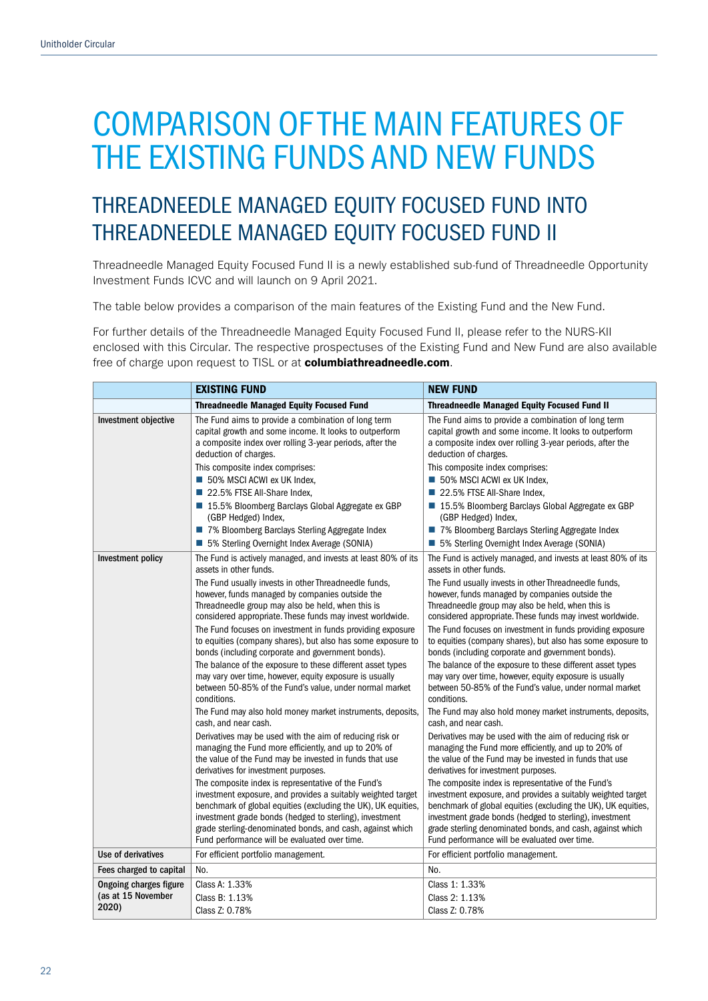## THREADNEEDLE MANAGED EQUITY FOCUSED FUND INTO THREADNEEDLE MANAGED EQUITY FOCUSED FUND II

Threadneedle Managed Equity Focused Fund II is a newly established sub-fund of Threadneedle Opportunity Investment Funds ICVC and will launch on 9 April 2021.

The table below provides a comparison of the main features of the Existing Fund and the New Fund.

For further details of the Threadneedle Managed Equity Focused Fund II, please refer to the NURS-KII enclosed with this Circular. The respective prospectuses of the Existing Fund and New Fund are also available free of charge upon request to TISL or at columbiathreadneedle.com.

| <b>EXISTING FUND</b>                                         |                                                                                                                                                                                                                                                                                                                                                                                                                                                                                                                                                                                                                                                                                                                                                                                                                                                                                                                                                                                                                                                                                                                                                                                                                                              | <b>NEW FUND</b>                                                                                                                                                                                                                                                                                                                                                                                                                                                                                                                                                                                                                                                                                                                                                                                                                                                                                                                                                                                                                                                                                                                                                                                                                              |  |
|--------------------------------------------------------------|----------------------------------------------------------------------------------------------------------------------------------------------------------------------------------------------------------------------------------------------------------------------------------------------------------------------------------------------------------------------------------------------------------------------------------------------------------------------------------------------------------------------------------------------------------------------------------------------------------------------------------------------------------------------------------------------------------------------------------------------------------------------------------------------------------------------------------------------------------------------------------------------------------------------------------------------------------------------------------------------------------------------------------------------------------------------------------------------------------------------------------------------------------------------------------------------------------------------------------------------|----------------------------------------------------------------------------------------------------------------------------------------------------------------------------------------------------------------------------------------------------------------------------------------------------------------------------------------------------------------------------------------------------------------------------------------------------------------------------------------------------------------------------------------------------------------------------------------------------------------------------------------------------------------------------------------------------------------------------------------------------------------------------------------------------------------------------------------------------------------------------------------------------------------------------------------------------------------------------------------------------------------------------------------------------------------------------------------------------------------------------------------------------------------------------------------------------------------------------------------------|--|
|                                                              | <b>Threadneedle Managed Equity Focused Fund</b>                                                                                                                                                                                                                                                                                                                                                                                                                                                                                                                                                                                                                                                                                                                                                                                                                                                                                                                                                                                                                                                                                                                                                                                              | <b>Threadneedle Managed Equity Focused Fund II</b>                                                                                                                                                                                                                                                                                                                                                                                                                                                                                                                                                                                                                                                                                                                                                                                                                                                                                                                                                                                                                                                                                                                                                                                           |  |
| Investment objective                                         | The Fund aims to provide a combination of long term<br>capital growth and some income. It looks to outperform<br>a composite index over rolling 3-year periods, after the<br>deduction of charges.<br>This composite index comprises:<br>50% MSCI ACWI ex UK Index,<br>22.5% FTSE All-Share Index,<br>■ 15.5% Bloomberg Barclays Global Aggregate ex GBP<br>(GBP Hedged) Index,<br>7% Bloomberg Barclays Sterling Aggregate Index<br>■ 5% Sterling Overnight Index Average (SONIA)                                                                                                                                                                                                                                                                                                                                                                                                                                                                                                                                                                                                                                                                                                                                                           | The Fund aims to provide a combination of long term<br>capital growth and some income. It looks to outperform<br>a composite index over rolling 3-year periods, after the<br>deduction of charges.<br>This composite index comprises:<br>50% MSCI ACWI ex UK Index,<br>22.5% FTSE All-Share Index,<br>■ 15.5% Bloomberg Barclays Global Aggregate ex GBP<br>(GBP Hedged) Index,<br>7% Bloomberg Barclays Sterling Aggregate Index<br>■ 5% Sterling Overnight Index Average (SONIA)                                                                                                                                                                                                                                                                                                                                                                                                                                                                                                                                                                                                                                                                                                                                                           |  |
| Investment policy                                            | The Fund is actively managed, and invests at least 80% of its<br>assets in other funds.                                                                                                                                                                                                                                                                                                                                                                                                                                                                                                                                                                                                                                                                                                                                                                                                                                                                                                                                                                                                                                                                                                                                                      | The Fund is actively managed, and invests at least 80% of its<br>assets in other funds.                                                                                                                                                                                                                                                                                                                                                                                                                                                                                                                                                                                                                                                                                                                                                                                                                                                                                                                                                                                                                                                                                                                                                      |  |
|                                                              | The Fund usually invests in other Threadneedle funds,<br>however, funds managed by companies outside the<br>Threadneedle group may also be held, when this is<br>considered appropriate. These funds may invest worldwide.<br>The Fund focuses on investment in funds providing exposure<br>to equities (company shares), but also has some exposure to<br>bonds (including corporate and government bonds).<br>The balance of the exposure to these different asset types<br>may vary over time, however, equity exposure is usually<br>between 50-85% of the Fund's value, under normal market<br>conditions.<br>The Fund may also hold money market instruments, deposits,<br>cash, and near cash.<br>Derivatives may be used with the aim of reducing risk or<br>managing the Fund more efficiently, and up to 20% of<br>the value of the Fund may be invested in funds that use<br>derivatives for investment purposes.<br>The composite index is representative of the Fund's<br>investment exposure, and provides a suitably weighted target<br>benchmark of global equities (excluding the UK), UK equities,<br>investment grade bonds (hedged to sterling), investment<br>grade sterling-denominated bonds, and cash, against which | The Fund usually invests in other Threadneedle funds,<br>however, funds managed by companies outside the<br>Threadneedle group may also be held, when this is<br>considered appropriate. These funds may invest worldwide.<br>The Fund focuses on investment in funds providing exposure<br>to equities (company shares), but also has some exposure to<br>bonds (including corporate and government bonds).<br>The balance of the exposure to these different asset types<br>may vary over time, however, equity exposure is usually<br>between 50-85% of the Fund's value, under normal market<br>conditions.<br>The Fund may also hold money market instruments, deposits,<br>cash, and near cash.<br>Derivatives may be used with the aim of reducing risk or<br>managing the Fund more efficiently, and up to 20% of<br>the value of the Fund may be invested in funds that use<br>derivatives for investment purposes.<br>The composite index is representative of the Fund's<br>investment exposure, and provides a suitably weighted target<br>benchmark of global equities (excluding the UK), UK equities,<br>investment grade bonds (hedged to sterling), investment<br>grade sterling denominated bonds, and cash, against which |  |
| Use of derivatives                                           | Fund performance will be evaluated over time.<br>For efficient portfolio management.                                                                                                                                                                                                                                                                                                                                                                                                                                                                                                                                                                                                                                                                                                                                                                                                                                                                                                                                                                                                                                                                                                                                                         | Fund performance will be evaluated over time.<br>For efficient portfolio management.                                                                                                                                                                                                                                                                                                                                                                                                                                                                                                                                                                                                                                                                                                                                                                                                                                                                                                                                                                                                                                                                                                                                                         |  |
| Fees charged to capital                                      | No.                                                                                                                                                                                                                                                                                                                                                                                                                                                                                                                                                                                                                                                                                                                                                                                                                                                                                                                                                                                                                                                                                                                                                                                                                                          | No.                                                                                                                                                                                                                                                                                                                                                                                                                                                                                                                                                                                                                                                                                                                                                                                                                                                                                                                                                                                                                                                                                                                                                                                                                                          |  |
| <b>Ongoing charges figure</b><br>(as at 15 November<br>2020) | Class A: 1.33%<br>Class B: 1.13%<br>Class Z: 0.78%                                                                                                                                                                                                                                                                                                                                                                                                                                                                                                                                                                                                                                                                                                                                                                                                                                                                                                                                                                                                                                                                                                                                                                                           | Class 1: 1.33%<br>Class 2: 1.13%<br>Class Z: 0.78%                                                                                                                                                                                                                                                                                                                                                                                                                                                                                                                                                                                                                                                                                                                                                                                                                                                                                                                                                                                                                                                                                                                                                                                           |  |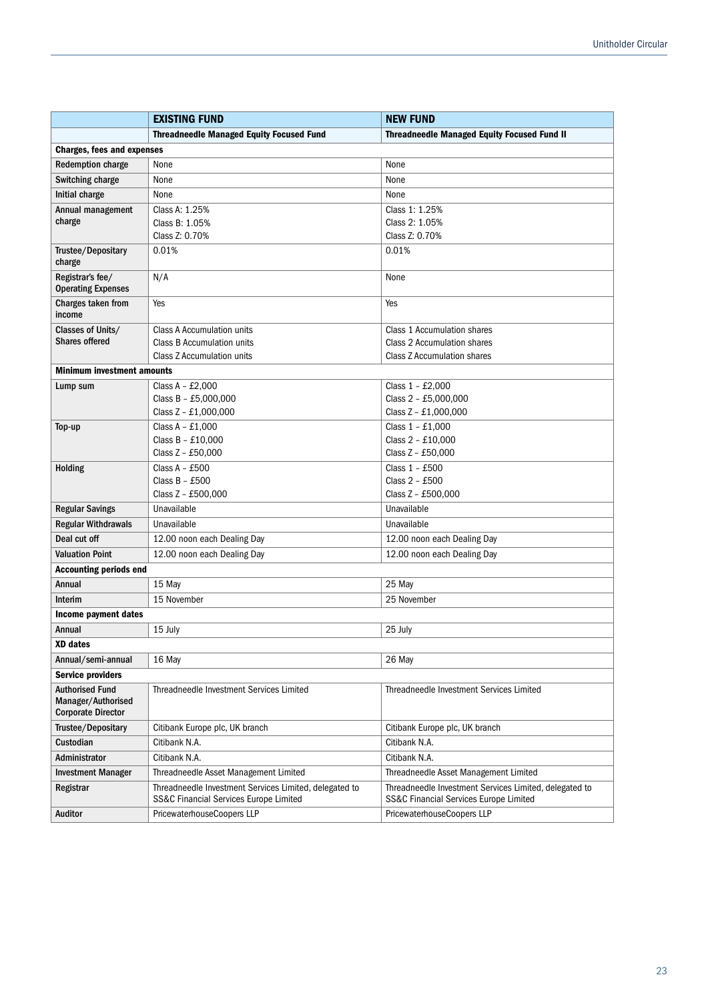|                                               | <b>EXISTING FUND</b>                                                                             | <b>NEW FUND</b>                                                                                  |  |
|-----------------------------------------------|--------------------------------------------------------------------------------------------------|--------------------------------------------------------------------------------------------------|--|
|                                               | <b>Threadneedle Managed Equity Focused Fund</b>                                                  | <b>Threadneedle Managed Equity Focused Fund II</b>                                               |  |
| <b>Charges, fees and expenses</b>             |                                                                                                  |                                                                                                  |  |
| <b>Redemption charge</b>                      | None<br>None                                                                                     |                                                                                                  |  |
| Switching charge                              | None                                                                                             | None                                                                                             |  |
| Initial charge                                | None                                                                                             | None                                                                                             |  |
| Annual management                             | Class A: 1.25%                                                                                   | Class 1: 1.25%                                                                                   |  |
| charge                                        | Class B: 1.05%                                                                                   | Class 2: 1.05%                                                                                   |  |
|                                               | Class Z: 0.70%                                                                                   | Class Z: 0.70%                                                                                   |  |
| Trustee/Depositary<br>charge                  | 0.01%                                                                                            | 0.01%                                                                                            |  |
| Registrar's fee/<br><b>Operating Expenses</b> | N/A                                                                                              | None                                                                                             |  |
| Charges taken from<br>income                  | Yes                                                                                              | Yes                                                                                              |  |
| Classes of Units/                             | Class A Accumulation units                                                                       | Class 1 Accumulation shares                                                                      |  |
| <b>Shares offered</b>                         | Class B Accumulation units                                                                       | Class 2 Accumulation shares                                                                      |  |
|                                               | Class Z Accumulation units                                                                       | <b>Class Z Accumulation shares</b>                                                               |  |
| <b>Minimum investment amounts</b>             |                                                                                                  |                                                                                                  |  |
| Lump sum                                      | Class A - £2,000                                                                                 | Class 1 - £2,000                                                                                 |  |
|                                               | Class B - £5,000,000<br>Class Z - £1,000,000                                                     | Class 2 - £5,000,000<br>Class Z - £1,000,000                                                     |  |
|                                               |                                                                                                  |                                                                                                  |  |
| Top-up                                        | Class $A - £1,000$<br>Class B - £10,000                                                          | Class 1 - £1,000<br>Class 2 - £10,000                                                            |  |
|                                               | Class Z - £50,000                                                                                | Class Z - £50,000                                                                                |  |
| Holding                                       | Class $A - £500$                                                                                 | Class 1 - £500                                                                                   |  |
|                                               | Class $B - £500$                                                                                 | Class 2 - £500                                                                                   |  |
|                                               | Class Z - £500,000                                                                               | Class Z - £500,000                                                                               |  |
| <b>Regular Savings</b>                        | Unavailable                                                                                      | Unavailable                                                                                      |  |
| <b>Regular Withdrawals</b>                    | Unavailable                                                                                      | Unavailable                                                                                      |  |
| Deal cut off                                  | 12.00 noon each Dealing Day                                                                      | 12.00 noon each Dealing Day                                                                      |  |
| <b>Valuation Point</b>                        | 12.00 noon each Dealing Day                                                                      | 12.00 noon each Dealing Day                                                                      |  |
| <b>Accounting periods end</b>                 |                                                                                                  |                                                                                                  |  |
| Annual                                        | 15 May                                                                                           | 25 May                                                                                           |  |
| Interim                                       | 15 November                                                                                      | 25 November                                                                                      |  |
| Income payment dates                          |                                                                                                  |                                                                                                  |  |
| Annual                                        | 15 July                                                                                          | 25 July                                                                                          |  |
| XD dates                                      |                                                                                                  |                                                                                                  |  |
| Annual/semi-annual                            | 16 May                                                                                           | 26 May                                                                                           |  |
| <b>Service providers</b>                      |                                                                                                  |                                                                                                  |  |
| <b>Authorised Fund</b><br>Manager/Authorised  | Threadneedle Investment Services Limited                                                         | Threadneedle Investment Services Limited                                                         |  |
| <b>Corporate Director</b>                     |                                                                                                  |                                                                                                  |  |
| Trustee/Depositary                            | Citibank Europe plc, UK branch<br>Citibank Europe plc, UK branch                                 |                                                                                                  |  |
| Custodian                                     | Citibank N.A.                                                                                    | Citibank N.A.                                                                                    |  |
| Administrator                                 | Citibank N.A.                                                                                    | Citibank N.A.                                                                                    |  |
| <b>Investment Manager</b>                     | Threadneedle Asset Management Limited                                                            | Threadneedle Asset Management Limited                                                            |  |
| Registrar                                     | Threadneedle Investment Services Limited, delegated to<br>SS&C Financial Services Europe Limited | Threadneedle Investment Services Limited, delegated to<br>SS&C Financial Services Europe Limited |  |
| Auditor                                       | PricewaterhouseCoopers LLP<br>PricewaterhouseCoopers LLP                                         |                                                                                                  |  |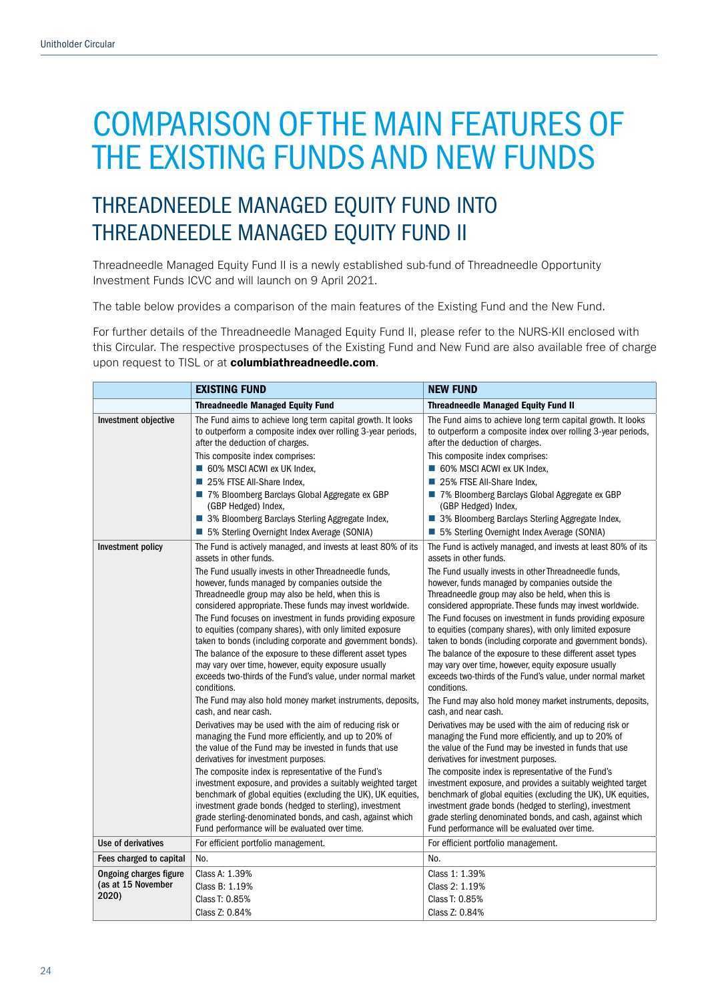## THREADNEEDLE MANAGED EQUITY FUND INTO THREADNEEDLE MANAGED EQUITY FUND II

Threadneedle Managed Equity Fund II is a newly established sub-fund of Threadneedle Opportunity Investment Funds ICVC and will launch on 9 April 2021.

The table below provides a comparison of the main features of the Existing Fund and the New Fund.

For further details of the Threadneedle Managed Equity Fund II, please refer to the NURS-KII enclosed with this Circular. The respective prospectuses of the Existing Fund and New Fund are also available free of charge upon request to TISL or at columbiathreadneedle.com.

| <b>EXISTING FUND</b>                                                                                                                                                                 |                                                                                                                                                                                                                                                                                                                                                                                                      | <b>NEW FUND</b>                                                                                                                                                                                                                                                                                                                                               |  |
|--------------------------------------------------------------------------------------------------------------------------------------------------------------------------------------|------------------------------------------------------------------------------------------------------------------------------------------------------------------------------------------------------------------------------------------------------------------------------------------------------------------------------------------------------------------------------------------------------|---------------------------------------------------------------------------------------------------------------------------------------------------------------------------------------------------------------------------------------------------------------------------------------------------------------------------------------------------------------|--|
|                                                                                                                                                                                      | <b>Threadneedle Managed Equity Fund</b>                                                                                                                                                                                                                                                                                                                                                              | <b>Threadneedle Managed Equity Fund II</b>                                                                                                                                                                                                                                                                                                                    |  |
| Investment objective                                                                                                                                                                 | The Fund aims to achieve long term capital growth. It looks<br>to outperform a composite index over rolling 3-year periods,<br>after the deduction of charges.<br>This composite index comprises:                                                                                                                                                                                                    | The Fund aims to achieve long term capital growth. It looks<br>to outperform a composite index over rolling 3-year periods,<br>after the deduction of charges.<br>This composite index comprises:                                                                                                                                                             |  |
|                                                                                                                                                                                      | 60% MSCI ACWI ex UK Index,                                                                                                                                                                                                                                                                                                                                                                           | 60% MSCI ACWI ex UK Index,                                                                                                                                                                                                                                                                                                                                    |  |
|                                                                                                                                                                                      | 25% FTSE All-Share Index,                                                                                                                                                                                                                                                                                                                                                                            | 25% FTSE All-Share Index,                                                                                                                                                                                                                                                                                                                                     |  |
|                                                                                                                                                                                      | 7% Bloomberg Barclays Global Aggregate ex GBP<br>(GBP Hedged) Index,                                                                                                                                                                                                                                                                                                                                 | 7% Bloomberg Barclays Global Aggregate ex GBP<br>(GBP Hedged) Index,                                                                                                                                                                                                                                                                                          |  |
|                                                                                                                                                                                      | ■ 3% Bloomberg Barclays Sterling Aggregate Index,<br>5% Sterling Overnight Index Average (SONIA)                                                                                                                                                                                                                                                                                                     | ■ 3% Bloomberg Barclays Sterling Aggregate Index,<br>5% Sterling Overnight Index Average (SONIA)                                                                                                                                                                                                                                                              |  |
| Investment policy                                                                                                                                                                    | The Fund is actively managed, and invests at least 80% of its<br>assets in other funds.                                                                                                                                                                                                                                                                                                              | The Fund is actively managed, and invests at least 80% of its<br>assets in other funds.                                                                                                                                                                                                                                                                       |  |
|                                                                                                                                                                                      | The Fund usually invests in other Threadneedle funds,<br>however, funds managed by companies outside the<br>Threadneedle group may also be held, when this is<br>considered appropriate. These funds may invest worldwide.                                                                                                                                                                           | The Fund usually invests in other Threadneedle funds,<br>however, funds managed by companies outside the<br>Threadneedle group may also be held, when this is<br>considered appropriate. These funds may invest worldwide.                                                                                                                                    |  |
| The Fund focuses on investment in funds providing exposure<br>to equities (company shares), with only limited exposure<br>taken to bonds (including corporate and government bonds). |                                                                                                                                                                                                                                                                                                                                                                                                      | The Fund focuses on investment in funds providing exposure<br>to equities (company shares), with only limited exposure<br>taken to bonds (including corporate and government bonds).                                                                                                                                                                          |  |
|                                                                                                                                                                                      | The balance of the exposure to these different asset types<br>The balance of the exposure to these different asset types<br>may vary over time, however, equity exposure usually<br>may vary over time, however, equity exposure usually<br>exceeds two-thirds of the Fund's value, under normal market<br>exceeds two-thirds of the Fund's value, under normal market<br>conditions.<br>conditions. |                                                                                                                                                                                                                                                                                                                                                               |  |
|                                                                                                                                                                                      | The Fund may also hold money market instruments, deposits,<br>cash, and near cash.                                                                                                                                                                                                                                                                                                                   | The Fund may also hold money market instruments, deposits,<br>cash, and near cash.                                                                                                                                                                                                                                                                            |  |
|                                                                                                                                                                                      | Derivatives may be used with the aim of reducing risk or<br>managing the Fund more efficiently, and up to 20% of<br>the value of the Fund may be invested in funds that use<br>derivatives for investment purposes.                                                                                                                                                                                  | Derivatives may be used with the aim of reducing risk or<br>managing the Fund more efficiently, and up to 20% of<br>the value of the Fund may be invested in funds that use<br>derivatives for investment purposes.                                                                                                                                           |  |
|                                                                                                                                                                                      | The composite index is representative of the Fund's<br>investment exposure, and provides a suitably weighted target<br>benchmark of global equities (excluding the UK), UK equities,<br>investment grade bonds (hedged to sterling), investment<br>grade sterling-denominated bonds, and cash, against which<br>Fund performance will be evaluated over time.                                        | The composite index is representative of the Fund's<br>investment exposure, and provides a suitably weighted target<br>benchmark of global equities (excluding the UK), UK equities,<br>investment grade bonds (hedged to sterling), investment<br>grade sterling denominated bonds, and cash, against which<br>Fund performance will be evaluated over time. |  |
| Use of derivatives                                                                                                                                                                   | For efficient portfolio management.                                                                                                                                                                                                                                                                                                                                                                  | For efficient portfolio management.                                                                                                                                                                                                                                                                                                                           |  |
| Fees charged to capital                                                                                                                                                              | No.                                                                                                                                                                                                                                                                                                                                                                                                  | No.                                                                                                                                                                                                                                                                                                                                                           |  |
| <b>Ongoing charges figure</b>                                                                                                                                                        | Class A: 1.39%                                                                                                                                                                                                                                                                                                                                                                                       | Class 1: 1.39%                                                                                                                                                                                                                                                                                                                                                |  |
| (as at 15 November<br>2020)                                                                                                                                                          | Class B: 1.19%                                                                                                                                                                                                                                                                                                                                                                                       | Class 2: 1.19%                                                                                                                                                                                                                                                                                                                                                |  |
|                                                                                                                                                                                      | Class T: 0.85%                                                                                                                                                                                                                                                                                                                                                                                       | Class T: 0.85%                                                                                                                                                                                                                                                                                                                                                |  |
|                                                                                                                                                                                      | Class Z: 0.84%                                                                                                                                                                                                                                                                                                                                                                                       | Class Z: 0.84%                                                                                                                                                                                                                                                                                                                                                |  |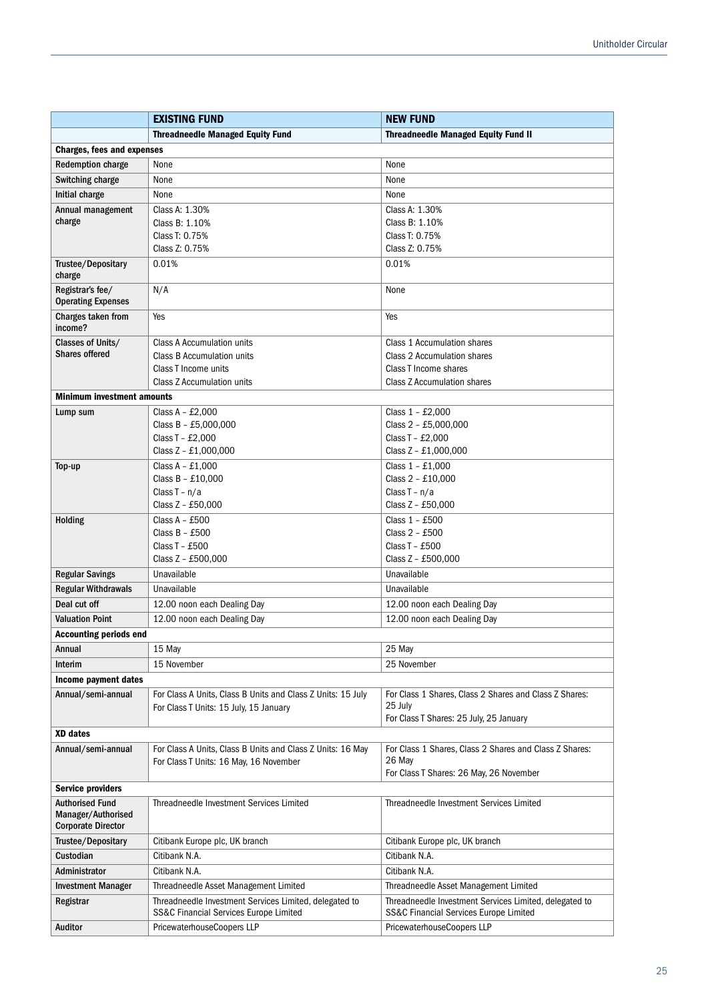|                                                                           | <b>EXISTING FUND</b>                                                                             | <b>NEW FUND</b>                                                                                             |  |
|---------------------------------------------------------------------------|--------------------------------------------------------------------------------------------------|-------------------------------------------------------------------------------------------------------------|--|
|                                                                           | <b>Threadneedle Managed Equity Fund</b>                                                          | <b>Threadneedle Managed Equity Fund II</b>                                                                  |  |
| <b>Charges, fees and expenses</b>                                         |                                                                                                  |                                                                                                             |  |
| <b>Redemption charge</b>                                                  | None                                                                                             | None                                                                                                        |  |
| Switching charge                                                          | None                                                                                             | None                                                                                                        |  |
| Initial charge                                                            | None                                                                                             | None                                                                                                        |  |
| Annual management                                                         | Class A: 1.30%                                                                                   | Class A: 1.30%                                                                                              |  |
| charge                                                                    | Class B: 1.10%                                                                                   | Class B: 1.10%                                                                                              |  |
|                                                                           | Class T: 0.75%                                                                                   | Class T: 0.75%                                                                                              |  |
|                                                                           | Class Z: 0.75%                                                                                   | Class Z: 0.75%                                                                                              |  |
| Trustee/Depositary<br>charge                                              | 0.01%                                                                                            | 0.01%                                                                                                       |  |
| Registrar's fee/<br><b>Operating Expenses</b>                             | N/A                                                                                              | None                                                                                                        |  |
| Charges taken from<br>income?                                             | Yes                                                                                              | Yes                                                                                                         |  |
| Classes of Units/                                                         | Class A Accumulation units                                                                       | Class 1 Accumulation shares                                                                                 |  |
| <b>Shares offered</b>                                                     | Class B Accumulation units                                                                       | Class 2 Accumulation shares                                                                                 |  |
|                                                                           | Class T Income units                                                                             | Class T Income shares                                                                                       |  |
|                                                                           | Class Z Accumulation units                                                                       | <b>Class Z Accumulation shares</b>                                                                          |  |
| <b>Minimum investment amounts</b>                                         |                                                                                                  |                                                                                                             |  |
| Lump sum                                                                  | Class A - $£2,000$                                                                               | Class 1 - £2,000                                                                                            |  |
|                                                                           | Class B - £5,000,000                                                                             | Class 2 - £5,000,000                                                                                        |  |
|                                                                           | Class T - £2,000                                                                                 | Class T - £2,000                                                                                            |  |
|                                                                           | Class Z - £1,000,000                                                                             | Class Z - £1,000,000                                                                                        |  |
| Top-up                                                                    | Class $A - £1,000$                                                                               | Class 1 - £1,000                                                                                            |  |
|                                                                           | Class B - £10,000                                                                                | Class 2 - £10,000                                                                                           |  |
|                                                                           | Class $T - n/a$                                                                                  | Class $T - n/a$                                                                                             |  |
|                                                                           | Class Z - £50,000                                                                                | Class Z - £50,000                                                                                           |  |
| Holding                                                                   | Class $A - £500$<br>Class $B - £500$                                                             | Class 1 - £500<br>Class 2 - £500                                                                            |  |
|                                                                           | Class T - £500                                                                                   | Class T - £500                                                                                              |  |
|                                                                           | Class Z - £500,000                                                                               | Class Z - £500,000                                                                                          |  |
| <b>Regular Savings</b>                                                    | Unavailable                                                                                      | Unavailable                                                                                                 |  |
| <b>Regular Withdrawals</b>                                                | Unavailable                                                                                      | Unavailable                                                                                                 |  |
| Deal cut off                                                              | 12.00 noon each Dealing Day                                                                      | 12.00 noon each Dealing Day                                                                                 |  |
| <b>Valuation Point</b>                                                    | 12.00 noon each Dealing Day                                                                      | 12.00 noon each Dealing Day                                                                                 |  |
| <b>Accounting periods end</b>                                             |                                                                                                  |                                                                                                             |  |
| Annual                                                                    |                                                                                                  |                                                                                                             |  |
|                                                                           | 15 May                                                                                           | 25 May                                                                                                      |  |
| Interim                                                                   | 15 November                                                                                      | 25 November                                                                                                 |  |
| Income payment dates                                                      |                                                                                                  |                                                                                                             |  |
| Annual/semi-annual                                                        | For Class A Units, Class B Units and Class Z Units: 15 July                                      | For Class 1 Shares, Class 2 Shares and Class Z Shares:<br>25 July                                           |  |
|                                                                           | For Class T Units: 15 July, 15 January                                                           | For Class T Shares: 25 July, 25 January                                                                     |  |
| <b>XD</b> dates                                                           |                                                                                                  |                                                                                                             |  |
| Annual/semi-annual                                                        | For Class A Units, Class B Units and Class Z Units: 16 May                                       | For Class 1 Shares, Class 2 Shares and Class Z Shares:                                                      |  |
|                                                                           | For Class T Units: 16 May, 16 November                                                           | 26 May                                                                                                      |  |
|                                                                           |                                                                                                  | For Class T Shares: 26 May, 26 November                                                                     |  |
| <b>Service providers</b>                                                  |                                                                                                  |                                                                                                             |  |
| <b>Authorised Fund</b><br>Manager/Authorised<br><b>Corporate Director</b> | Threadneedle Investment Services Limited                                                         | Threadneedle Investment Services Limited                                                                    |  |
| Trustee/Depositary                                                        | Citibank Europe plc, UK branch                                                                   | Citibank Europe plc, UK branch                                                                              |  |
| Custodian                                                                 | Citibank N.A.                                                                                    | Citibank N.A.                                                                                               |  |
| Administrator                                                             | Citibank N.A.                                                                                    | Citibank N.A.                                                                                               |  |
|                                                                           |                                                                                                  |                                                                                                             |  |
| <b>Investment Manager</b>                                                 | Threadneedle Asset Management Limited                                                            | Threadneedle Asset Management Limited                                                                       |  |
| Registrar                                                                 | Threadneedle Investment Services Limited, delegated to<br>SS&C Financial Services Europe Limited | Threadneedle Investment Services Limited, delegated to<br><b>SS&amp;C Financial Services Europe Limited</b> |  |
| Auditor                                                                   | PricewaterhouseCoopers LLP                                                                       | PricewaterhouseCoopers LLP                                                                                  |  |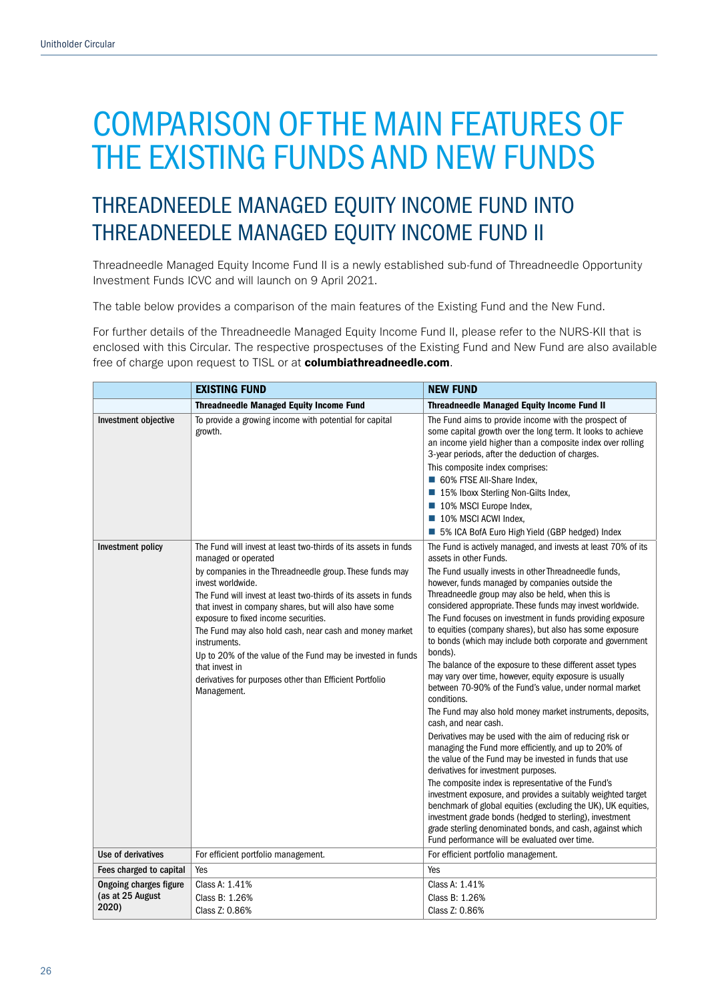## THREADNEEDLE MANAGED EQUITY INCOME FUND INTO THREADNEEDLE MANAGED EQUITY INCOME FUND II

Threadneedle Managed Equity Income Fund II is a newly established sub-fund of Threadneedle Opportunity Investment Funds ICVC and will launch on 9 April 2021.

The table below provides a comparison of the main features of the Existing Fund and the New Fund.

For further details of the Threadneedle Managed Equity Income Fund II, please refer to the NURS-KII that is enclosed with this Circular. The respective prospectuses of the Existing Fund and New Fund are also available free of charge upon request to TISL or at columbiathreadneedle.com.

| <b>EXISTING FUND</b>                                |                                                                                                                                                                                                                                                                                                                                                                                                                                                                                                                                                                                   | <b>NEW FUND</b>                                                                                                                                                                                                                                                                                                                                                                                                                                                                                                                                                                                                                                                                                                                                                                                                                                                                                                                                                                                                                                                                                                                                                                                                                                                                                                                                                                                          |  |
|-----------------------------------------------------|-----------------------------------------------------------------------------------------------------------------------------------------------------------------------------------------------------------------------------------------------------------------------------------------------------------------------------------------------------------------------------------------------------------------------------------------------------------------------------------------------------------------------------------------------------------------------------------|----------------------------------------------------------------------------------------------------------------------------------------------------------------------------------------------------------------------------------------------------------------------------------------------------------------------------------------------------------------------------------------------------------------------------------------------------------------------------------------------------------------------------------------------------------------------------------------------------------------------------------------------------------------------------------------------------------------------------------------------------------------------------------------------------------------------------------------------------------------------------------------------------------------------------------------------------------------------------------------------------------------------------------------------------------------------------------------------------------------------------------------------------------------------------------------------------------------------------------------------------------------------------------------------------------------------------------------------------------------------------------------------------------|--|
|                                                     | <b>Threadneedle Managed Equity Income Fund</b>                                                                                                                                                                                                                                                                                                                                                                                                                                                                                                                                    | <b>Threadneedle Managed Equity Income Fund II</b>                                                                                                                                                                                                                                                                                                                                                                                                                                                                                                                                                                                                                                                                                                                                                                                                                                                                                                                                                                                                                                                                                                                                                                                                                                                                                                                                                        |  |
| Investment objective                                | To provide a growing income with potential for capital<br>growth.                                                                                                                                                                                                                                                                                                                                                                                                                                                                                                                 | The Fund aims to provide income with the prospect of<br>some capital growth over the long term. It looks to achieve<br>an income yield higher than a composite index over rolling<br>3-year periods, after the deduction of charges.<br>This composite index comprises:<br>60% FTSE All-Share Index,<br>■ 15% Iboxx Sterling Non-Gilts Index,<br>■ 10% MSCI Europe Index,<br>10% MSCI ACWI Index,<br>■ 5% ICA BofA Euro High Yield (GBP hedged) Index                                                                                                                                                                                                                                                                                                                                                                                                                                                                                                                                                                                                                                                                                                                                                                                                                                                                                                                                                    |  |
| Investment policy                                   | The Fund will invest at least two-thirds of its assets in funds<br>managed or operated<br>by companies in the Threadneedle group. These funds may<br>invest worldwide.<br>The Fund will invest at least two-thirds of its assets in funds<br>that invest in company shares, but will also have some<br>exposure to fixed income securities.<br>The Fund may also hold cash, near cash and money market<br>instruments.<br>Up to 20% of the value of the Fund may be invested in funds<br>that invest in<br>derivatives for purposes other than Efficient Portfolio<br>Management. | The Fund is actively managed, and invests at least 70% of its<br>assets in other Funds.<br>The Fund usually invests in other Threadneedle funds,<br>however, funds managed by companies outside the<br>Threadneedle group may also be held, when this is<br>considered appropriate. These funds may invest worldwide.<br>The Fund focuses on investment in funds providing exposure<br>to equities (company shares), but also has some exposure<br>to bonds (which may include both corporate and government<br>bonds).<br>The balance of the exposure to these different asset types<br>may vary over time, however, equity exposure is usually<br>between 70-90% of the Fund's value, under normal market<br>conditions.<br>The Fund may also hold money market instruments, deposits,<br>cash, and near cash.<br>Derivatives may be used with the aim of reducing risk or<br>managing the Fund more efficiently, and up to 20% of<br>the value of the Fund may be invested in funds that use<br>derivatives for investment purposes.<br>The composite index is representative of the Fund's<br>investment exposure, and provides a suitably weighted target<br>benchmark of global equities (excluding the UK), UK equities,<br>investment grade bonds (hedged to sterling), investment<br>grade sterling denominated bonds, and cash, against which<br>Fund performance will be evaluated over time. |  |
| Use of derivatives                                  | For efficient portfolio management.                                                                                                                                                                                                                                                                                                                                                                                                                                                                                                                                               | For efficient portfolio management.                                                                                                                                                                                                                                                                                                                                                                                                                                                                                                                                                                                                                                                                                                                                                                                                                                                                                                                                                                                                                                                                                                                                                                                                                                                                                                                                                                      |  |
| Fees charged to capital                             | Yes                                                                                                                                                                                                                                                                                                                                                                                                                                                                                                                                                                               | Yes                                                                                                                                                                                                                                                                                                                                                                                                                                                                                                                                                                                                                                                                                                                                                                                                                                                                                                                                                                                                                                                                                                                                                                                                                                                                                                                                                                                                      |  |
| Ongoing charges figure<br>(as at 25 August<br>2020) | Class A: 1.41%<br>Class B: 1.26%<br>Class Z: 0.86%                                                                                                                                                                                                                                                                                                                                                                                                                                                                                                                                | Class A: 1.41%<br>Class B: 1.26%<br>Class Z: 0.86%                                                                                                                                                                                                                                                                                                                                                                                                                                                                                                                                                                                                                                                                                                                                                                                                                                                                                                                                                                                                                                                                                                                                                                                                                                                                                                                                                       |  |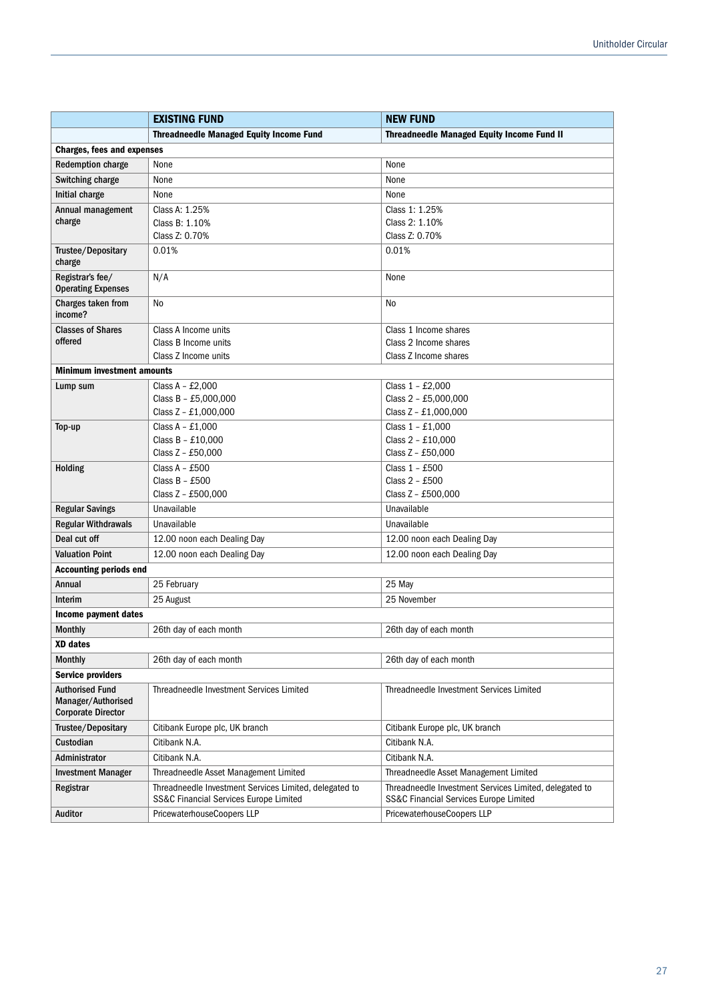|                                                                           | <b>EXISTING FUND</b>                                                                                | <b>NEW FUND</b>                                        |  |
|---------------------------------------------------------------------------|-----------------------------------------------------------------------------------------------------|--------------------------------------------------------|--|
|                                                                           | <b>Threadneedle Managed Equity Income Fund</b><br><b>Threadneedle Managed Equity Income Fund II</b> |                                                        |  |
| <b>Charges, fees and expenses</b>                                         |                                                                                                     |                                                        |  |
| <b>Redemption charge</b>                                                  | None<br>None                                                                                        |                                                        |  |
| Switching charge                                                          | None<br>None                                                                                        |                                                        |  |
| Initial charge                                                            | None<br>None                                                                                        |                                                        |  |
| Annual management                                                         | Class A: 1.25%                                                                                      | Class 1: 1.25%                                         |  |
| charge                                                                    | Class B: 1.10%                                                                                      | Class 2: 1.10%                                         |  |
|                                                                           | Class Z: 0.70%                                                                                      | Class Z: 0.70%                                         |  |
| Trustee/Depositary<br>charge                                              | 0.01%                                                                                               | 0.01%                                                  |  |
| Registrar's fee/<br><b>Operating Expenses</b>                             | N/A                                                                                                 | None                                                   |  |
| Charges taken from<br>income?                                             | No                                                                                                  | No                                                     |  |
| <b>Classes of Shares</b>                                                  | Class A Income units                                                                                | Class 1 Income shares                                  |  |
| offered                                                                   | Class B Income units                                                                                | Class 2 Income shares                                  |  |
|                                                                           | Class Z Income units                                                                                | Class Z Income shares                                  |  |
| <b>Minimum investment amounts</b>                                         |                                                                                                     |                                                        |  |
| Lump sum                                                                  | Class $A - £2,000$                                                                                  | Class 1 - £2,000                                       |  |
|                                                                           | Class B - £5,000,000                                                                                | Class 2 - £5,000,000                                   |  |
|                                                                           | Class Z - £1,000,000                                                                                | Class Z - £1,000,000                                   |  |
| Top-up                                                                    | Class $A - £1,000$<br>Class B - £10,000                                                             | Class 1 - £1,000<br>Class 2 - £10,000                  |  |
|                                                                           | Class Z - £50,000                                                                                   | Class Z - £50,000                                      |  |
| <b>Holding</b>                                                            | Class $A - £500$                                                                                    | Class 1 - £500                                         |  |
|                                                                           | Class $B - £500$                                                                                    | Class 2 - £500                                         |  |
|                                                                           | Class Z - £500,000<br>Class Z - £500,000                                                            |                                                        |  |
| <b>Regular Savings</b>                                                    | Unavailable                                                                                         | Unavailable                                            |  |
| <b>Regular Withdrawals</b>                                                | Unavailable                                                                                         | Unavailable                                            |  |
| Deal cut off                                                              | 12.00 noon each Dealing Day                                                                         | 12.00 noon each Dealing Day                            |  |
| <b>Valuation Point</b>                                                    | 12.00 noon each Dealing Day                                                                         | 12.00 noon each Dealing Day                            |  |
| <b>Accounting periods end</b>                                             |                                                                                                     |                                                        |  |
| Annual                                                                    | 25 February                                                                                         | 25 May                                                 |  |
| Interim                                                                   | 25 August                                                                                           | 25 November                                            |  |
| Income payment dates                                                      |                                                                                                     |                                                        |  |
| <b>Monthly</b>                                                            | 26th day of each month                                                                              | 26th day of each month                                 |  |
| XD dates                                                                  |                                                                                                     |                                                        |  |
| <b>Monthly</b>                                                            | 26th day of each month                                                                              | 26th day of each month                                 |  |
| <b>Service providers</b>                                                  |                                                                                                     |                                                        |  |
| <b>Authorised Fund</b><br>Manager/Authorised<br><b>Corporate Director</b> | Threadneedle Investment Services Limited                                                            | Threadneedle Investment Services Limited               |  |
| Trustee/Depositary                                                        | Citibank Europe plc, UK branch                                                                      | Citibank Europe plc, UK branch                         |  |
| Custodian                                                                 | Citibank N.A.                                                                                       | Citibank N.A.                                          |  |
| Administrator                                                             | Citibank N.A.                                                                                       | Citibank N.A.                                          |  |
| <b>Investment Manager</b>                                                 | Threadneedle Asset Management Limited                                                               | Threadneedle Asset Management Limited                  |  |
| Registrar                                                                 | Threadneedle Investment Services Limited, delegated to                                              | Threadneedle Investment Services Limited, delegated to |  |
|                                                                           | SS&C Financial Services Europe Limited                                                              | <b>SS&amp;C Financial Services Europe Limited</b>      |  |
| Auditor                                                                   | PricewaterhouseCoopers LLP<br>PricewaterhouseCoopers LLP                                            |                                                        |  |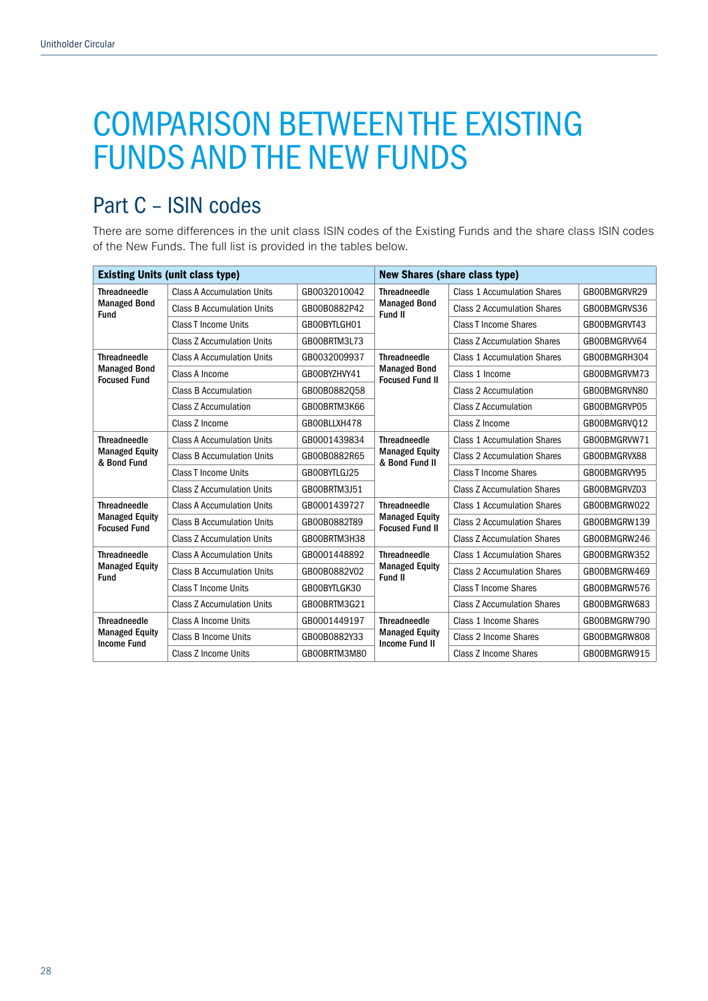# COMPARISON BETWEEN THE EXISTING FUNDS AND THE NEW FUNDS

## Part C – ISIN codes

There are some differences in the unit class ISIN codes of the Existing Funds and the share class ISIN codes of the New Funds. The full list is provided in the tables below.

| <b>Existing Units (unit class type)</b>                   |                                   | <b>New Shares (share class type)</b> |                                                                        |                                    |              |
|-----------------------------------------------------------|-----------------------------------|--------------------------------------|------------------------------------------------------------------------|------------------------------------|--------------|
| <b>Threadneedle</b><br><b>Managed Bond</b><br><b>Fund</b> | <b>Class A Accumulation Units</b> | GB0032010042                         | <b>Threadneedle</b><br><b>Managed Bond</b><br>Fund II                  | <b>Class 1 Accumulation Shares</b> | GB00BMGRVR29 |
|                                                           | <b>Class B Accumulation Units</b> | GB00B0882P42                         |                                                                        | <b>Class 2 Accumulation Shares</b> | GB00BMGRVS36 |
|                                                           | Class T Income Units              | GB00BYTLGH01                         |                                                                        | <b>Class T Income Shares</b>       | GB00BMGRVT43 |
|                                                           | <b>Class Z Accumulation Units</b> | GB00BRTM3L73                         |                                                                        | <b>Class Z Accumulation Shares</b> | GB00BMGRVV64 |
| <b>Threadneedle</b>                                       | <b>Class A Accumulation Units</b> | GB0032009937                         | <b>Threadneedle</b>                                                    | <b>Class 1 Accumulation Shares</b> | GB00BMGRH304 |
| <b>Managed Bond</b><br><b>Focused Fund</b>                | Class A Income                    | GB00BYZHVY41                         | <b>Managed Bond</b><br><b>Focused Fund II</b>                          | Class 1 Income                     | GB00BMGRVM73 |
|                                                           | <b>Class B Accumulation</b>       | GB00B0882058                         |                                                                        | Class 2 Accumulation               | GB00BMGRVN80 |
|                                                           | <b>Class Z Accumulation</b>       | GB00BRTM3K66                         |                                                                        | <b>Class Z Accumulation</b>        | GB00BMGRVP05 |
|                                                           | Class Z Income                    | GB00BLLXH478                         |                                                                        | Class Z Income                     | GB00BMGRVO12 |
| <b>Threadneedle</b>                                       | <b>Class A Accumulation Units</b> | GB0001439834                         | <b>Threadneedle</b><br><b>Managed Equity</b><br>& Bond Fund II         | <b>Class 1 Accumulation Shares</b> | GB00BMGRVW71 |
| <b>Managed Equity</b><br>& Bond Fund                      | <b>Class B Accumulation Units</b> | GB00B0882R65                         |                                                                        | <b>Class 2 Accumulation Shares</b> | GB00BMGRVX88 |
|                                                           | Class T Income Units              | GB00BYTLGJ25                         |                                                                        | <b>Class T Income Shares</b>       | GB00BMGRVY95 |
|                                                           | <b>Class Z Accumulation Units</b> | GB00BRTM3J51                         |                                                                        | <b>Class Z Accumulation Shares</b> | GB00BMGRVZ03 |
| <b>Threadneedle</b>                                       | <b>Class A Accumulation Units</b> | GB0001439727                         | <b>Threadneedle</b><br><b>Managed Equity</b><br><b>Focused Fund II</b> | <b>Class 1 Accumulation Shares</b> | GB00BMGRW022 |
| <b>Managed Equity</b><br><b>Focused Fund</b>              | <b>Class B Accumulation Units</b> | GB00B0882T89                         |                                                                        | <b>Class 2 Accumulation Shares</b> | GB00BMGRW139 |
|                                                           | <b>Class Z Accumulation Units</b> | GB00BRTM3H38                         |                                                                        | <b>Class Z Accumulation Shares</b> | GB00BMGRW246 |
| <b>Threadneedle</b>                                       | <b>Class A Accumulation Units</b> | GB0001448892                         | <b>Threadneedle</b>                                                    | <b>Class 1 Accumulation Shares</b> | GB00BMGRW352 |
| <b>Managed Equity</b><br><b>Fund</b>                      | <b>Class B Accumulation Units</b> | GB00B0882V02                         | <b>Managed Equity</b><br>Fund II                                       | <b>Class 2 Accumulation Shares</b> | GB00BMGRW469 |
|                                                           | <b>Class T Income Units</b>       | GB00BYTLGK30                         |                                                                        | <b>Class T Income Shares</b>       | GB00BMGRW576 |
|                                                           | <b>Class Z Accumulation Units</b> | GB00BRTM3G21                         |                                                                        | <b>Class Z Accumulation Shares</b> | GB00BMGRW683 |
| <b>Threadneedle</b>                                       | Class A Income Units              | GB0001449197                         | <b>Threadneedle</b>                                                    | Class 1 Income Shares              | GB00BMGRW790 |
| <b>Managed Equity</b><br><b>Income Fund</b>               | Class B Income Units              | GB00B0882Y33                         | <b>Managed Equity</b><br><b>Income Fund II</b>                         | Class 2 Income Shares              | GB00BMGRW808 |
|                                                           | Class Z Income Units              | GB00BRTM3M80                         |                                                                        | Class Z Income Shares              | GB00BMGRW915 |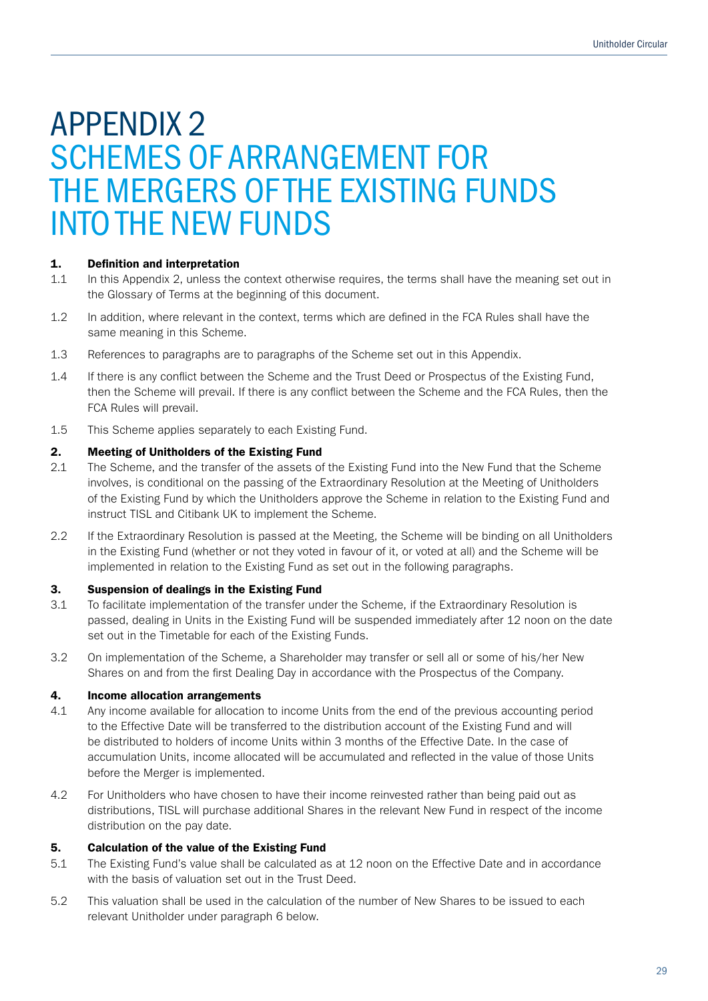## APPENDIX 2 SCHEMES OF ARRANGEMENT FOR THE MERGERS OF THE EXISTING FUNDS INTO THE NEW FUNDS

### 1. Definition and interpretation

- 1.1 In this Appendix 2, unless the context otherwise requires, the terms shall have the meaning set out in the Glossary of Terms at the beginning of this document.
- 1.2 In addition, where relevant in the context, terms which are defined in the FCA Rules shall have the same meaning in this Scheme.
- 1.3 References to paragraphs are to paragraphs of the Scheme set out in this Appendix.
- 1.4 If there is any conflict between the Scheme and the Trust Deed or Prospectus of the Existing Fund, then the Scheme will prevail. If there is any conflict between the Scheme and the FCA Rules, then the FCA Rules will prevail.
- 1.5 This Scheme applies separately to each Existing Fund.

### 2. Meeting of Unitholders of the Existing Fund

- 2.1 The Scheme, and the transfer of the assets of the Existing Fund into the New Fund that the Scheme involves, is conditional on the passing of the Extraordinary Resolution at the Meeting of Unitholders of the Existing Fund by which the Unitholders approve the Scheme in relation to the Existing Fund and instruct TISL and Citibank UK to implement the Scheme.
- 2.2 If the Extraordinary Resolution is passed at the Meeting, the Scheme will be binding on all Unitholders in the Existing Fund (whether or not they voted in favour of it, or voted at all) and the Scheme will be implemented in relation to the Existing Fund as set out in the following paragraphs.

### 3. Suspension of dealings in the Existing Fund

- 3.1 To facilitate implementation of the transfer under the Scheme, if the Extraordinary Resolution is passed, dealing in Units in the Existing Fund will be suspended immediately after 12 noon on the date set out in the Timetable for each of the Existing Funds.
- 3.2 On implementation of the Scheme, a Shareholder may transfer or sell all or some of his/her New Shares on and from the first Dealing Day in accordance with the Prospectus of the Company.

### 4. Income allocation arrangements

- 4.1 Any income available for allocation to income Units from the end of the previous accounting period to the Effective Date will be transferred to the distribution account of the Existing Fund and will be distributed to holders of income Units within 3 months of the Effective Date. In the case of accumulation Units, income allocated will be accumulated and reflected in the value of those Units before the Merger is implemented.
- 4.2 For Unitholders who have chosen to have their income reinvested rather than being paid out as distributions, TISL will purchase additional Shares in the relevant New Fund in respect of the income distribution on the pay date.

### 5. Calculation of the value of the Existing Fund

- 5.1 The Existing Fund's value shall be calculated as at 12 noon on the Effective Date and in accordance with the basis of valuation set out in the Trust Deed.
- 5.2 This valuation shall be used in the calculation of the number of New Shares to be issued to each relevant Unitholder under paragraph 6 below.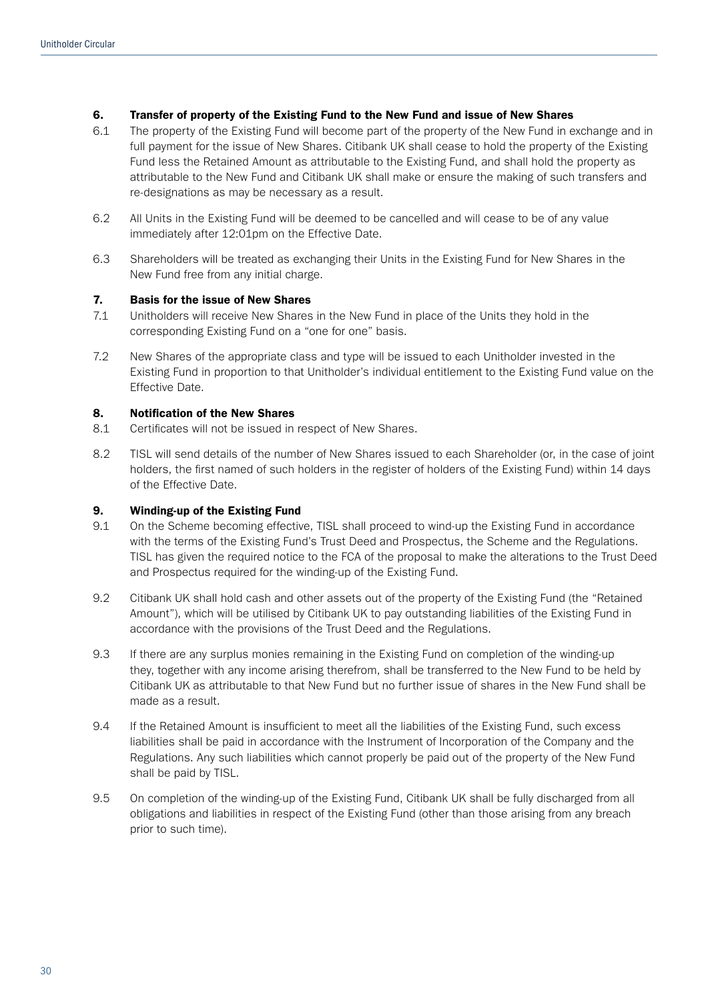### 6. Transfer of property of the Existing Fund to the New Fund and issue of New Shares

- 6.1 The property of the Existing Fund will become part of the property of the New Fund in exchange and in full payment for the issue of New Shares. Citibank UK shall cease to hold the property of the Existing Fund less the Retained Amount as attributable to the Existing Fund, and shall hold the property as attributable to the New Fund and Citibank UK shall make or ensure the making of such transfers and re-designations as may be necessary as a result.
- 6.2 All Units in the Existing Fund will be deemed to be cancelled and will cease to be of any value immediately after 12:01pm on the Effective Date.
- 6.3 Shareholders will be treated as exchanging their Units in the Existing Fund for New Shares in the New Fund free from any initial charge.

### 7. Basis for the issue of New Shares

- 7.1 Unitholders will receive New Shares in the New Fund in place of the Units they hold in the corresponding Existing Fund on a "one for one" basis.
- 7.2 New Shares of the appropriate class and type will be issued to each Unitholder invested in the Existing Fund in proportion to that Unitholder's individual entitlement to the Existing Fund value on the Effective Date.

### 8. Notification of the New Shares

- 8.1 Certificates will not be issued in respect of New Shares.
- 8.2 TISL will send details of the number of New Shares issued to each Shareholder (or, in the case of joint holders, the first named of such holders in the register of holders of the Existing Fund) within 14 days of the Effective Date.

### 9. Winding-up of the Existing Fund

- 9.1 On the Scheme becoming effective, TISL shall proceed to wind-up the Existing Fund in accordance with the terms of the Existing Fund's Trust Deed and Prospectus, the Scheme and the Regulations. TISL has given the required notice to the FCA of the proposal to make the alterations to the Trust Deed and Prospectus required for the winding-up of the Existing Fund.
- 9.2 Citibank UK shall hold cash and other assets out of the property of the Existing Fund (the "Retained Amount"), which will be utilised by Citibank UK to pay outstanding liabilities of the Existing Fund in accordance with the provisions of the Trust Deed and the Regulations.
- 9.3 If there are any surplus monies remaining in the Existing Fund on completion of the winding-up they, together with any income arising therefrom, shall be transferred to the New Fund to be held by Citibank UK as attributable to that New Fund but no further issue of shares in the New Fund shall be made as a result.
- 9.4 If the Retained Amount is insufficient to meet all the liabilities of the Existing Fund, such excess liabilities shall be paid in accordance with the Instrument of Incorporation of the Company and the Regulations. Any such liabilities which cannot properly be paid out of the property of the New Fund shall be paid by TISL.
- 9.5 On completion of the winding-up of the Existing Fund, Citibank UK shall be fully discharged from all obligations and liabilities in respect of the Existing Fund (other than those arising from any breach prior to such time).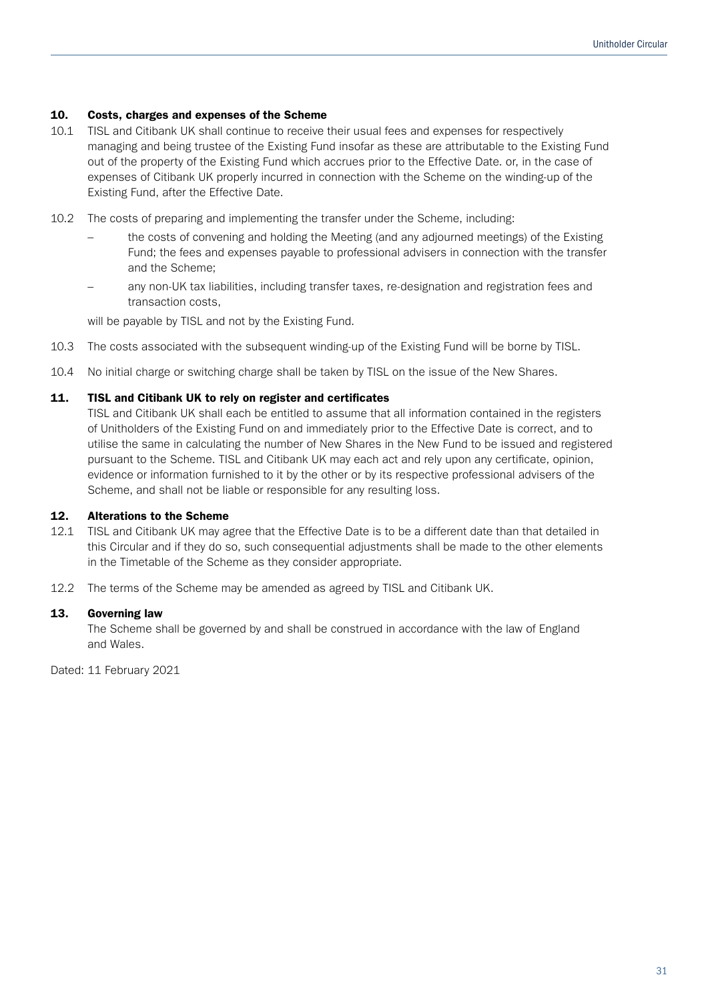### 10. Costs, charges and expenses of the Scheme

- 10.1 TISL and Citibank UK shall continue to receive their usual fees and expenses for respectively managing and being trustee of the Existing Fund insofar as these are attributable to the Existing Fund out of the property of the Existing Fund which accrues prior to the Effective Date. or, in the case of expenses of Citibank UK properly incurred in connection with the Scheme on the winding-up of the Existing Fund, after the Effective Date.
- 10.2 The costs of preparing and implementing the transfer under the Scheme, including:
	- the costs of convening and holding the Meeting (and any adjourned meetings) of the Existing Fund; the fees and expenses payable to professional advisers in connection with the transfer and the Scheme;
	- any non-UK tax liabilities, including transfer taxes, re-designation and registration fees and transaction costs,

will be payable by TISL and not by the Existing Fund.

- 10.3 The costs associated with the subsequent winding-up of the Existing Fund will be borne by TISL.
- 10.4 No initial charge or switching charge shall be taken by TISL on the issue of the New Shares.

### 11. TISL and Citibank UK to rely on register and certificates

TISL and Citibank UK shall each be entitled to assume that all information contained in the registers of Unitholders of the Existing Fund on and immediately prior to the Effective Date is correct, and to utilise the same in calculating the number of New Shares in the New Fund to be issued and registered pursuant to the Scheme. TISL and Citibank UK may each act and rely upon any certificate, opinion, evidence or information furnished to it by the other or by its respective professional advisers of the Scheme, and shall not be liable or responsible for any resulting loss.

### 12. Alterations to the Scheme

- 12.1 TISL and Citibank UK may agree that the Effective Date is to be a different date than that detailed in this Circular and if they do so, such consequential adjustments shall be made to the other elements in the Timetable of the Scheme as they consider appropriate.
- 12.2 The terms of the Scheme may be amended as agreed by TISL and Citibank UK.

### 13. Governing law

The Scheme shall be governed by and shall be construed in accordance with the law of England and Wales.

Dated: 11 February 2021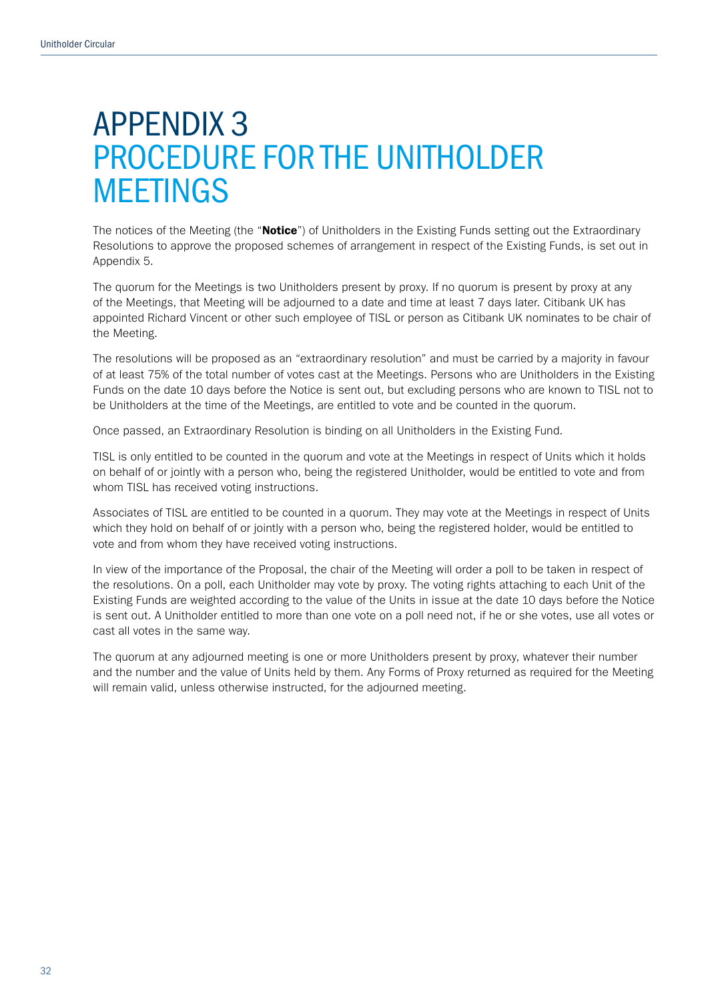## APPENDIX 3 PROCEDURE FOR THE UNITHOLDER MEETINGS

The notices of the Meeting (the "Notice") of Unitholders in the Existing Funds setting out the Extraordinary Resolutions to approve the proposed schemes of arrangement in respect of the Existing Funds, is set out in Appendix 5.

The quorum for the Meetings is two Unitholders present by proxy. If no quorum is present by proxy at any of the Meetings, that Meeting will be adjourned to a date and time at least 7 days later. Citibank UK has appointed Richard Vincent or other such employee of TISL or person as Citibank UK nominates to be chair of the Meeting.

The resolutions will be proposed as an "extraordinary resolution" and must be carried by a majority in favour of at least 75% of the total number of votes cast at the Meetings. Persons who are Unitholders in the Existing Funds on the date 10 days before the Notice is sent out, but excluding persons who are known to TISL not to be Unitholders at the time of the Meetings, are entitled to vote and be counted in the quorum.

Once passed, an Extraordinary Resolution is binding on all Unitholders in the Existing Fund.

TISL is only entitled to be counted in the quorum and vote at the Meetings in respect of Units which it holds on behalf of or jointly with a person who, being the registered Unitholder, would be entitled to vote and from whom TISL has received voting instructions.

Associates of TISL are entitled to be counted in a quorum. They may vote at the Meetings in respect of Units which they hold on behalf of or jointly with a person who, being the registered holder, would be entitled to vote and from whom they have received voting instructions.

In view of the importance of the Proposal, the chair of the Meeting will order a poll to be taken in respect of the resolutions. On a poll, each Unitholder may vote by proxy. The voting rights attaching to each Unit of the Existing Funds are weighted according to the value of the Units in issue at the date 10 days before the Notice is sent out. A Unitholder entitled to more than one vote on a poll need not, if he or she votes, use all votes or cast all votes in the same way.

The quorum at any adjourned meeting is one or more Unitholders present by proxy, whatever their number and the number and the value of Units held by them. Any Forms of Proxy returned as required for the Meeting will remain valid, unless otherwise instructed, for the adjourned meeting.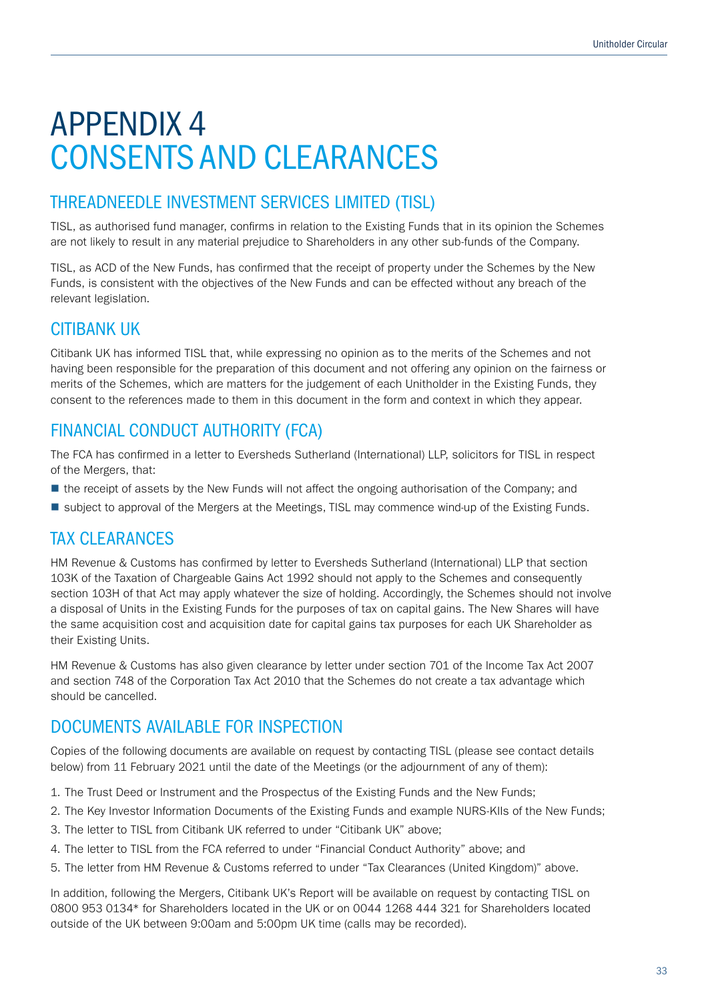# APPENDIX 4 CONSENTS AND CLEARANCES

### THREADNEEDLE INVESTMENT SERVICES LIMITED (TISL)

TISL, as authorised fund manager, confirms in relation to the Existing Funds that in its opinion the Schemes are not likely to result in any material prejudice to Shareholders in any other sub-funds of the Company.

TISL, as ACD of the New Funds, has confirmed that the receipt of property under the Schemes by the New Funds, is consistent with the objectives of the New Funds and can be effected without any breach of the relevant legislation.

### CITIBANK UK

Citibank UK has informed TISL that, while expressing no opinion as to the merits of the Schemes and not having been responsible for the preparation of this document and not offering any opinion on the fairness or merits of the Schemes, which are matters for the judgement of each Unitholder in the Existing Funds, they consent to the references made to them in this document in the form and context in which they appear.

### FINANCIAL CONDUCT AUTHORITY (FCA)

The FCA has confirmed in a letter to Eversheds Sutherland (International) LLP, solicitors for TISL in respect of the Mergers, that:

- the receipt of assets by the New Funds will not affect the ongoing authorisation of the Company; and
- subject to approval of the Mergers at the Meetings, TISL may commence wind-up of the Existing Funds.

### TAX CLEARANCES

HM Revenue & Customs has confirmed by letter to Eversheds Sutherland (International) LLP that section 103K of the Taxation of Chargeable Gains Act 1992 should not apply to the Schemes and consequently section 103H of that Act may apply whatever the size of holding. Accordingly, the Schemes should not involve a disposal of Units in the Existing Funds for the purposes of tax on capital gains. The New Shares will have the same acquisition cost and acquisition date for capital gains tax purposes for each UK Shareholder as their Existing Units.

HM Revenue & Customs has also given clearance by letter under section 701 of the Income Tax Act 2007 and section 748 of the Corporation Tax Act 2010 that the Schemes do not create a tax advantage which should be cancelled.

### DOCUMENTS AVAILABLE FOR INSPECTION

Copies of the following documents are available on request by contacting TISL (please see contact details below) from 11 February 2021 until the date of the Meetings (or the adjournment of any of them):

- 1. The Trust Deed or Instrument and the Prospectus of the Existing Funds and the New Funds;
- 2. The Key Investor Information Documents of the Existing Funds and example NURS-KIIs of the New Funds;
- 3. The letter to TISL from Citibank UK referred to under "Citibank UK" above;
- 4. The letter to TISL from the FCA referred to under "Financial Conduct Authority" above; and
- 5. The letter from HM Revenue & Customs referred to under "Tax Clearances (United Kingdom)" above.

In addition, following the Mergers, Citibank UK's Report will be available on request by contacting TISL on 0800 953 0134\* for Shareholders located in the UK or on 0044 1268 444 321 for Shareholders located outside of the UK between 9:00am and 5:00pm UK time (calls may be recorded).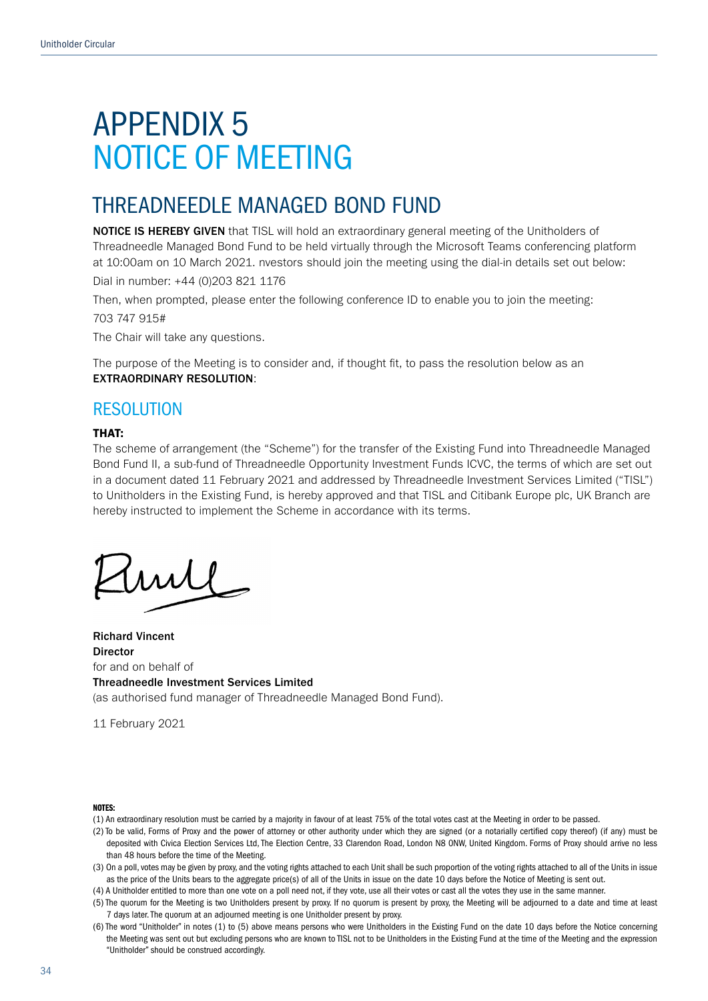## APPENDIX 5 NOTICE OF MEETING

### THREADNEEDLE MANAGED BOND FUND

NOTICE IS HEREBY GIVEN that TISL will hold an extraordinary general meeting of the Unitholders of Threadneedle Managed Bond Fund to be held virtually through the Microsoft Teams conferencing platform at 10:00am on 10 March 2021. nvestors should join the meeting using the dial-in details set out below:

Dial in number: +44 (0)203 821 1176

Then, when prompted, please enter the following conference ID to enable you to join the meeting:

703 747 915#

The Chair will take any questions.

The purpose of the Meeting is to consider and, if thought fit, to pass the resolution below as an EXTRAORDINARY RESOLUTION:

### RESOLUTION

#### THAT:

The scheme of arrangement (the "Scheme") for the transfer of the Existing Fund into Threadneedle Managed Bond Fund II, a sub-fund of Threadneedle Opportunity Investment Funds ICVC, the terms of which are set out in a document dated 11 February 2021 and addressed by Threadneedle Investment Services Limited ("TISL") to Unitholders in the Existing Fund, is hereby approved and that TISL and Citibank Europe plc, UK Branch are hereby instructed to implement the Scheme in accordance with its terms.

Richard Vincent Director for and on behalf of Threadneedle Investment Services Limited

(as authorised fund manager of Threadneedle Managed Bond Fund).

11 February 2021

#### NOTES:

- (1) An extraordinary resolution must be carried by a majority in favour of at least 75% of the total votes cast at the Meeting in order to be passed.
- (2) To be valid, Forms of Proxy and the power of attorney or other authority under which they are signed (or a notarially certified copy thereof) (if any) must be deposited with Civica Election Services Ltd, The Election Centre, 33 Clarendon Road, London N8 0NW, United Kingdom. Forms of Proxy should arrive no less than 48 hours before the time of the Meeting.

(3) On a poll, votes may be given by proxy, and the voting rights attached to each Unit shall be such proportion of the voting rights attached to all of the Units in issue as the price of the Units bears to the aggregate price(s) of all of the Units in issue on the date 10 days before the Notice of Meeting is sent out.

(4) A Unitholder entitled to more than one vote on a poll need not, if they vote, use all their votes or cast all the votes they use in the same manner.

(5) The quorum for the Meeting is two Unitholders present by proxy. If no quorum is present by proxy, the Meeting will be adjourned to a date and time at least 7 days later. The quorum at an adjourned meeting is one Unitholder present by proxy.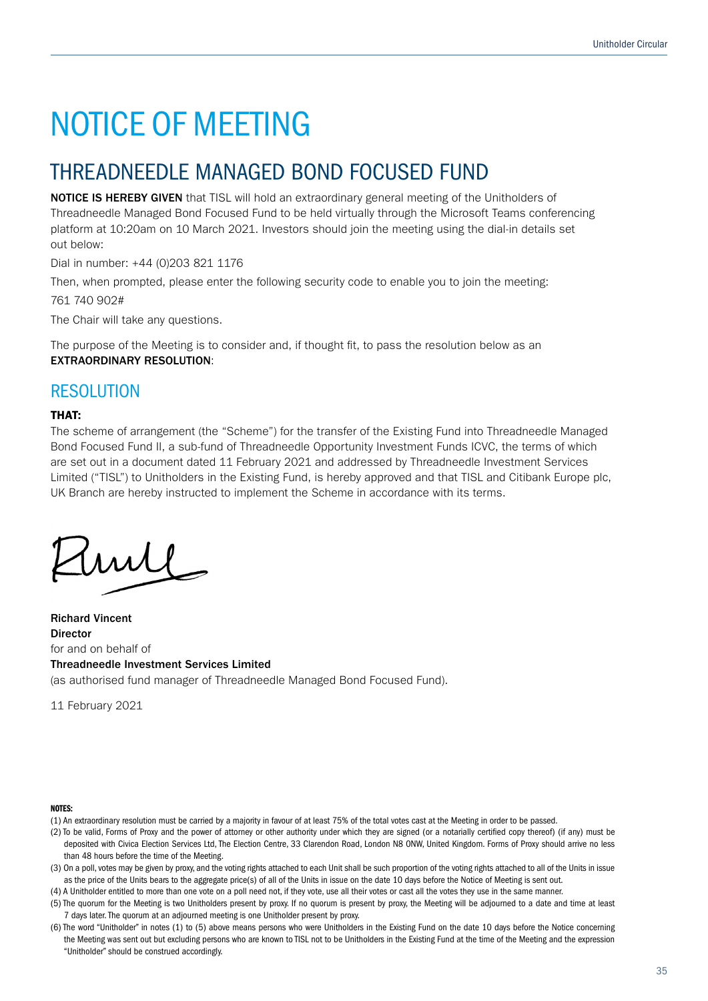## THREADNEEDLE MANAGED BOND FOCUSED FUND

NOTICE IS HEREBY GIVEN that TISL will hold an extraordinary general meeting of the Unitholders of Threadneedle Managed Bond Focused Fund to be held virtually through the Microsoft Teams conferencing platform at 10:20am on 10 March 2021. Investors should join the meeting using the dial-in details set out below:

Dial in number: +44 (0)203 821 1176

Then, when prompted, please enter the following security code to enable you to join the meeting:

761 740 902#

The Chair will take any questions.

The purpose of the Meeting is to consider and, if thought fit, to pass the resolution below as an EXTRAORDINARY RESOLUTION:

### RESOLUTION

### THAT:

The scheme of arrangement (the "Scheme") for the transfer of the Existing Fund into Threadneedle Managed Bond Focused Fund II, a sub-fund of Threadneedle Opportunity Investment Funds ICVC, the terms of which are set out in a document dated 11 February 2021 and addressed by Threadneedle Investment Services Limited ("TISL") to Unitholders in the Existing Fund, is hereby approved and that TISL and Citibank Europe plc, UK Branch are hereby instructed to implement the Scheme in accordance with its terms.

 $mll$ 

Richard Vincent Director for and on behalf of Threadneedle Investment Services Limited (as authorised fund manager of Threadneedle Managed Bond Focused Fund).

11 February 2021

#### NOTES:

- (1) An extraordinary resolution must be carried by a majority in favour of at least 75% of the total votes cast at the Meeting in order to be passed.
- (2) To be valid, Forms of Proxy and the power of attorney or other authority under which they are signed (or a notarially certified copy thereof) (if any) must be deposited with Civica Election Services Ltd, The Election Centre, 33 Clarendon Road, London N8 0NW, United Kingdom. Forms of Proxy should arrive no less than 48 hours before the time of the Meeting.

(3) On a poll, votes may be given by proxy, and the voting rights attached to each Unit shall be such proportion of the voting rights attached to all of the Units in issue as the price of the Units bears to the aggregate price(s) of all of the Units in issue on the date 10 days before the Notice of Meeting is sent out.

(4) A Unitholder entitled to more than one vote on a poll need not, if they vote, use all their votes or cast all the votes they use in the same manner.

(5) The quorum for the Meeting is two Unitholders present by proxy. If no quorum is present by proxy, the Meeting will be adjourned to a date and time at least 7 days later. The quorum at an adjourned meeting is one Unitholder present by proxy.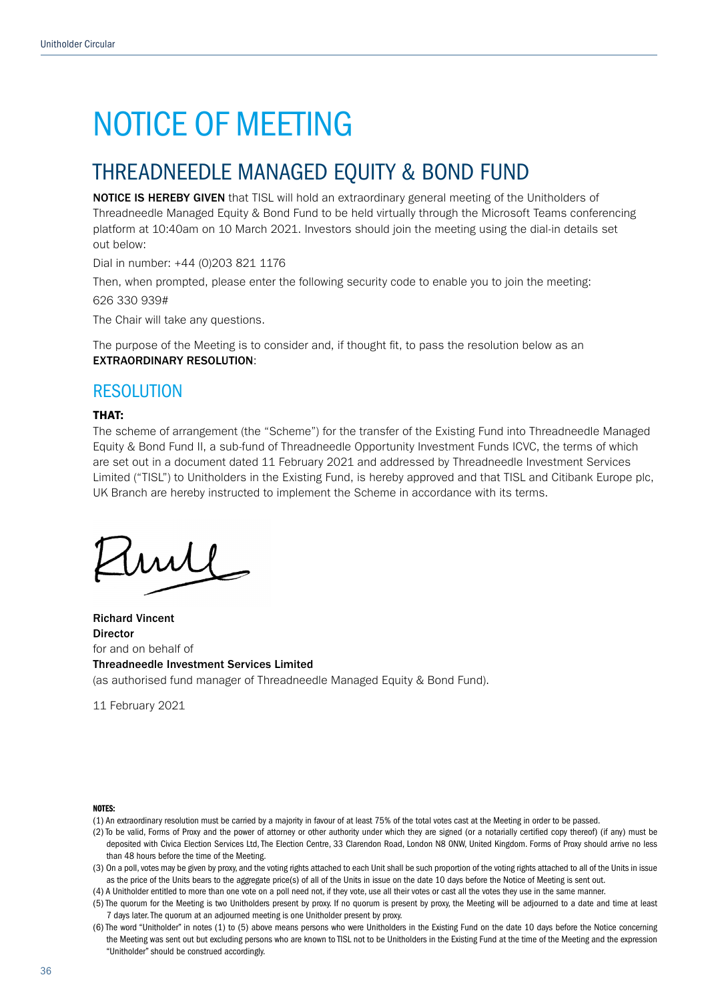## THREADNEEDLE MANAGED EQUITY & BOND FUND

NOTICE IS HEREBY GIVEN that TISL will hold an extraordinary general meeting of the Unitholders of Threadneedle Managed Equity & Bond Fund to be held virtually through the Microsoft Teams conferencing platform at 10:40am on 10 March 2021. Investors should join the meeting using the dial-in details set out below:

Dial in number: +44 (0)203 821 1176

Then, when prompted, please enter the following security code to enable you to join the meeting:

626 330 939#

The Chair will take any questions.

The purpose of the Meeting is to consider and, if thought fit, to pass the resolution below as an EXTRAORDINARY RESOLUTION:

### RESOLUTION

### THAT:

The scheme of arrangement (the "Scheme") for the transfer of the Existing Fund into Threadneedle Managed Equity & Bond Fund II, a sub-fund of Threadneedle Opportunity Investment Funds ICVC, the terms of which are set out in a document dated 11 February 2021 and addressed by Threadneedle Investment Services Limited ("TISL") to Unitholders in the Existing Fund, is hereby approved and that TISL and Citibank Europe plc, UK Branch are hereby instructed to implement the Scheme in accordance with its terms.

wll

Richard Vincent **Director** for and on behalf of Threadneedle Investment Services Limited (as authorised fund manager of Threadneedle Managed Equity & Bond Fund).

11 February 2021

#### NOTES:

- (1) An extraordinary resolution must be carried by a majority in favour of at least 75% of the total votes cast at the Meeting in order to be passed.
- (2) To be valid, Forms of Proxy and the power of attorney or other authority under which they are signed (or a notarially certified copy thereof) (if any) must be deposited with Civica Election Services Ltd, The Election Centre, 33 Clarendon Road, London N8 ONW, United Kingdom. Forms of Proxy should arrive no less than 48 hours before the time of the Meeting.
- (3) On a poll, votes may be given by proxy, and the voting rights attached to each Unit shall be such proportion of the voting rights attached to all of the Units in issue as the price of the Units bears to the aggregate price(s) of all of the Units in issue on the date 10 days before the Notice of Meeting is sent out.
- (4) A Unitholder entitled to more than one vote on a poll need not, if they vote, use all their votes or cast all the votes they use in the same manner.
- (5) The quorum for the Meeting is two Unitholders present by proxy. If no quorum is present by proxy, the Meeting will be adjourned to a date and time at least 7 days later. The quorum at an adjourned meeting is one Unitholder present by proxy.
- (6) The word "Unitholder" in notes (1) to (5) above means persons who were Unitholders in the Existing Fund on the date 10 days before the Notice concerning the Meeting was sent out but excluding persons who are known to TISL not to be Unitholders in the Existing Fund at the time of the Meeting and the expression "Unitholder" should be construed accordingly.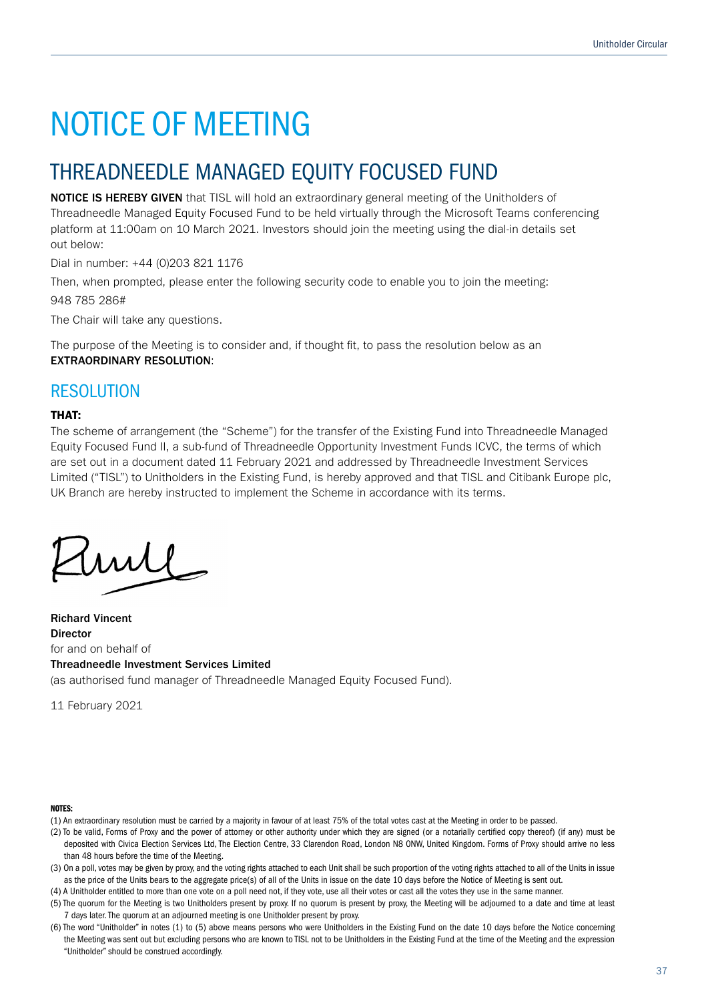## THREADNEEDLE MANAGED EQUITY FOCUSED FUND

NOTICE IS HEREBY GIVEN that TISL will hold an extraordinary general meeting of the Unitholders of Threadneedle Managed Equity Focused Fund to be held virtually through the Microsoft Teams conferencing platform at 11:00am on 10 March 2021. Investors should join the meeting using the dial-in details set out below:

Dial in number: +44 (0)203 821 1176

Then, when prompted, please enter the following security code to enable you to join the meeting:

948 785 286#

The Chair will take any questions.

The purpose of the Meeting is to consider and, if thought fit, to pass the resolution below as an EXTRAORDINARY RESOLUTION:

### RESOLUTION

### THAT:

The scheme of arrangement (the "Scheme") for the transfer of the Existing Fund into Threadneedle Managed Equity Focused Fund II, a sub-fund of Threadneedle Opportunity Investment Funds ICVC, the terms of which are set out in a document dated 11 February 2021 and addressed by Threadneedle Investment Services Limited ("TISL") to Unitholders in the Existing Fund, is hereby approved and that TISL and Citibank Europe plc, UK Branch are hereby instructed to implement the Scheme in accordance with its terms.

 $mll$ 

Richard Vincent Director for and on behalf of Threadneedle Investment Services Limited (as authorised fund manager of Threadneedle Managed Equity Focused Fund).

11 February 2021

#### NOTES:

- (1) An extraordinary resolution must be carried by a majority in favour of at least 75% of the total votes cast at the Meeting in order to be passed.
- (2) To be valid, Forms of Proxy and the power of attorney or other authority under which they are signed (or a notarially certified copy thereof) (if any) must be deposited with Civica Election Services Ltd, The Election Centre, 33 Clarendon Road, London N8 ONW, United Kingdom. Forms of Proxy should arrive no less than 48 hours before the time of the Meeting.

(3) On a poll, votes may be given by proxy, and the voting rights attached to each Unit shall be such proportion of the voting rights attached to all of the Units in issue as the price of the Units bears to the aggregate price(s) of all of the Units in issue on the date 10 days before the Notice of Meeting is sent out.

(4) A Unitholder entitled to more than one vote on a poll need not, if they vote, use all their votes or cast all the votes they use in the same manner.

(5) The quorum for the Meeting is two Unitholders present by proxy. If no quorum is present by proxy, the Meeting will be adjourned to a date and time at least 7 days later. The quorum at an adjourned meeting is one Unitholder present by proxy.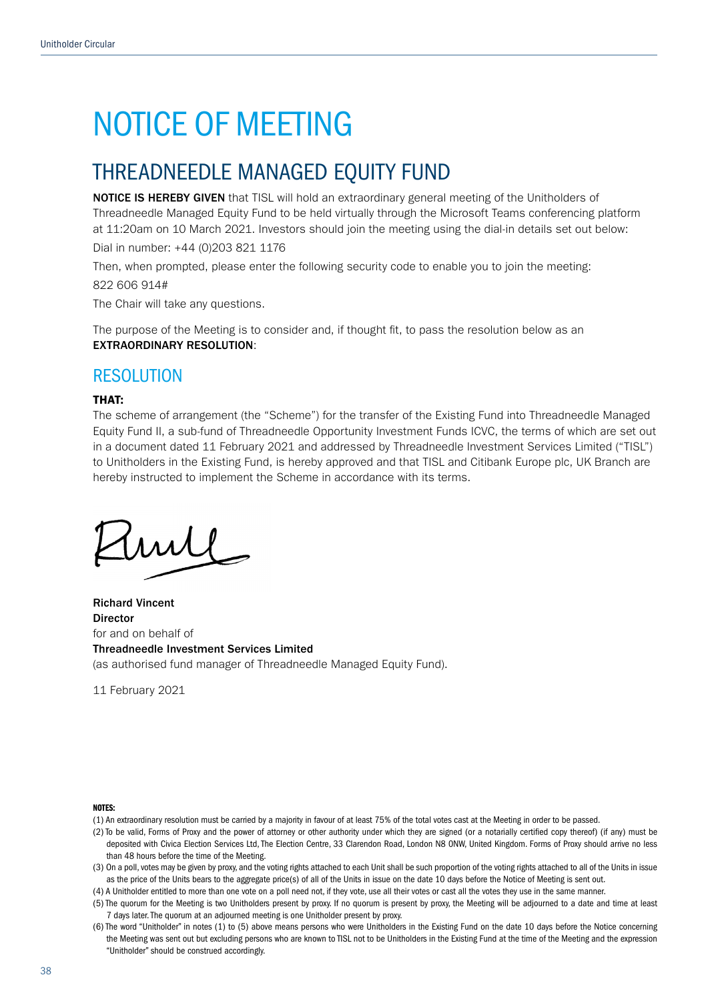## THREADNEEDLE MANAGED EQUITY FUND

NOTICE IS HEREBY GIVEN that TISL will hold an extraordinary general meeting of the Unitholders of Threadneedle Managed Equity Fund to be held virtually through the Microsoft Teams conferencing platform at 11:20am on 10 March 2021. Investors should join the meeting using the dial-in details set out below:

Dial in number: +44 (0)203 821 1176

Then, when prompted, please enter the following security code to enable you to join the meeting: 822 606 914#

The Chair will take any questions.

The purpose of the Meeting is to consider and, if thought fit, to pass the resolution below as an EXTRAORDINARY RESOLUTION:

### RESOLUTION

### THAT:

The scheme of arrangement (the "Scheme") for the transfer of the Existing Fund into Threadneedle Managed Equity Fund II, a sub-fund of Threadneedle Opportunity Investment Funds ICVC, the terms of which are set out in a document dated 11 February 2021 and addressed by Threadneedle Investment Services Limited ("TISL") to Unitholders in the Existing Fund, is hereby approved and that TISL and Citibank Europe plc, UK Branch are hereby instructed to implement the Scheme in accordance with its terms.

my

Richard Vincent Director for and on behalf of Threadneedle Investment Services Limited (as authorised fund manager of Threadneedle Managed Equity Fund).

11 February 2021

#### NOTES:

- (1) An extraordinary resolution must be carried by a majority in favour of at least 75% of the total votes cast at the Meeting in order to be passed.
- (2) To be valid, Forms of Proxy and the power of attorney or other authority under which they are signed (or a notarially certified copy thereof) (if any) must be deposited with Civica Election Services Ltd, The Election Centre, 33 Clarendon Road, London N8 0NW, United Kingdom. Forms of Proxy should arrive no less than 48 hours before the time of the Meeting.
- (3) On a poll, votes may be given by proxy, and the voting rights attached to each Unit shall be such proportion of the voting rights attached to all of the Units in issue as the price of the Units bears to the aggregate price(s) of all of the Units in issue on the date 10 days before the Notice of Meeting is sent out.

(4) A Unitholder entitled to more than one vote on a poll need not, if they vote, use all their votes or cast all the votes they use in the same manner.

(5) The quorum for the Meeting is two Unitholders present by proxy. If no quorum is present by proxy, the Meeting will be adjourned to a date and time at least 7 days later. The quorum at an adjourned meeting is one Unitholder present by proxy.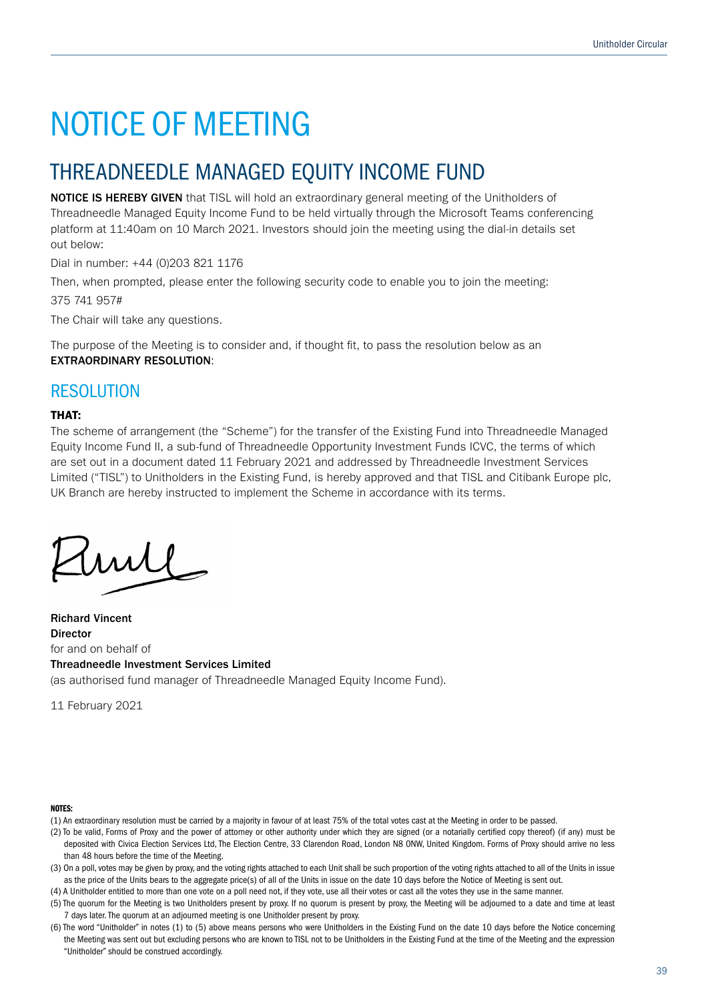## THREADNEEDLE MANAGED EQUITY INCOME FUND

NOTICE IS HEREBY GIVEN that TISL will hold an extraordinary general meeting of the Unitholders of Threadneedle Managed Equity Income Fund to be held virtually through the Microsoft Teams conferencing platform at 11:40am on 10 March 2021. Investors should join the meeting using the dial-in details set out below:

Dial in number: +44 (0)203 821 1176

Then, when prompted, please enter the following security code to enable you to join the meeting:

375 741 957#

The Chair will take any questions.

The purpose of the Meeting is to consider and, if thought fit, to pass the resolution below as an EXTRAORDINARY RESOLUTION:

### RESOLUTION

### THAT:

The scheme of arrangement (the "Scheme") for the transfer of the Existing Fund into Threadneedle Managed Equity Income Fund II, a sub-fund of Threadneedle Opportunity Investment Funds ICVC, the terms of which are set out in a document dated 11 February 2021 and addressed by Threadneedle Investment Services Limited ("TISL") to Unitholders in the Existing Fund, is hereby approved and that TISL and Citibank Europe plc, UK Branch are hereby instructed to implement the Scheme in accordance with its terms.

 $mll$ 

Richard Vincent Director for and on behalf of Threadneedle Investment Services Limited (as authorised fund manager of Threadneedle Managed Equity Income Fund).

11 February 2021

#### NOTES:

- (1) An extraordinary resolution must be carried by a majority in favour of at least 75% of the total votes cast at the Meeting in order to be passed.
- (2) To be valid, Forms of Proxy and the power of attorney or other authority under which they are signed (or a notarially certified copy thereof) (if any) must be deposited with Civica Election Services Ltd, The Election Centre, 33 Clarendon Road, London N8 ONW, United Kingdom. Forms of Proxy should arrive no less than 48 hours before the time of the Meeting.

(3) On a poll, votes may be given by proxy, and the voting rights attached to each Unit shall be such proportion of the voting rights attached to all of the Units in issue as the price of the Units bears to the aggregate price(s) of all of the Units in issue on the date 10 days before the Notice of Meeting is sent out.

(4) A Unitholder entitled to more than one vote on a poll need not, if they vote, use all their votes or cast all the votes they use in the same manner.

(5) The quorum for the Meeting is two Unitholders present by proxy. If no quorum is present by proxy, the Meeting will be adjourned to a date and time at least 7 days later. The quorum at an adjourned meeting is one Unitholder present by proxy.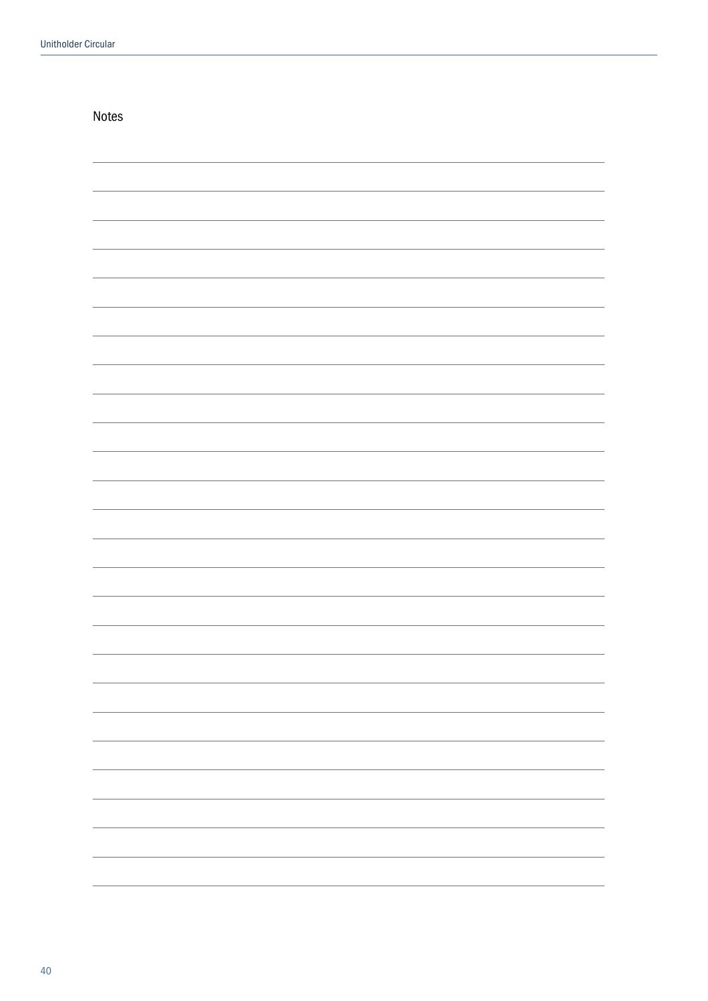| Notes |                          |
|-------|--------------------------|
|       |                          |
|       |                          |
|       |                          |
|       |                          |
|       |                          |
|       |                          |
|       |                          |
|       |                          |
|       |                          |
|       |                          |
|       |                          |
|       |                          |
|       |                          |
|       |                          |
|       |                          |
|       |                          |
|       |                          |
|       |                          |
|       | $\overline{\phantom{0}}$ |
|       | $\overline{\phantom{0}}$ |
|       | $\overline{\phantom{0}}$ |
|       | $\overline{\phantom{0}}$ |
|       | $\overline{\phantom{0}}$ |
|       |                          |
|       |                          |
|       |                          |